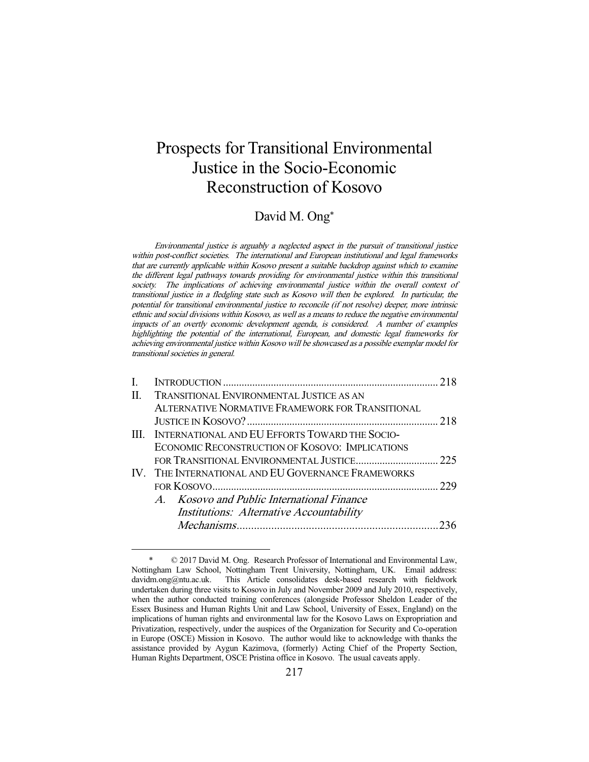# Prospects for Transitional Environmental Justice in the Socio-Economic Reconstruction of Kosovo

## David M. Ong\*

Environmental justice is arguably a neglected aspect in the pursuit of transitional justice within post-conflict societies. The international and European institutional and legal frameworks that are currently applicable within Kosovo present a suitable backdrop against which to examine the different legal pathways towards providing for environmental justice within this transitional society. The implications of achieving environmental justice within the overall context of transitional justice in a fledgling state such as Kosovo will then be explored. In particular, the potential for transitional environmental justice to reconcile (if not resolve) deeper, more intrinsic ethnic and social divisions within Kosovo, as well as a means to reduce the negative environmental impacts of an overtly economic development agenda, is considered. A number of examples highlighting the potential of the international, European, and domestic legal frameworks for achieving environmental justice within Kosovo will be showcased as a possible exemplar model for transitional societies in general.

| L  |                                                     |     |
|----|-----------------------------------------------------|-----|
| П. | <b>TRANSITIONAL ENVIRONMENTAL JUSTICE AS AN</b>     |     |
|    | ALTERNATIVE NORMATIVE FRAMEWORK FOR TRANSITIONAL    |     |
|    |                                                     |     |
|    | III. INTERNATIONAL AND EU EFFORTS TOWARD THE SOCIO- |     |
|    | ECONOMIC RECONSTRUCTION OF KOSOVO: IMPLICATIONS     |     |
|    |                                                     |     |
|    | IV. THE INTERNATIONAL AND EU GOVERNANCE FRAMEWORKS  |     |
|    |                                                     | 229 |
|    | A. Kosovo and Public International Finance          |     |
|    | <b>Institutions:</b> Alternative Accountability     |     |
|    |                                                     |     |

 $© 2017 David M. Ong. Research Professor of International and Environmental Law,$ Nottingham Law School, Nottingham Trent University, Nottingham, UK. Email address: davidm.ong@ntu.ac.uk. This Article consolidates desk-based research with fieldwork undertaken during three visits to Kosovo in July and November 2009 and July 2010, respectively, when the author conducted training conferences (alongside Professor Sheldon Leader of the Essex Business and Human Rights Unit and Law School, University of Essex, England) on the implications of human rights and environmental law for the Kosovo Laws on Expropriation and Privatization, respectively, under the auspices of the Organization for Security and Co-operation in Europe (OSCE) Mission in Kosovo. The author would like to acknowledge with thanks the assistance provided by Aygun Kazimova, (formerly) Acting Chief of the Property Section, Human Rights Department, OSCE Pristina office in Kosovo. The usual caveats apply.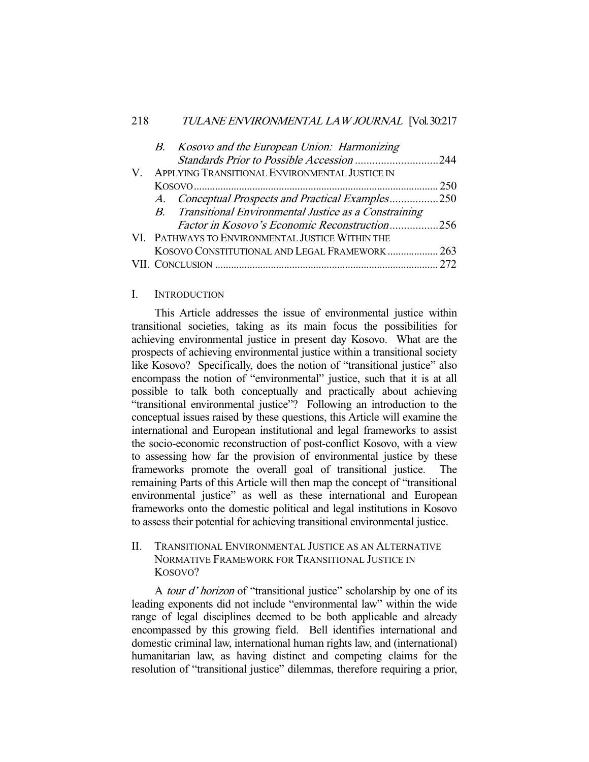|  | B. Kosovo and the European Union: Harmonizing           |     |
|--|---------------------------------------------------------|-----|
|  |                                                         |     |
|  | V. APPLYING TRANSITIONAL ENVIRONMENTAL JUSTICE IN       |     |
|  |                                                         | 250 |
|  | A. Conceptual Prospects and Practical Examples250       |     |
|  | B. Transitional Environmental Justice as a Constraining |     |
|  | <i>Factor in Kosovo's Economic Reconstruction256</i>    |     |
|  | VI. PATHWAYS TO ENVIRONMENTAL JUSTICE WITHIN THE        |     |
|  | KOSOVO CONSTITUTIONAL AND LEGAL FRAMEWORK  263          |     |
|  |                                                         | 272 |
|  |                                                         |     |

#### I. INTRODUCTION

 This Article addresses the issue of environmental justice within transitional societies, taking as its main focus the possibilities for achieving environmental justice in present day Kosovo. What are the prospects of achieving environmental justice within a transitional society like Kosovo? Specifically, does the notion of "transitional justice" also encompass the notion of "environmental" justice, such that it is at all possible to talk both conceptually and practically about achieving "transitional environmental justice"? Following an introduction to the conceptual issues raised by these questions, this Article will examine the international and European institutional and legal frameworks to assist the socio-economic reconstruction of post-conflict Kosovo, with a view to assessing how far the provision of environmental justice by these frameworks promote the overall goal of transitional justice. The remaining Parts of this Article will then map the concept of "transitional environmental justice" as well as these international and European frameworks onto the domestic political and legal institutions in Kosovo to assess their potential for achieving transitional environmental justice.

II. TRANSITIONAL ENVIRONMENTAL JUSTICE AS AN ALTERNATIVE NORMATIVE FRAMEWORK FOR TRANSITIONAL JUSTICE IN KOSOVO?

A *tour d' horizon* of "transitional justice" scholarship by one of its leading exponents did not include "environmental law" within the wide range of legal disciplines deemed to be both applicable and already encompassed by this growing field. Bell identifies international and domestic criminal law, international human rights law, and (international) humanitarian law, as having distinct and competing claims for the resolution of "transitional justice" dilemmas, therefore requiring a prior,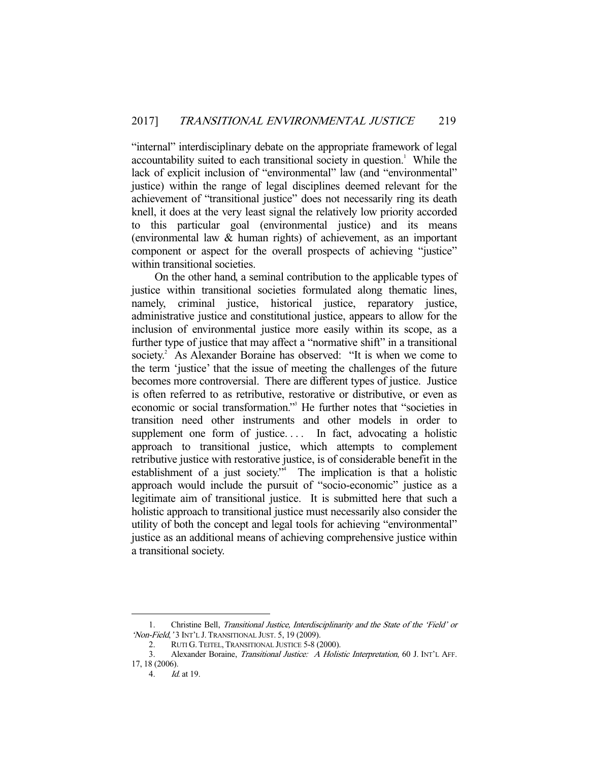"internal" interdisciplinary debate on the appropriate framework of legal accountability suited to each transitional society in question.<sup>1</sup> While the lack of explicit inclusion of "environmental" law (and "environmental" justice) within the range of legal disciplines deemed relevant for the achievement of "transitional justice" does not necessarily ring its death knell, it does at the very least signal the relatively low priority accorded to this particular goal (environmental justice) and its means (environmental law & human rights) of achievement, as an important component or aspect for the overall prospects of achieving "justice" within transitional societies.

 On the other hand, a seminal contribution to the applicable types of justice within transitional societies formulated along thematic lines, namely, criminal justice, historical justice, reparatory justice, administrative justice and constitutional justice, appears to allow for the inclusion of environmental justice more easily within its scope, as a further type of justice that may affect a "normative shift" in a transitional society.<sup>2</sup> As Alexander Boraine has observed: "It is when we come to the term 'justice' that the issue of meeting the challenges of the future becomes more controversial. There are different types of justice. Justice is often referred to as retributive, restorative or distributive, or even as economic or social transformation." He further notes that "societies in transition need other instruments and other models in order to supplement one form of justice.... In fact, advocating a holistic approach to transitional justice, which attempts to complement retributive justice with restorative justice, is of considerable benefit in the establishment of a just society."<sup>4</sup> The implication is that a holistic approach would include the pursuit of "socio-economic" justice as a legitimate aim of transitional justice. It is submitted here that such a holistic approach to transitional justice must necessarily also consider the utility of both the concept and legal tools for achieving "environmental" justice as an additional means of achieving comprehensive justice within a transitional society.

 <sup>1.</sup> Christine Bell, Transitional Justice, Interdisciplinarity and the State of the 'Field' or 'Non-Field, '3 INT'L J. TRANSITIONAL JUST. 5, 19 (2009).

 <sup>2.</sup> RUTI G. TEITEL, TRANSITIONAL JUSTICE 5-8 (2000).

 <sup>3.</sup> Alexander Boraine, Transitional Justice: A Holistic Interpretation, 60 J. INT'L AFF. 17, 18 (2006).

 <sup>4.</sup> Id. at 19.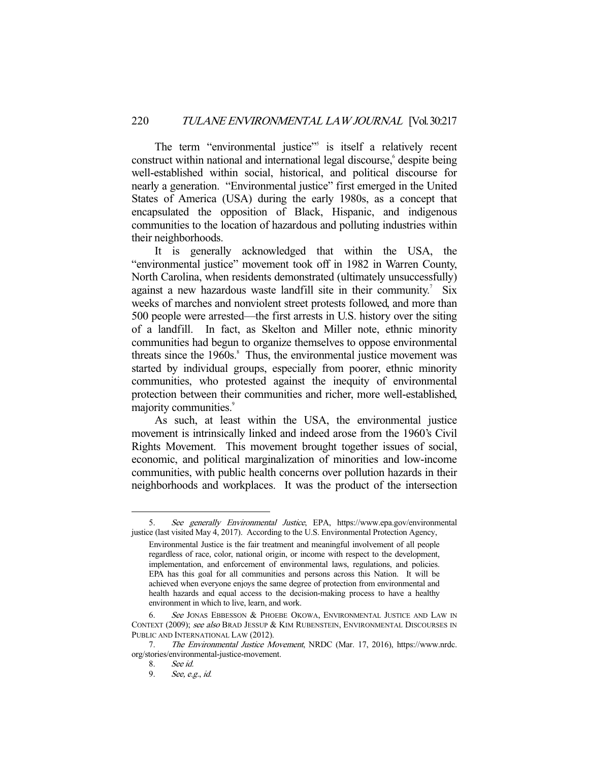The term "environmental justice"<sup>5</sup> is itself a relatively recent construct within national and international legal discourse, despite being well-established within social, historical, and political discourse for nearly a generation. "Environmental justice" first emerged in the United States of America (USA) during the early 1980s, as a concept that encapsulated the opposition of Black, Hispanic, and indigenous communities to the location of hazardous and polluting industries within their neighborhoods.

 It is generally acknowledged that within the USA, the "environmental justice" movement took off in 1982 in Warren County, North Carolina, when residents demonstrated (ultimately unsuccessfully) against a new hazardous waste landfill site in their community.<sup>7</sup> Six weeks of marches and nonviolent street protests followed, and more than 500 people were arrested—the first arrests in U.S. history over the siting of a landfill. In fact, as Skelton and Miller note, ethnic minority communities had begun to organize themselves to oppose environmental threats since the  $1960s$ .<sup>8</sup> Thus, the environmental justice movement was started by individual groups, especially from poorer, ethnic minority communities, who protested against the inequity of environmental protection between their communities and richer, more well-established, majority communities.<sup>9</sup>

 As such, at least within the USA, the environmental justice movement is intrinsically linked and indeed arose from the 1960's Civil Rights Movement. This movement brought together issues of social, economic, and political marginalization of minorities and low-income communities, with public health concerns over pollution hazards in their neighborhoods and workplaces. It was the product of the intersection

 <sup>5.</sup> See generally Environmental Justice, EPA, https://www.epa.gov/environmental justice (last visited May 4, 2017). According to the U.S. Environmental Protection Agency,

Environmental Justice is the fair treatment and meaningful involvement of all people regardless of race, color, national origin, or income with respect to the development, implementation, and enforcement of environmental laws, regulations, and policies. EPA has this goal for all communities and persons across this Nation. It will be achieved when everyone enjoys the same degree of protection from environmental and health hazards and equal access to the decision-making process to have a healthy environment in which to live, learn, and work.

<sup>6.</sup> See JONAS EBBESSON & PHOEBE OKOWA, ENVIRONMENTAL JUSTICE AND LAW IN CONTEXT (2009); see also BRAD JESSUP & KIM RUBENSTEIN, ENVIRONMENTAL DISCOURSES IN PUBLIC AND INTERNATIONAL LAW (2012).

<sup>7.</sup> The Environmental Justice Movement, NRDC (Mar. 17, 2016), https://www.nrdc. org/stories/environmental-justice-movement.

<sup>8.</sup> See id.<br>9. See, e.s

See, e.g., id.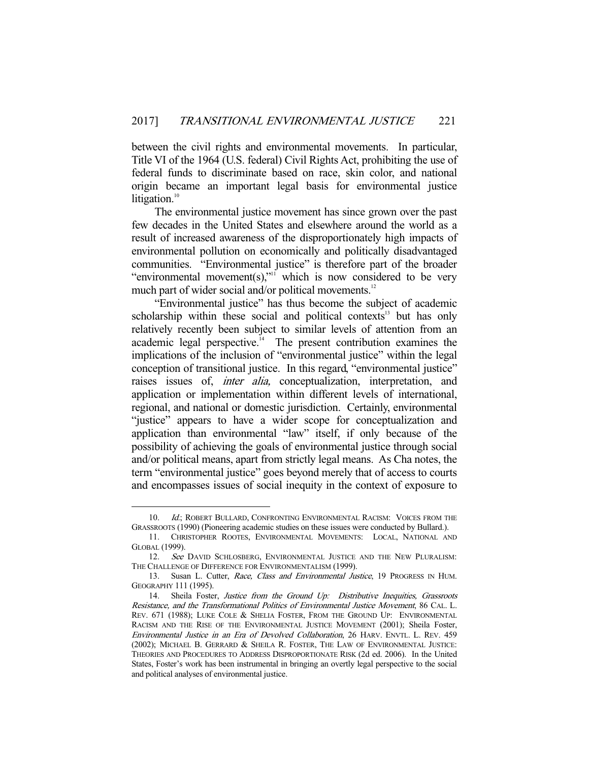between the civil rights and environmental movements. In particular, Title VI of the 1964 (U.S. federal) Civil Rights Act, prohibiting the use of federal funds to discriminate based on race, skin color, and national origin became an important legal basis for environmental justice litigation. $10$ 

 The environmental justice movement has since grown over the past few decades in the United States and elsewhere around the world as a result of increased awareness of the disproportionately high impacts of environmental pollution on economically and politically disadvantaged communities. "Environmental justice" is therefore part of the broader "environmental movement(s),"<sup>11</sup> which is now considered to be very much part of wider social and/or political movements.<sup>12</sup>

 "Environmental justice" has thus become the subject of academic scholarship within these social and political contexts<sup>13</sup> but has only relatively recently been subject to similar levels of attention from an academic legal perspective. $14$  The present contribution examines the implications of the inclusion of "environmental justice" within the legal conception of transitional justice. In this regard, "environmental justice" raises issues of, *inter alia*, conceptualization, interpretation, and application or implementation within different levels of international, regional, and national or domestic jurisdiction. Certainly, environmental "justice" appears to have a wider scope for conceptualization and application than environmental "law" itself, if only because of the possibility of achieving the goals of environmental justice through social and/or political means, apart from strictly legal means. As Cha notes, the term "environmental justice" goes beyond merely that of access to courts and encompasses issues of social inequity in the context of exposure to

<sup>10.</sup> Id.; ROBERT BULLARD, CONFRONTING ENVIRONMENTAL RACISM: VOICES FROM THE GRASSROOTS (1990) (Pioneering academic studies on these issues were conducted by Bullard.).

 <sup>11.</sup> CHRISTOPHER ROOTES, ENVIRONMENTAL MOVEMENTS: LOCAL, NATIONAL AND GLOBAL (1999).

<sup>12.</sup> See DAVID SCHLOSBERG, ENVIRONMENTAL JUSTICE AND THE NEW PLURALISM: THE CHALLENGE OF DIFFERENCE FOR ENVIRONMENTALISM (1999).

<sup>13.</sup> Susan L. Cutter, Race, Class and Environmental Justice, 19 PROGRESS IN HUM. GEOGRAPHY 111 (1995).

 <sup>14.</sup> Sheila Foster, Justice from the Ground Up: Distributive Inequities, Grassroots Resistance, and the Transformational Politics of Environmental Justice Movement, 86 CAL. L. REV. 671 (1988); LUKE COLE & SHELIA FOSTER, FROM THE GROUND UP: ENVIRONMENTAL RACISM AND THE RISE OF THE ENVIRONMENTAL JUSTICE MOVEMENT (2001); Sheila Foster, Environmental Justice in an Era of Devolved Collaboration, 26 HARV. ENVTL. L. REV. 459 (2002); MICHAEL B. GERRARD & SHEILA R. FOSTER, THE LAW OF ENVIRONMENTAL JUSTICE: THEORIES AND PROCEDURES TO ADDRESS DISPROPORTIONATE RISK (2d ed. 2006). In the United States, Foster's work has been instrumental in bringing an overtly legal perspective to the social and political analyses of environmental justice.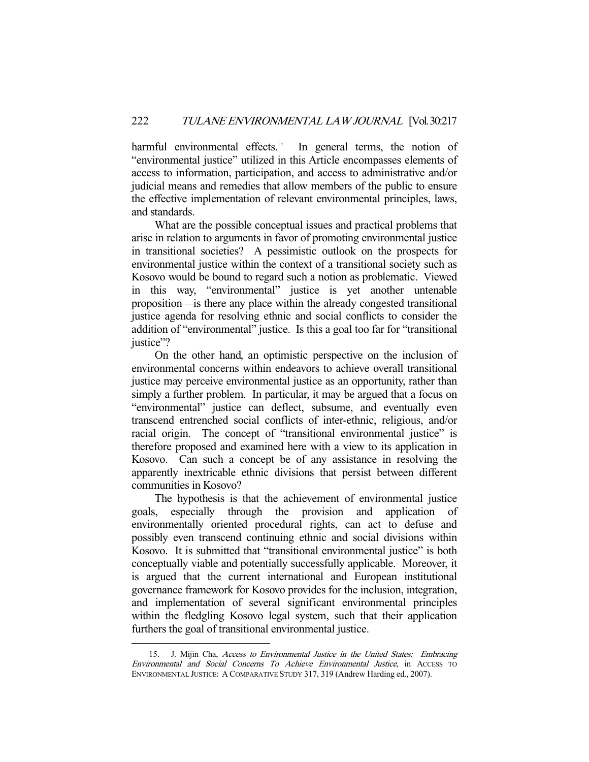harmful environmental effects.<sup>15</sup> In general terms, the notion of "environmental justice" utilized in this Article encompasses elements of access to information, participation, and access to administrative and/or judicial means and remedies that allow members of the public to ensure the effective implementation of relevant environmental principles, laws, and standards.

 What are the possible conceptual issues and practical problems that arise in relation to arguments in favor of promoting environmental justice in transitional societies? A pessimistic outlook on the prospects for environmental justice within the context of a transitional society such as Kosovo would be bound to regard such a notion as problematic. Viewed in this way, "environmental" justice is yet another untenable proposition—is there any place within the already congested transitional justice agenda for resolving ethnic and social conflicts to consider the addition of "environmental" justice. Is this a goal too far for "transitional justice"?

 On the other hand, an optimistic perspective on the inclusion of environmental concerns within endeavors to achieve overall transitional justice may perceive environmental justice as an opportunity, rather than simply a further problem. In particular, it may be argued that a focus on "environmental" justice can deflect, subsume, and eventually even transcend entrenched social conflicts of inter-ethnic, religious, and/or racial origin. The concept of "transitional environmental justice" is therefore proposed and examined here with a view to its application in Kosovo. Can such a concept be of any assistance in resolving the apparently inextricable ethnic divisions that persist between different communities in Kosovo?

 The hypothesis is that the achievement of environmental justice goals, especially through the provision and application of environmentally oriented procedural rights, can act to defuse and possibly even transcend continuing ethnic and social divisions within Kosovo. It is submitted that "transitional environmental justice" is both conceptually viable and potentially successfully applicable. Moreover, it is argued that the current international and European institutional governance framework for Kosovo provides for the inclusion, integration, and implementation of several significant environmental principles within the fledgling Kosovo legal system, such that their application furthers the goal of transitional environmental justice.

 <sup>15.</sup> J. Mijin Cha, Access to Environmental Justice in the United States: Embracing Environmental and Social Concerns To Achieve Environmental Justice, in ACCESS TO ENVIRONMENTAL JUSTICE: A COMPARATIVE STUDY 317, 319 (Andrew Harding ed., 2007).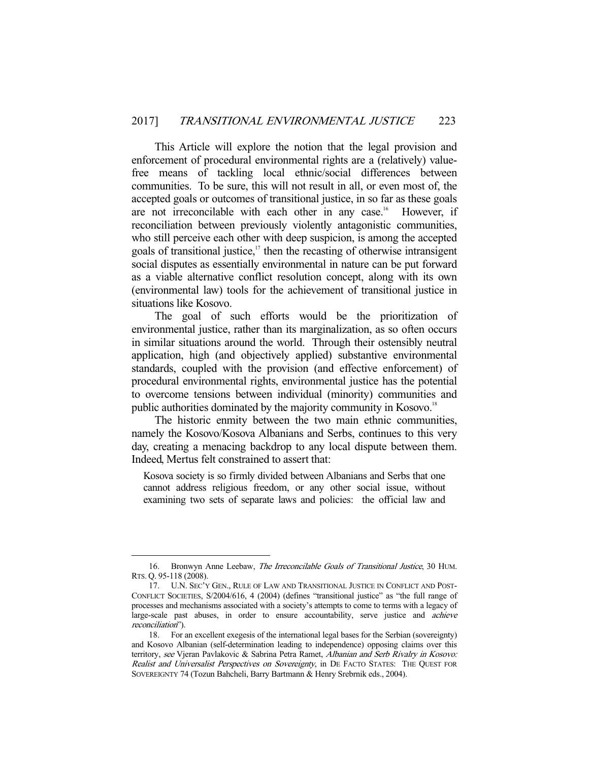This Article will explore the notion that the legal provision and enforcement of procedural environmental rights are a (relatively) valuefree means of tackling local ethnic/social differences between communities. To be sure, this will not result in all, or even most of, the accepted goals or outcomes of transitional justice, in so far as these goals are not irreconcilable with each other in any case.<sup>16</sup> However, if reconciliation between previously violently antagonistic communities, who still perceive each other with deep suspicion, is among the accepted goals of transitional justice, $17$  then the recasting of otherwise intransigent social disputes as essentially environmental in nature can be put forward as a viable alternative conflict resolution concept, along with its own (environmental law) tools for the achievement of transitional justice in situations like Kosovo.

 The goal of such efforts would be the prioritization of environmental justice, rather than its marginalization, as so often occurs in similar situations around the world. Through their ostensibly neutral application, high (and objectively applied) substantive environmental standards, coupled with the provision (and effective enforcement) of procedural environmental rights, environmental justice has the potential to overcome tensions between individual (minority) communities and public authorities dominated by the majority community in Kosovo.<sup>18</sup>

 The historic enmity between the two main ethnic communities, namely the Kosovo/Kosova Albanians and Serbs, continues to this very day, creating a menacing backdrop to any local dispute between them. Indeed, Mertus felt constrained to assert that:

Kosova society is so firmly divided between Albanians and Serbs that one cannot address religious freedom, or any other social issue, without examining two sets of separate laws and policies: the official law and

<sup>16.</sup> Bronwyn Anne Leebaw, The Irreconcilable Goals of Transitional Justice, 30 HUM. RTS. Q. 95-118 (2008).

 <sup>17.</sup> U.N. SEC'Y GEN., RULE OF LAW AND TRANSITIONAL JUSTICE IN CONFLICT AND POST-CONFLICT SOCIETIES, S/2004/616, 4 (2004) (defines "transitional justice" as "the full range of processes and mechanisms associated with a society's attempts to come to terms with a legacy of large-scale past abuses, in order to ensure accountability, serve justice and achieve reconciliation").

 <sup>18.</sup> For an excellent exegesis of the international legal bases for the Serbian (sovereignty) and Kosovo Albanian (self-determination leading to independence) opposing claims over this territory, see Vjeran Pavlakovic & Sabrina Petra Ramet, Albanian and Serb Rivalry in Kosovo: Realist and Universalist Perspectives on Sovereignty, in DE FACTO STATES: THE QUEST FOR SOVEREIGNTY 74 (Tozun Bahcheli, Barry Bartmann & Henry Srebrnik eds., 2004).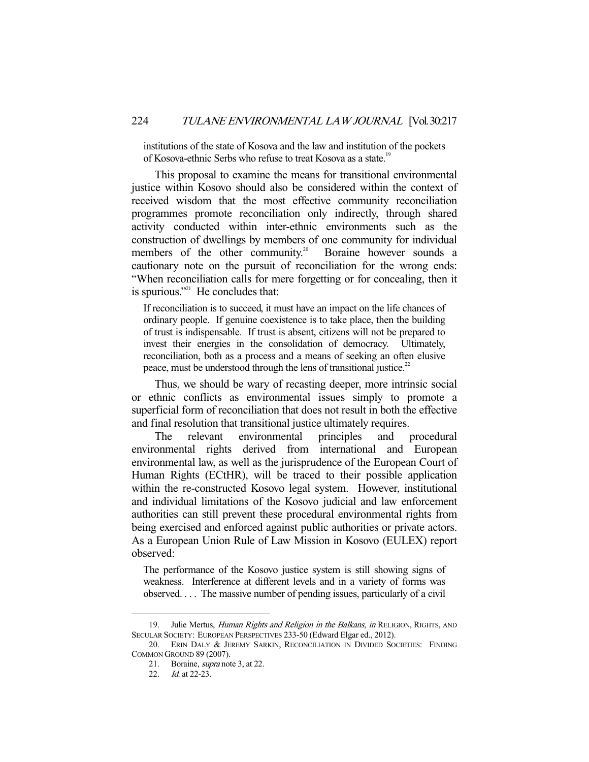institutions of the state of Kosova and the law and institution of the pockets of Kosova-ethnic Serbs who refuse to treat Kosova as a state.<sup>19</sup>

 This proposal to examine the means for transitional environmental justice within Kosovo should also be considered within the context of received wisdom that the most effective community reconciliation programmes promote reconciliation only indirectly, through shared activity conducted within inter-ethnic environments such as the construction of dwellings by members of one community for individual members of the other community.<sup>20</sup> Boraine however sounds a cautionary note on the pursuit of reconciliation for the wrong ends: "When reconciliation calls for mere forgetting or for concealing, then it is spurious."<sup> $21$ </sup> He concludes that:

If reconciliation is to succeed, it must have an impact on the life chances of ordinary people. If genuine coexistence is to take place, then the building of trust is indispensable. If trust is absent, citizens will not be prepared to invest their energies in the consolidation of democracy. Ultimately, reconciliation, both as a process and a means of seeking an often elusive peace, must be understood through the lens of transitional justice.<sup>22</sup>

 Thus, we should be wary of recasting deeper, more intrinsic social or ethnic conflicts as environmental issues simply to promote a superficial form of reconciliation that does not result in both the effective and final resolution that transitional justice ultimately requires.

 The relevant environmental principles and procedural environmental rights derived from international and European environmental law, as well as the jurisprudence of the European Court of Human Rights (ECtHR), will be traced to their possible application within the re-constructed Kosovo legal system. However, institutional and individual limitations of the Kosovo judicial and law enforcement authorities can still prevent these procedural environmental rights from being exercised and enforced against public authorities or private actors. As a European Union Rule of Law Mission in Kosovo (EULEX) report observed:

The performance of the Kosovo justice system is still showing signs of weakness. Interference at different levels and in a variety of forms was observed. . . . The massive number of pending issues, particularly of a civil

<sup>19.</sup> Julie Mertus, Human Rights and Religion in the Balkans, in RELIGION, RIGHTS, AND SECULAR SOCIETY: EUROPEAN PERSPECTIVES 233-50 (Edward Elgar ed., 2012).

<sup>20.</sup> ERIN DALY & JEREMY SARKIN, RECONCILIATION IN DIVIDED SOCIETIES: FINDING COMMON GROUND 89 (2007).

 <sup>21.</sup> Boraine, supra note 3, at 22.

 <sup>22.</sup> Id. at 22-23.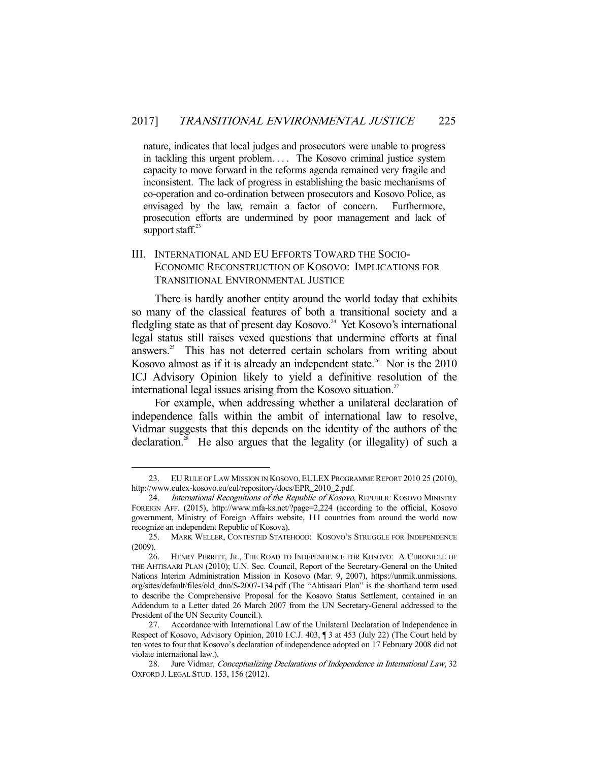nature, indicates that local judges and prosecutors were unable to progress in tackling this urgent problem. . . . The Kosovo criminal justice system capacity to move forward in the reforms agenda remained very fragile and inconsistent. The lack of progress in establishing the basic mechanisms of co-operation and co-ordination between prosecutors and Kosovo Police, as envisaged by the law, remain a factor of concern. Furthermore, prosecution efforts are undermined by poor management and lack of support staff. $23$ 

## III. INTERNATIONAL AND EU EFFORTS TOWARD THE SOCIO-ECONOMIC RECONSTRUCTION OF KOSOVO: IMPLICATIONS FOR TRANSITIONAL ENVIRONMENTAL JUSTICE

 There is hardly another entity around the world today that exhibits so many of the classical features of both a transitional society and a fledgling state as that of present day Kosovo.<sup>24</sup> Yet Kosovo's international legal status still raises vexed questions that undermine efforts at final answers.25 This has not deterred certain scholars from writing about Kosovo almost as if it is already an independent state.<sup>26</sup> Nor is the  $2010$ ICJ Advisory Opinion likely to yield a definitive resolution of the international legal issues arising from the Kosovo situation.<sup>27</sup>

 For example, when addressing whether a unilateral declaration of independence falls within the ambit of international law to resolve, Vidmar suggests that this depends on the identity of the authors of the declaration.28 He also argues that the legality (or illegality) of such a

 <sup>23.</sup> EU RULE OF LAW MISSION IN KOSOVO, EULEX PROGRAMME REPORT 2010 25 (2010), http://www.eulex-kosovo.eu/eul/repository/docs/EPR\_2010\_2.pdf.

<sup>24.</sup> International Recognitions of the Republic of Kosovo, REPUBLIC KOSOVO MINISTRY FOREIGN AFF. (2015), http://www.mfa-ks.net/?page=2,224 (according to the official, Kosovo government, Ministry of Foreign Affairs website, 111 countries from around the world now recognize an independent Republic of Kosova).

 <sup>25.</sup> MARK WELLER, CONTESTED STATEHOOD: KOSOVO'S STRUGGLE FOR INDEPENDENCE (2009).

 <sup>26.</sup> HENRY PERRITT, JR., THE ROAD TO INDEPENDENCE FOR KOSOVO: A CHRONICLE OF THE AHTISAARI PLAN (2010); U.N. Sec. Council, Report of the Secretary-General on the United Nations Interim Administration Mission in Kosovo (Mar. 9, 2007), https://unmik.unmissions. org/sites/default/files/old\_dnn/S-2007-134.pdf (The "Ahtisaari Plan" is the shorthand term used to describe the Comprehensive Proposal for the Kosovo Status Settlement, contained in an Addendum to a Letter dated 26 March 2007 from the UN Secretary-General addressed to the President of the UN Security Council.).

 <sup>27.</sup> Accordance with International Law of the Unilateral Declaration of Independence in Respect of Kosovo, Advisory Opinion, 2010 I.C.J. 403, ¶ 3 at 453 (July 22) (The Court held by ten votes to four that Kosovo's declaration of independence adopted on 17 February 2008 did not violate international law.).

 <sup>28.</sup> Jure Vidmar, Conceptualizing Declarations of Independence in International Law, 32 OXFORD J. LEGAL STUD. 153, 156 (2012).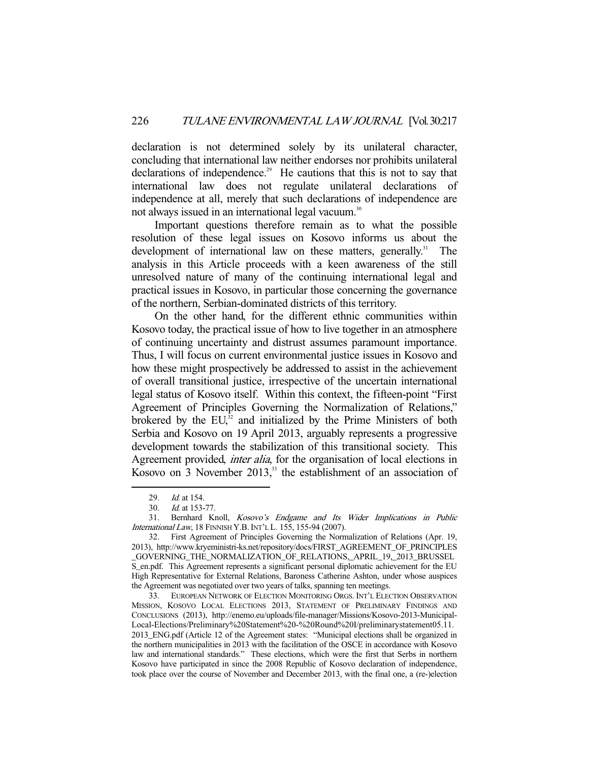declaration is not determined solely by its unilateral character, concluding that international law neither endorses nor prohibits unilateral declarations of independence.<sup>29</sup> He cautions that this is not to say that international law does not regulate unilateral declarations of independence at all, merely that such declarations of independence are not always issued in an international legal vacuum.<sup>30</sup>

 Important questions therefore remain as to what the possible resolution of these legal issues on Kosovo informs us about the development of international law on these matters, generally.<sup>31</sup> The analysis in this Article proceeds with a keen awareness of the still unresolved nature of many of the continuing international legal and practical issues in Kosovo, in particular those concerning the governance of the northern, Serbian-dominated districts of this territory.

 On the other hand, for the different ethnic communities within Kosovo today, the practical issue of how to live together in an atmosphere of continuing uncertainty and distrust assumes paramount importance. Thus, I will focus on current environmental justice issues in Kosovo and how these might prospectively be addressed to assist in the achievement of overall transitional justice, irrespective of the uncertain international legal status of Kosovo itself. Within this context, the fifteen-point "First Agreement of Principles Governing the Normalization of Relations," brokered by the  $EU<sub>32</sub>$  and initialized by the Prime Ministers of both Serbia and Kosovo on 19 April 2013, arguably represents a progressive development towards the stabilization of this transitional society. This Agreement provided, *inter alia*, for the organisation of local elections in Kosovo on  $\overline{3}$  November 2013,<sup>33</sup> the establishment of an association of

<sup>29.</sup> *Id.* at 154.

 <sup>30.</sup> Id. at 153-77.

 <sup>31.</sup> Bernhard Knoll, Kosovo's Endgame and Its Wider Implications in Public International Law, 18 FINNISH Y.B.INT'L L. 155, 155-94 (2007).

 <sup>32.</sup> First Agreement of Principles Governing the Normalization of Relations (Apr. 19, 2013), http://www.kryeministri-ks.net/repository/docs/FIRST\_AGREEMENT\_OF\_PRINCIPLES \_GOVERNING\_THE\_NORMALIZATION\_OF\_RELATIONS,\_APRIL\_19,\_2013\_BRUSSEL S\_en.pdf. This Agreement represents a significant personal diplomatic achievement for the EU High Representative for External Relations, Baroness Catherine Ashton, under whose auspices the Agreement was negotiated over two years of talks, spanning ten meetings.

 <sup>33.</sup> EUROPEAN NETWORK OF ELECTION MONITORING ORGS. INT'L ELECTION OBSERVATION MISSION, KOSOVO LOCAL ELECTIONS 2013, STATEMENT OF PRELIMINARY FINDINGS AND CONCLUSIONS (2013), http://enemo.eu/uploads/file-manager/Missions/Kosovo-2013-Municipal-Local-Elections/Preliminary%20Statement%20-%20Round%20I/preliminarystatement05.11. 2013\_ENG.pdf (Article 12 of the Agreement states: "Municipal elections shall be organized in the northern municipalities in 2013 with the facilitation of the OSCE in accordance with Kosovo law and international standards." These elections, which were the first that Serbs in northern Kosovo have participated in since the 2008 Republic of Kosovo declaration of independence, took place over the course of November and December 2013, with the final one, a (re-)election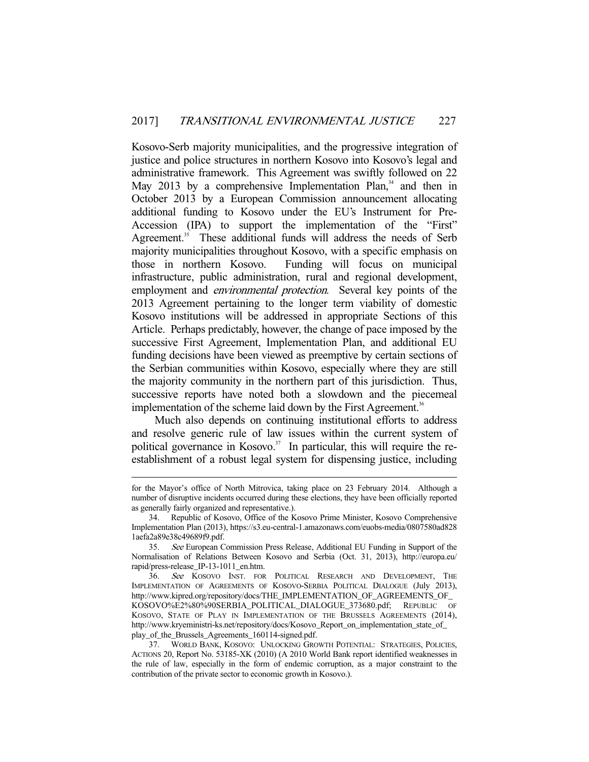Kosovo-Serb majority municipalities, and the progressive integration of justice and police structures in northern Kosovo into Kosovo's legal and administrative framework. This Agreement was swiftly followed on 22 May 2013 by a comprehensive Implementation Plan, $34$  and then in October 2013 by a European Commission announcement allocating additional funding to Kosovo under the EU's Instrument for Pre-Accession (IPA) to support the implementation of the "First" Agreement.<sup>35</sup> These additional funds will address the needs of Serb majority municipalities throughout Kosovo, with a specific emphasis on those in northern Kosovo. Funding will focus on municipal infrastructure, public administration, rural and regional development, employment and *environmental protection*. Several key points of the 2013 Agreement pertaining to the longer term viability of domestic Kosovo institutions will be addressed in appropriate Sections of this Article. Perhaps predictably, however, the change of pace imposed by the successive First Agreement, Implementation Plan, and additional EU funding decisions have been viewed as preemptive by certain sections of the Serbian communities within Kosovo, especially where they are still the majority community in the northern part of this jurisdiction. Thus, successive reports have noted both a slowdown and the piecemeal implementation of the scheme laid down by the First Agreement.<sup>36</sup>

 Much also depends on continuing institutional efforts to address and resolve generic rule of law issues within the current system of political governance in Kosovo.<sup>37</sup> In particular, this will require the reestablishment of a robust legal system for dispensing justice, including

for the Mayor's office of North Mitrovica, taking place on 23 February 2014. Although a number of disruptive incidents occurred during these elections, they have been officially reported as generally fairly organized and representative.).

 <sup>34.</sup> Republic of Kosovo, Office of the Kosovo Prime Minister, Kosovo Comprehensive Implementation Plan (2013), https://s3.eu-central-1.amazonaws.com/euobs-media/0807580ad828 1aefa2a89e38c49689f9.pdf.

 <sup>35.</sup> See European Commission Press Release, Additional EU Funding in Support of the Normalisation of Relations Between Kosovo and Serbia (Oct. 31, 2013), http://europa.eu/ rapid/press-release\_IP-13-1011\_en.htm.

 <sup>36.</sup> See KOSOVO INST. FOR POLITICAL RESEARCH AND DEVELOPMENT, THE IMPLEMENTATION OF AGREEMENTS OF KOSOVO-SERBIA POLITICAL DIALOGUE (July 2013), http://www.kipred.org/repository/docs/THE\_IMPLEMENTATION\_OF\_AGREEMENTS\_OF\_ KOSOVO%E2%80%90SERBIA\_POLITICAL\_DIALOGUE\_373680.pdf; REPUBLIC OF KOSOVO, STATE OF PLAY IN IMPLEMENTATION OF THE BRUSSELS AGREEMENTS (2014), http://www.kryeministri-ks.net/repository/docs/Kosovo\_Report\_on\_implementation\_state\_of\_ play\_of\_the\_Brussels\_Agreements\_160114-signed.pdf.

 <sup>37.</sup> WORLD BANK, KOSOVO: UNLOCKING GROWTH POTENTIAL: STRATEGIES, POLICIES, ACTIONS 20, Report No. 53185-XK (2010) (A 2010 World Bank report identified weaknesses in the rule of law, especially in the form of endemic corruption, as a major constraint to the contribution of the private sector to economic growth in Kosovo.).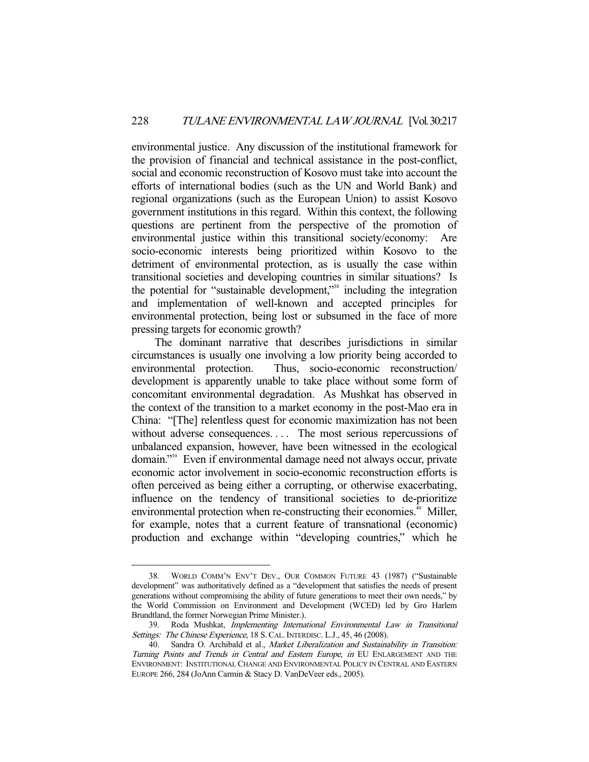environmental justice. Any discussion of the institutional framework for the provision of financial and technical assistance in the post-conflict, social and economic reconstruction of Kosovo must take into account the efforts of international bodies (such as the UN and World Bank) and regional organizations (such as the European Union) to assist Kosovo government institutions in this regard. Within this context, the following questions are pertinent from the perspective of the promotion of environmental justice within this transitional society/economy: Are socio-economic interests being prioritized within Kosovo to the detriment of environmental protection, as is usually the case within transitional societies and developing countries in similar situations? Is the potential for "sustainable development,"38 including the integration and implementation of well-known and accepted principles for environmental protection, being lost or subsumed in the face of more pressing targets for economic growth?

 The dominant narrative that describes jurisdictions in similar circumstances is usually one involving a low priority being accorded to environmental protection. Thus, socio-economic reconstruction/ development is apparently unable to take place without some form of concomitant environmental degradation. As Mushkat has observed in the context of the transition to a market economy in the post-Mao era in China: "[The] relentless quest for economic maximization has not been without adverse consequences.... The most serious repercussions of unbalanced expansion, however, have been witnessed in the ecological domain."39 Even if environmental damage need not always occur, private economic actor involvement in socio-economic reconstruction efforts is often perceived as being either a corrupting, or otherwise exacerbating, influence on the tendency of transitional societies to de-prioritize environmental protection when re-constructing their economies.<sup>40</sup> Miller, for example, notes that a current feature of transnational (economic) production and exchange within "developing countries," which he

 <sup>38.</sup> WORLD COMM'N ENV'T DEV., OUR COMMON FUTURE 43 (1987) ("Sustainable development" was authoritatively defined as a "development that satisfies the needs of present generations without compromising the ability of future generations to meet their own needs," by the World Commission on Environment and Development (WCED) led by Gro Harlem Brundtland, the former Norwegian Prime Minister.).

 <sup>39.</sup> Roda Mushkat, Implementing International Environmental Law in Transitional Settings: The Chinese Experience, 18 S. CAL. INTERDISC. L.J., 45, 46 (2008).

<sup>40.</sup> Sandra O. Archibald et al., Market Liberalization and Sustainability in Transition: Turning Points and Trends in Central and Eastern Europe, in EU ENLARGEMENT AND THE ENVIRONMENT: INSTITUTIONAL CHANGE AND ENVIRONMENTAL POLICY IN CENTRAL AND EASTERN EUROPE 266, 284 (JoAnn Carmin & Stacy D. VanDeVeer eds., 2005).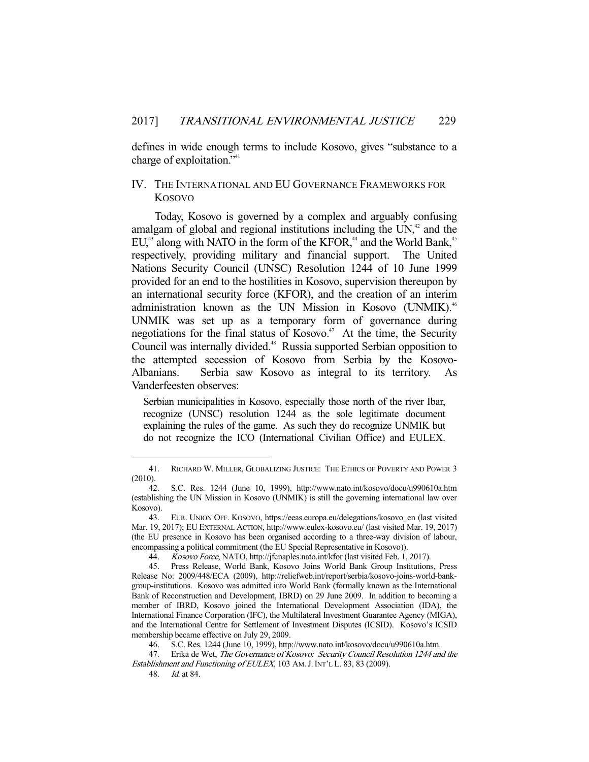defines in wide enough terms to include Kosovo, gives "substance to a charge of exploitation."41

## IV. THE INTERNATIONAL AND EU GOVERNANCE FRAMEWORKS FOR KOSOVO

 Today, Kosovo is governed by a complex and arguably confusing amalgam of global and regional institutions including the  $UN<sub>1</sub><sup>42</sup>$  and the  $EU<sup>43</sup>$  along with NATO in the form of the KFOR,<sup>44</sup> and the World Bank,<sup>45</sup> respectively, providing military and financial support. The United Nations Security Council (UNSC) Resolution 1244 of 10 June 1999 provided for an end to the hostilities in Kosovo, supervision thereupon by an international security force (KFOR), and the creation of an interim administration known as the UN Mission in Kosovo (UNMIK).<sup>46</sup> UNMIK was set up as a temporary form of governance during negotiations for the final status of Kosovo.<sup> $47$ </sup> At the time, the Security Council was internally divided.<sup>48</sup> Russia supported Serbian opposition to the attempted secession of Kosovo from Serbia by the Kosovo-Albanians. Serbia saw Kosovo as integral to its territory. As Vanderfeesten observes:

Serbian municipalities in Kosovo, especially those north of the river Ibar, recognize (UNSC) resolution 1244 as the sole legitimate document explaining the rules of the game. As such they do recognize UNMIK but do not recognize the ICO (International Civilian Office) and EULEX.

 <sup>41.</sup> RICHARD W. MILLER, GLOBALIZING JUSTICE: THE ETHICS OF POVERTY AND POWER 3 (2010).

 <sup>42.</sup> S.C. Res. 1244 (June 10, 1999), http://www.nato.int/kosovo/docu/u990610a.htm (establishing the UN Mission in Kosovo (UNMIK) is still the governing international law over Kosovo).

 <sup>43.</sup> EUR. UNION OFF. KOSOVO, https://eeas.europa.eu/delegations/kosovo\_en (last visited Mar. 19, 2017); EU EXTERNAL ACTION, http://www.eulex-kosovo.eu/ (last visited Mar. 19, 2017) (the EU presence in Kosovo has been organised according to a three-way division of labour, encompassing a political commitment (the EU Special Representative in Kosovo)).

<sup>44.</sup> Kosovo Force, NATO, http://jfcnaples.nato.int/kfor (last visited Feb. 1, 2017).

 <sup>45.</sup> Press Release, World Bank, Kosovo Joins World Bank Group Institutions, Press Release No: 2009/448/ECA (2009), http://reliefweb.int/report/serbia/kosovo-joins-world-bankgroup-institutions. Kosovo was admitted into World Bank (formally known as the International Bank of Reconstruction and Development, IBRD) on 29 June 2009. In addition to becoming a member of IBRD, Kosovo joined the International Development Association (IDA), the International Finance Corporation (IFC), the Multilateral Investment Guarantee Agency (MIGA), and the International Centre for Settlement of Investment Disputes (ICSID). Kosovo's ICSID membership became effective on July 29, 2009.

 <sup>46.</sup> S.C. Res. 1244 (June 10, 1999), http://www.nato.int/kosovo/docu/u990610a.htm.

<sup>47.</sup> Erika de Wet, The Governance of Kosovo: Security Council Resolution 1244 and the Establishment and Functioning of EULEX, 103 AM.J.INT'L L. 83, 83 (2009).

 <sup>48.</sup> Id. at 84.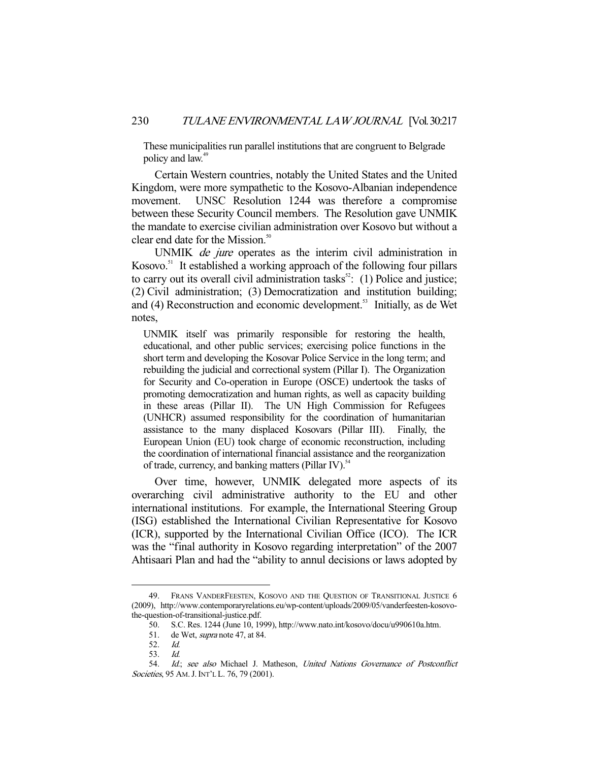These municipalities run parallel institutions that are congruent to Belgrade policy and law.<sup>49</sup>

 Certain Western countries, notably the United States and the United Kingdom, were more sympathetic to the Kosovo-Albanian independence movement. UNSC Resolution 1244 was therefore a compromise between these Security Council members. The Resolution gave UNMIK the mandate to exercise civilian administration over Kosovo but without a clear end date for the Mission.<sup>50</sup>

UNMIK *de jure* operates as the interim civil administration in Kosovo. $51$  It established a working approach of the following four pillars to carry out its overall civil administration tasks<sup>52</sup>: (1) Police and justice; (2) Civil administration; (3) Democratization and institution building; and (4) Reconstruction and economic development.<sup>53</sup> Initially, as de Wet notes,

UNMIK itself was primarily responsible for restoring the health, educational, and other public services; exercising police functions in the short term and developing the Kosovar Police Service in the long term; and rebuilding the judicial and correctional system (Pillar I). The Organization for Security and Co-operation in Europe (OSCE) undertook the tasks of promoting democratization and human rights, as well as capacity building in these areas (Pillar II). The UN High Commission for Refugees (UNHCR) assumed responsibility for the coordination of humanitarian assistance to the many displaced Kosovars (Pillar III). Finally, the European Union (EU) took charge of economic reconstruction, including the coordination of international financial assistance and the reorganization of trade, currency, and banking matters (Pillar IV).<sup>54</sup>

 Over time, however, UNMIK delegated more aspects of its overarching civil administrative authority to the EU and other international institutions. For example, the International Steering Group (ISG) established the International Civilian Representative for Kosovo (ICR), supported by the International Civilian Office (ICO). The ICR was the "final authority in Kosovo regarding interpretation" of the 2007 Ahtisaari Plan and had the "ability to annul decisions or laws adopted by

 <sup>49.</sup> FRANS VANDERFEESTEN, KOSOVO AND THE QUESTION OF TRANSITIONAL JUSTICE 6 (2009), http://www.contemporaryrelations.eu/wp-content/uploads/2009/05/vanderfeesten-kosovothe-question-of-transitional-justice.pdf.

 <sup>50.</sup> S.C. Res. 1244 (June 10, 1999), http://www.nato.int/kosovo/docu/u990610a.htm.

<sup>51.</sup> de Wet, *supra* note 47, at 84.<br>52. *Id.* 

 <sup>52.</sup> Id.

 <sup>53.</sup> Id.

 <sup>54.</sup> Id.; see also Michael J. Matheson, United Nations Governance of Postconflict Societies, 95 AM. J. INT'L L. 76, 79 (2001).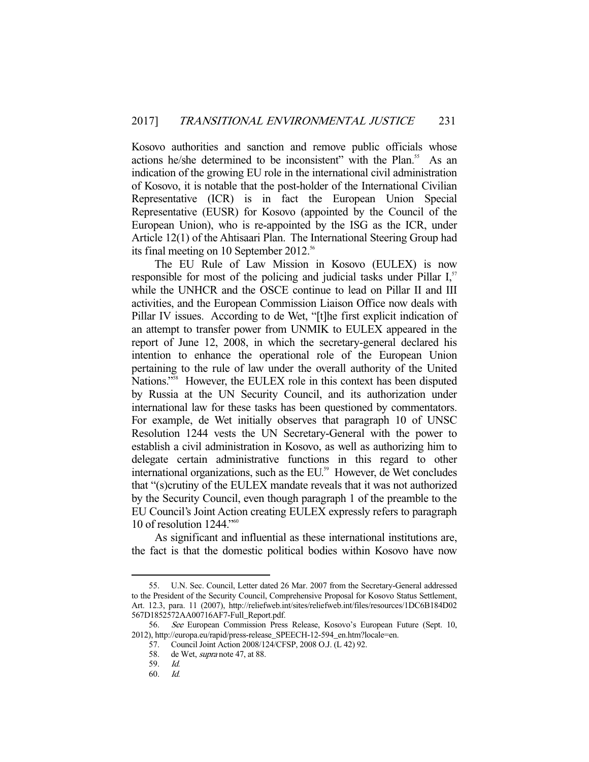Kosovo authorities and sanction and remove public officials whose actions he/she determined to be inconsistent" with the Plan.<sup>55</sup> As an indication of the growing EU role in the international civil administration of Kosovo, it is notable that the post-holder of the International Civilian Representative (ICR) is in fact the European Union Special Representative (EUSR) for Kosovo (appointed by the Council of the European Union), who is re-appointed by the ISG as the ICR, under Article 12(1) of the Ahtisaari Plan. The International Steering Group had its final meeting on 10 September 2012.<sup>56</sup>

 The EU Rule of Law Mission in Kosovo (EULEX) is now responsible for most of the policing and judicial tasks under Pillar  $I<sub>s</sub>$ <sup>57</sup> while the UNHCR and the OSCE continue to lead on Pillar II and III activities, and the European Commission Liaison Office now deals with Pillar IV issues. According to de Wet, "[t]he first explicit indication of an attempt to transfer power from UNMIK to EULEX appeared in the report of June 12, 2008, in which the secretary-general declared his intention to enhance the operational role of the European Union pertaining to the rule of law under the overall authority of the United Nations."<sup>58</sup> However, the EULEX role in this context has been disputed by Russia at the UN Security Council, and its authorization under international law for these tasks has been questioned by commentators. For example, de Wet initially observes that paragraph 10 of UNSC Resolution 1244 vests the UN Secretary-General with the power to establish a civil administration in Kosovo, as well as authorizing him to delegate certain administrative functions in this regard to other international organizations, such as the EU.<sup>59</sup> However, de Wet concludes that "(s)crutiny of the EULEX mandate reveals that it was not authorized by the Security Council, even though paragraph 1 of the preamble to the EU Council's Joint Action creating EULEX expressly refers to paragraph 10 of resolution 1244."<sup>60</sup>

 As significant and influential as these international institutions are, the fact is that the domestic political bodies within Kosovo have now

 <sup>55.</sup> U.N. Sec. Council, Letter dated 26 Mar. 2007 from the Secretary-General addressed to the President of the Security Council, Comprehensive Proposal for Kosovo Status Settlement, Art. 12.3, para. 11 (2007), http://reliefweb.int/sites/reliefweb.int/files/resources/1DC6B184D02 567D1852572AA00716AF7-Full\_Report.pdf.

 <sup>56.</sup> See European Commission Press Release, Kosovo's European Future (Sept. 10, 2012), http://europa.eu/rapid/press-release\_SPEECH-12-594\_en.htm?locale=en.

 <sup>57.</sup> Council Joint Action 2008/124/CFSP, 2008 O.J. (L 42) 92.

<sup>58.</sup> de Wet, *supra* note 47, at 88.

 <sup>59.</sup> Id.

 <sup>60.</sup> Id.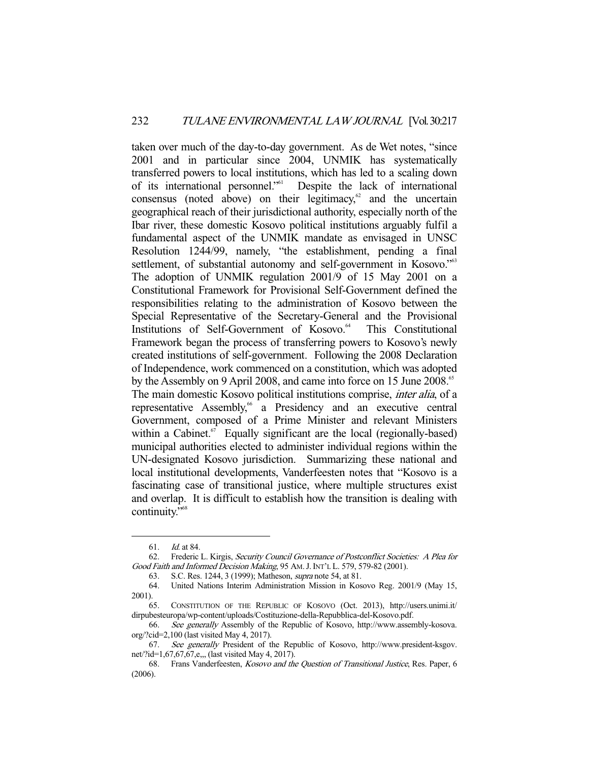taken over much of the day-to-day government. As de Wet notes, "since 2001 and in particular since 2004, UNMIK has systematically transferred powers to local institutions, which has led to a scaling down of its international personnel."61 Despite the lack of international consensus (noted above) on their legitimacy, $62$  and the uncertain geographical reach of their jurisdictional authority, especially north of the Ibar river, these domestic Kosovo political institutions arguably fulfil a fundamental aspect of the UNMIK mandate as envisaged in UNSC Resolution 1244/99, namely, "the establishment, pending a final settlement, of substantial autonomy and self-government in Kosovo."<sup>63</sup> The adoption of UNMIK regulation 2001/9 of 15 May 2001 on a Constitutional Framework for Provisional Self-Government defined the responsibilities relating to the administration of Kosovo between the Special Representative of the Secretary-General and the Provisional Institutions of Self-Government of Kosovo.<sup>64</sup> This Constitutional Framework began the process of transferring powers to Kosovo's newly created institutions of self-government. Following the 2008 Declaration of Independence, work commenced on a constitution, which was adopted by the Assembly on 9 April 2008, and came into force on 15 June 2008.<sup>65</sup> The main domestic Kosovo political institutions comprise, inter alia, of a representative Assembly,<sup>66</sup> a Presidency and an executive central Government, composed of a Prime Minister and relevant Ministers within a Cabinet.<sup>67</sup> Equally significant are the local (regionally-based) municipal authorities elected to administer individual regions within the UN-designated Kosovo jurisdiction. Summarizing these national and local institutional developments, Vanderfeesten notes that "Kosovo is a fascinating case of transitional justice, where multiple structures exist and overlap. It is difficult to establish how the transition is dealing with continuity."<sup>68</sup>

 <sup>61.</sup> Id. at 84.

 <sup>62.</sup> Frederic L. Kirgis, Security Council Governance of Postconflict Societies: A Plea for Good Faith and Informed Decision Making, 95 AM.J.INT'L L. 579, 579-82 (2001).

 <sup>63.</sup> S.C. Res. 1244, 3 (1999); Matheson, supra note 54, at 81.

 <sup>64.</sup> United Nations Interim Administration Mission in Kosovo Reg. 2001/9 (May 15, 2001).

 <sup>65.</sup> CONSTITUTION OF THE REPUBLIC OF KOSOVO (Oct. 2013), http://users.unimi.it/ dirpubesteuropa/wp-content/uploads/Costituzione-della-Repubblica-del-Kosovo.pdf.

 <sup>66.</sup> See generally Assembly of the Republic of Kosovo, http://www.assembly-kosova. org/?cid=2,100 (last visited May 4, 2017).

<sup>67.</sup> See generally President of the Republic of Kosovo, http://www.president-ksgov. net/?id=1,67,67,67,e,,, (last visited May 4, 2017).

 <sup>68.</sup> Frans Vanderfeesten, Kosovo and the Question of Transitional Justice, Res. Paper, 6 (2006).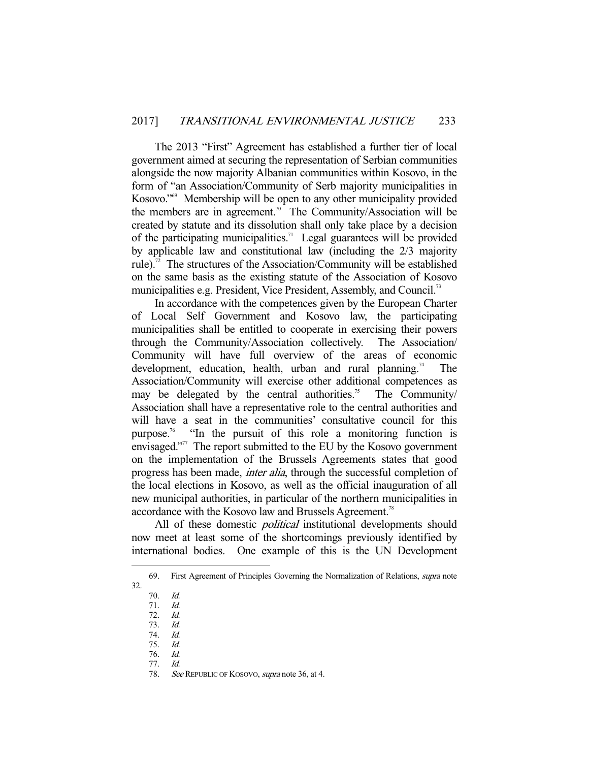The 2013 "First" Agreement has established a further tier of local government aimed at securing the representation of Serbian communities alongside the now majority Albanian communities within Kosovo, in the form of "an Association/Community of Serb majority municipalities in Kosovo."<sup>69</sup> Membership will be open to any other municipality provided the members are in agreement.<sup>70</sup> The Community/Association will be created by statute and its dissolution shall only take place by a decision of the participating municipalities.<sup>71</sup> Legal guarantees will be provided by applicable law and constitutional law (including the 2/3 majority rule).<sup>72</sup> The structures of the Association/Community will be established on the same basis as the existing statute of the Association of Kosovo municipalities e.g. President, Vice President, Assembly, and Council.<sup>73</sup>

 In accordance with the competences given by the European Charter of Local Self Government and Kosovo law, the participating municipalities shall be entitled to cooperate in exercising their powers through the Community/Association collectively. The Association/ Community will have full overview of the areas of economic development, education, health, urban and rural planning.<sup>74</sup> The Association/Community will exercise other additional competences as may be delegated by the central authorities.<sup>75</sup> The Community/ Association shall have a representative role to the central authorities and will have a seat in the communities' consultative council for this purpose.<sup>76</sup> "In the pursuit of this role a monitoring function is envisaged."<sup>77</sup> The report submitted to the EU by the Kosovo government on the implementation of the Brussels Agreements states that good progress has been made, inter alia, through the successful completion of the local elections in Kosovo, as well as the official inauguration of all new municipal authorities, in particular of the northern municipalities in accordance with the Kosovo law and Brussels Agreement.<sup>78</sup>

All of these domestic *political* institutional developments should now meet at least some of the shortcomings previously identified by international bodies. One example of this is the UN Development

 <sup>69.</sup> First Agreement of Principles Governing the Normalization of Relations, supra note

<sup>32.</sup> 

<sup>70.</sup>  $Id.$ <br>71.  $Id.$  $71.$ 

 <sup>72.</sup> Id.

 <sup>73.</sup> Id.

 <sup>74.</sup> Id. 75. Id.

 <sup>76.</sup> Id.

 <sup>77.</sup> Id.

<sup>78.</sup> See REPUBLIC OF KOSOVO, *supra* note 36, at 4.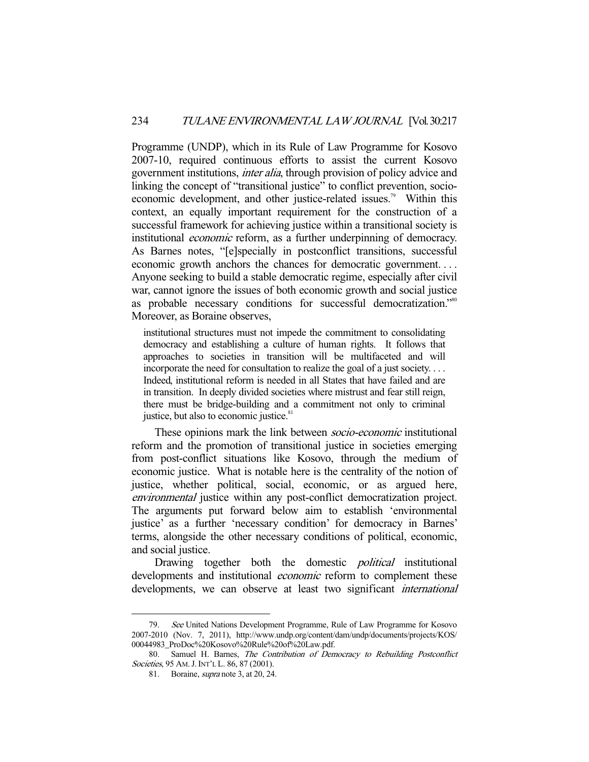Programme (UNDP), which in its Rule of Law Programme for Kosovo 2007-10, required continuous efforts to assist the current Kosovo government institutions, inter alia, through provision of policy advice and linking the concept of "transitional justice" to conflict prevention, socioeconomic development, and other justice-related issues.<sup>79</sup> Within this context, an equally important requirement for the construction of a successful framework for achieving justice within a transitional society is institutional economic reform, as a further underpinning of democracy. As Barnes notes, "[e]specially in postconflict transitions, successful economic growth anchors the chances for democratic government. . . . Anyone seeking to build a stable democratic regime, especially after civil war, cannot ignore the issues of both economic growth and social justice as probable necessary conditions for successful democratization."<sup>80</sup> Moreover, as Boraine observes,

institutional structures must not impede the commitment to consolidating democracy and establishing a culture of human rights. It follows that approaches to societies in transition will be multifaceted and will incorporate the need for consultation to realize the goal of a just society. . . . Indeed, institutional reform is needed in all States that have failed and are in transition. In deeply divided societies where mistrust and fear still reign, there must be bridge-building and a commitment not only to criminal justice, but also to economic justice.<sup>81</sup>

These opinions mark the link between *socio-economic* institutional reform and the promotion of transitional justice in societies emerging from post-conflict situations like Kosovo, through the medium of economic justice. What is notable here is the centrality of the notion of justice, whether political, social, economic, or as argued here, environmental justice within any post-conflict democratization project. The arguments put forward below aim to establish 'environmental justice' as a further 'necessary condition' for democracy in Barnes' terms, alongside the other necessary conditions of political, economic, and social justice.

Drawing together both the domestic *political* institutional developments and institutional *economic* reform to complement these developments, we can observe at least two significant *international* 

 <sup>79.</sup> See United Nations Development Programme, Rule of Law Programme for Kosovo 2007-2010 (Nov. 7, 2011), http://www.undp.org/content/dam/undp/documents/projects/KOS/ 00044983\_ProDoc%20Kosovo%20Rule%20of%20Law.pdf.

<sup>80.</sup> Samuel H. Barnes, The Contribution of Democracy to Rebuilding Postconflict Societies, 95 AM. J. INT'L L. 86, 87 (2001).

 <sup>81.</sup> Boraine, supra note 3, at 20, 24.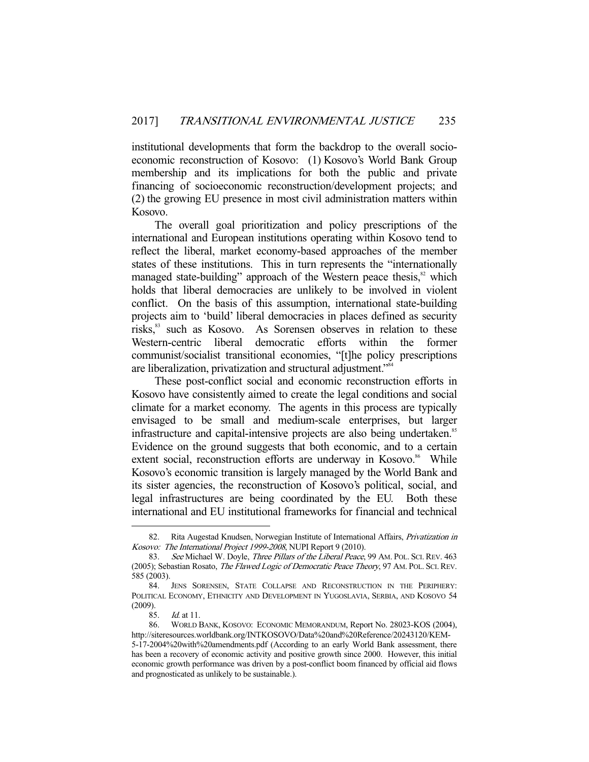institutional developments that form the backdrop to the overall socioeconomic reconstruction of Kosovo: (1) Kosovo's World Bank Group membership and its implications for both the public and private financing of socioeconomic reconstruction/development projects; and (2) the growing EU presence in most civil administration matters within Kosovo.

 The overall goal prioritization and policy prescriptions of the international and European institutions operating within Kosovo tend to reflect the liberal, market economy-based approaches of the member states of these institutions. This in turn represents the "internationally managed state-building" approach of the Western peace thesis,<sup>82</sup> which holds that liberal democracies are unlikely to be involved in violent conflict. On the basis of this assumption, international state-building projects aim to 'build' liberal democracies in places defined as security risks,<sup>83</sup> such as Kosovo. As Sorensen observes in relation to these Western-centric liberal democratic efforts within the former communist/socialist transitional economies, "[t]he policy prescriptions are liberalization, privatization and structural adjustment."84

 These post-conflict social and economic reconstruction efforts in Kosovo have consistently aimed to create the legal conditions and social climate for a market economy. The agents in this process are typically envisaged to be small and medium-scale enterprises, but larger infrastructure and capital-intensive projects are also being undertaken.<sup>85</sup> Evidence on the ground suggests that both economic, and to a certain extent social, reconstruction efforts are underway in Kosovo.<sup>86</sup> While Kosovo's economic transition is largely managed by the World Bank and its sister agencies, the reconstruction of Kosovo's political, social, and legal infrastructures are being coordinated by the EU. Both these international and EU institutional frameworks for financial and technical

 <sup>82.</sup> Rita Augestad Knudsen, Norwegian Institute of International Affairs, Privatization in Kosovo: The International Project 1999-2008, NUPI Report 9 (2010).

<sup>83.</sup> See Michael W. Doyle, Three Pillars of the Liberal Peace, 99 AM. POL. SCI. REV. 463 (2005); Sebastian Rosato, The Flawed Logic of Democratic Peace Theory, 97 AM. POL. SCI. REV. 585 (2003).

 <sup>84.</sup> JENS SORENSEN, STATE COLLAPSE AND RECONSTRUCTION IN THE PERIPHERY: POLITICAL ECONOMY, ETHNICITY AND DEVELOPMENT IN YUGOSLAVIA, SERBIA, AND KOSOVO 54 (2009).

 <sup>85.</sup> Id. at 11.

 <sup>86.</sup> WORLD BANK, KOSOVO: ECONOMIC MEMORANDUM, Report No. 28023-KOS (2004), http://siteresources.worldbank.org/INTKOSOVO/Data%20and%20Reference/20243120/KEM-5-17-2004%20with%20amendments.pdf (According to an early World Bank assessment, there has been a recovery of economic activity and positive growth since 2000. However, this initial economic growth performance was driven by a post-conflict boom financed by official aid flows and prognosticated as unlikely to be sustainable.).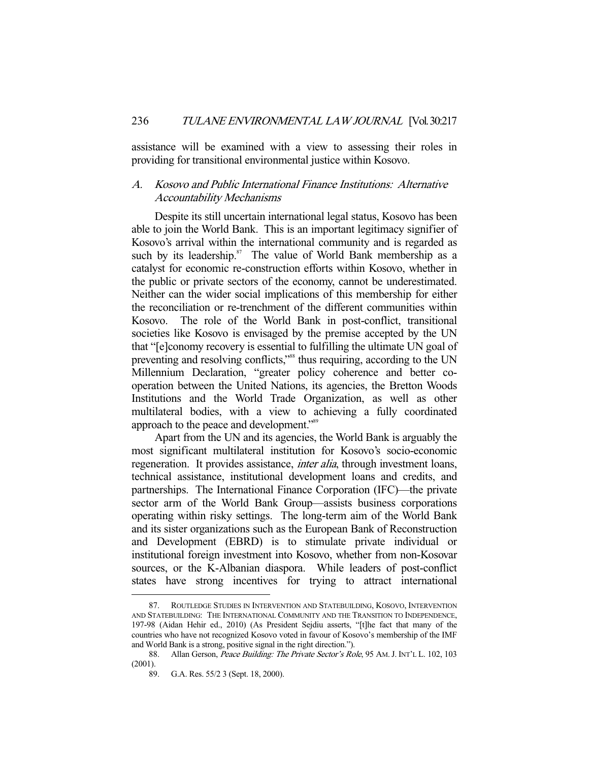assistance will be examined with a view to assessing their roles in providing for transitional environmental justice within Kosovo.

## A. Kosovo and Public International Finance Institutions: Alternative Accountability Mechanisms

 Despite its still uncertain international legal status, Kosovo has been able to join the World Bank. This is an important legitimacy signifier of Kosovo's arrival within the international community and is regarded as such by its leadership. $87$  The value of World Bank membership as a catalyst for economic re-construction efforts within Kosovo, whether in the public or private sectors of the economy, cannot be underestimated. Neither can the wider social implications of this membership for either the reconciliation or re-trenchment of the different communities within Kosovo. The role of the World Bank in post-conflict, transitional societies like Kosovo is envisaged by the premise accepted by the UN that "[e]conomy recovery is essential to fulfilling the ultimate UN goal of preventing and resolving conflicts,"<sup>88</sup> thus requiring, according to the UN Millennium Declaration, "greater policy coherence and better cooperation between the United Nations, its agencies, the Bretton Woods Institutions and the World Trade Organization, as well as other multilateral bodies, with a view to achieving a fully coordinated approach to the peace and development."89

 Apart from the UN and its agencies, the World Bank is arguably the most significant multilateral institution for Kosovo's socio-economic regeneration. It provides assistance, *inter alia*, through investment loans, technical assistance, institutional development loans and credits, and partnerships. The International Finance Corporation (IFC)—the private sector arm of the World Bank Group—assists business corporations operating within risky settings. The long-term aim of the World Bank and its sister organizations such as the European Bank of Reconstruction and Development (EBRD) is to stimulate private individual or institutional foreign investment into Kosovo, whether from non-Kosovar sources, or the K-Albanian diaspora. While leaders of post-conflict states have strong incentives for trying to attract international

 <sup>87.</sup> ROUTLEDGE STUDIES IN INTERVENTION AND STATEBUILDING, KOSOVO, INTERVENTION AND STATEBUILDING: THE INTERNATIONAL COMMUNITY AND THE TRANSITION TO INDEPENDENCE, 197-98 (Aidan Hehir ed., 2010) (As President Sejdiu asserts, "[t]he fact that many of the countries who have not recognized Kosovo voted in favour of Kosovo's membership of the IMF and World Bank is a strong, positive signal in the right direction.").

<sup>88.</sup> Allan Gerson, Peace Building: The Private Sector's Role, 95 AM. J. INT'L L. 102, 103 (2001).

 <sup>89.</sup> G.A. Res. 55/2 3 (Sept. 18, 2000).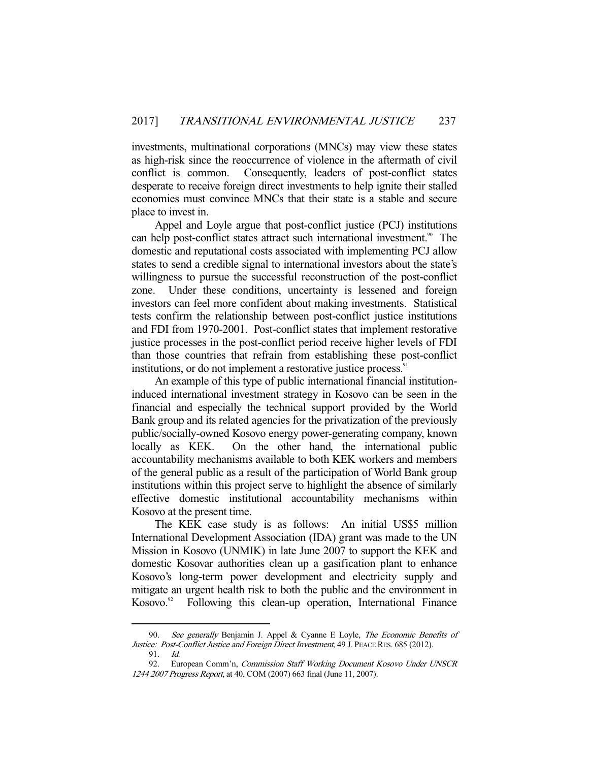investments, multinational corporations (MNCs) may view these states as high-risk since the reoccurrence of violence in the aftermath of civil conflict is common. Consequently, leaders of post-conflict states desperate to receive foreign direct investments to help ignite their stalled economies must convince MNCs that their state is a stable and secure place to invest in.

 Appel and Loyle argue that post-conflict justice (PCJ) institutions can help post-conflict states attract such international investment.<sup>90</sup> The domestic and reputational costs associated with implementing PCJ allow states to send a credible signal to international investors about the state's willingness to pursue the successful reconstruction of the post-conflict zone. Under these conditions, uncertainty is lessened and foreign investors can feel more confident about making investments. Statistical tests confirm the relationship between post-conflict justice institutions and FDI from 1970-2001. Post-conflict states that implement restorative justice processes in the post-conflict period receive higher levels of FDI than those countries that refrain from establishing these post-conflict institutions, or do not implement a restorative justice process.<sup>91</sup>

 An example of this type of public international financial institutioninduced international investment strategy in Kosovo can be seen in the financial and especially the technical support provided by the World Bank group and its related agencies for the privatization of the previously public/socially-owned Kosovo energy power-generating company, known locally as KEK. On the other hand, the international public accountability mechanisms available to both KEK workers and members of the general public as a result of the participation of World Bank group institutions within this project serve to highlight the absence of similarly effective domestic institutional accountability mechanisms within Kosovo at the present time.

 The KEK case study is as follows: An initial US\$5 million International Development Association (IDA) grant was made to the UN Mission in Kosovo (UNMIK) in late June 2007 to support the KEK and domestic Kosovar authorities clean up a gasification plant to enhance Kosovo's long-term power development and electricity supply and mitigate an urgent health risk to both the public and the environment in  $Kosovo.<sup>92</sup>$  Following this clean-up operation, International Finance

See generally Benjamin J. Appel & Cyanne E Loyle, The Economic Benefits of Justice: Post-Conflict Justice and Foreign Direct Investment, 49 J. PEACE RES. 685 (2012).

 <sup>91.</sup> Id.

<sup>92.</sup> European Comm'n, Commission Staff Working Document Kosovo Under UNSCR 1244 2007 Progress Report, at 40, COM (2007) 663 final (June 11, 2007).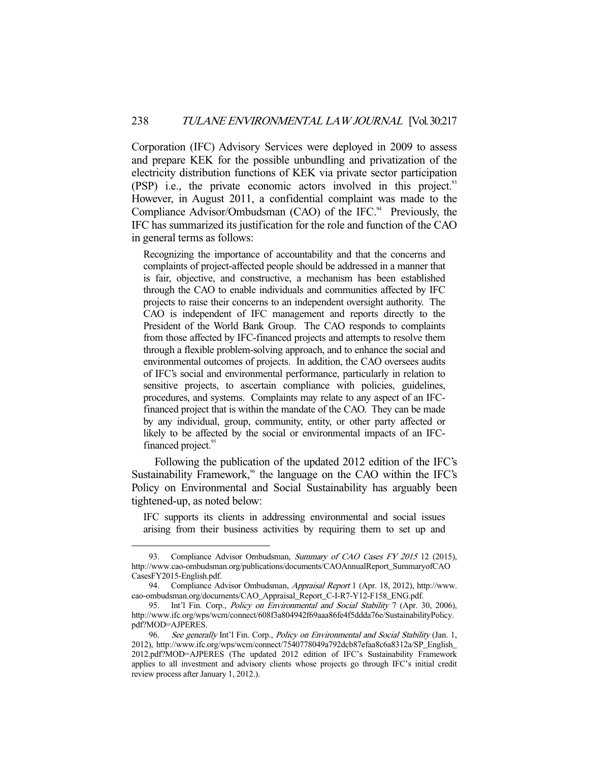Corporation (IFC) Advisory Services were deployed in 2009 to assess and prepare KEK for the possible unbundling and privatization of the electricity distribution functions of KEK via private sector participation (PSP) i.e., the private economic actors involved in this project.<sup>93</sup> However, in August 2011, a confidential complaint was made to the Compliance Advisor/Ombudsman (CAO) of the IFC. $94$  Previously, the IFC has summarized its justification for the role and function of the CAO in general terms as follows:

Recognizing the importance of accountability and that the concerns and complaints of project-affected people should be addressed in a manner that is fair, objective, and constructive, a mechanism has been established through the CAO to enable individuals and communities affected by IFC projects to raise their concerns to an independent oversight authority. The CAO is independent of IFC management and reports directly to the President of the World Bank Group. The CAO responds to complaints from those affected by IFC-financed projects and attempts to resolve them through a flexible problem-solving approach, and to enhance the social and environmental outcomes of projects. In addition, the CAO oversees audits of IFC's social and environmental performance, particularly in relation to sensitive projects, to ascertain compliance with policies, guidelines, procedures, and systems. Complaints may relate to any aspect of an IFCfinanced project that is within the mandate of the CAO. They can be made by any individual, group, community, entity, or other party affected or likely to be affected by the social or environmental impacts of an IFCfinanced project.<sup>95</sup>

 Following the publication of the updated 2012 edition of the IFC's Sustainability Framework, $96$  the language on the CAO within the IFC's Policy on Environmental and Social Sustainability has arguably been tightened-up, as noted below:

IFC supports its clients in addressing environmental and social issues arising from their business activities by requiring them to set up and

<sup>93.</sup> Compliance Advisor Ombudsman, Summary of CAO Cases FY 2015 12 (2015), http://www.cao-ombudsman.org/publications/documents/CAOAnnualReport\_SummaryofCAO CasesFY2015-English.pdf.

<sup>94.</sup> Compliance Advisor Ombudsman, Appraisal Report 1 (Apr. 18, 2012), http://www. cao-ombudsman.org/documents/CAO\_Appraisal\_Report\_C-I-R7-Y12-F158\_ENG.pdf.

<sup>95.</sup> Int'l Fin. Corp., *Policy on Environmental and Social Stability* 7 (Apr. 30, 2006), http://www.ifc.org/wps/wcm/connect/608f3a804942f69aaa86fe4f5ddda76e/SustainabilityPolicy. pdf?MOD=AJPERES.

<sup>96.</sup> See generally Int'l Fin. Corp., *Policy on Environmental and Social Stability* (Jan. 1, 2012), http://www.ifc.org/wps/wcm/connect/7540778049a792dcb87efaa8c6a8312a/SP\_English\_ 2012.pdf?MOD=AJPERES (The updated 2012 edition of IFC's Sustainability Framework applies to all investment and advisory clients whose projects go through IFC's initial credit review process after January 1, 2012.).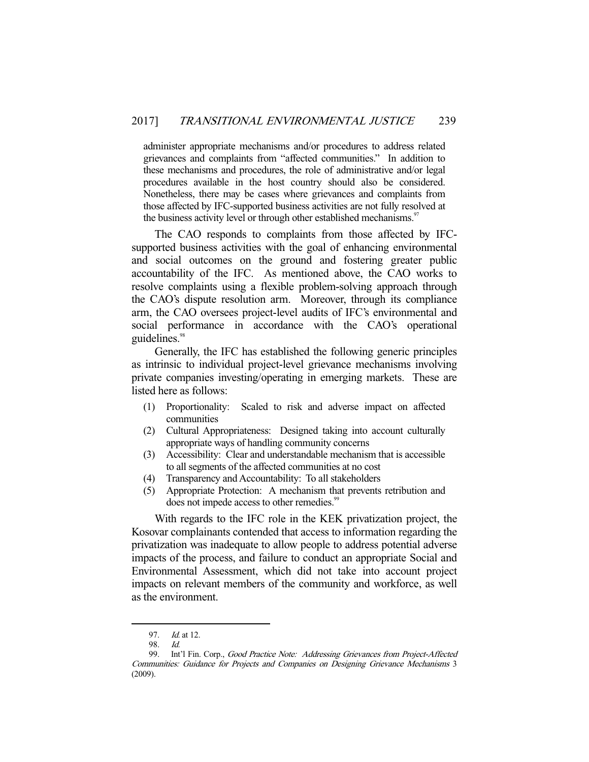administer appropriate mechanisms and/or procedures to address related grievances and complaints from "affected communities." In addition to these mechanisms and procedures, the role of administrative and/or legal procedures available in the host country should also be considered. Nonetheless, there may be cases where grievances and complaints from those affected by IFC-supported business activities are not fully resolved at the business activity level or through other established mechanisms.<sup>97</sup>

 The CAO responds to complaints from those affected by IFCsupported business activities with the goal of enhancing environmental and social outcomes on the ground and fostering greater public accountability of the IFC. As mentioned above, the CAO works to resolve complaints using a flexible problem-solving approach through the CAO's dispute resolution arm. Moreover, through its compliance arm, the CAO oversees project-level audits of IFC's environmental and social performance in accordance with the CAO's operational guidelines.<sup>98</sup>

 Generally, the IFC has established the following generic principles as intrinsic to individual project-level grievance mechanisms involving private companies investing/operating in emerging markets. These are listed here as follows:

- (1) Proportionality: Scaled to risk and adverse impact on affected communities
- (2) Cultural Appropriateness: Designed taking into account culturally appropriate ways of handling community concerns
- (3) Accessibility: Clear and understandable mechanism that is accessible to all segments of the affected communities at no cost
- (4) Transparency and Accountability: To all stakeholders
- (5) Appropriate Protection: A mechanism that prevents retribution and does not impede access to other remedies.<sup>99</sup>

 With regards to the IFC role in the KEK privatization project, the Kosovar complainants contended that access to information regarding the privatization was inadequate to allow people to address potential adverse impacts of the process, and failure to conduct an appropriate Social and Environmental Assessment, which did not take into account project impacts on relevant members of the community and workforce, as well as the environment.

<sup>97.</sup> *Id.* at 12.

 <sup>98.</sup> Id.

 <sup>99.</sup> Int'l Fin. Corp., Good Practice Note: Addressing Grievances from Project-Affected Communities: Guidance for Projects and Companies on Designing Grievance Mechanisms 3 (2009).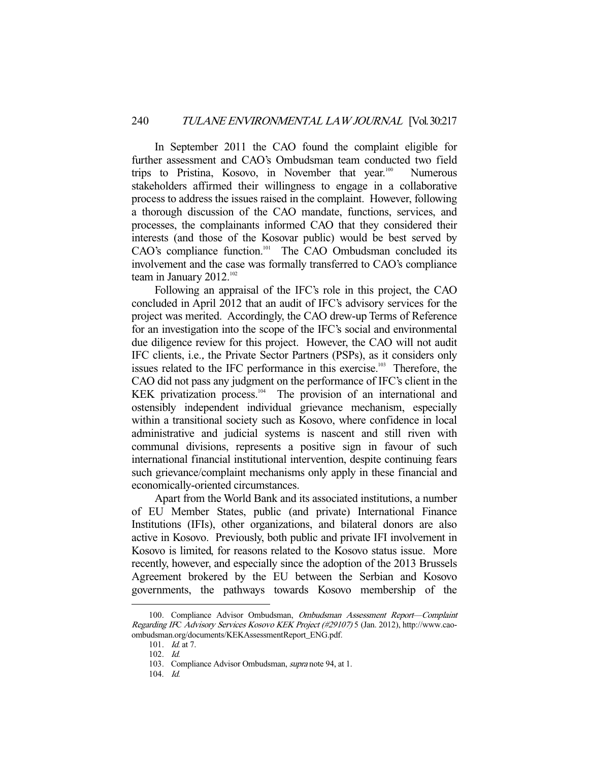In September 2011 the CAO found the complaint eligible for further assessment and CAO's Ombudsman team conducted two field trips to Pristina, Kosovo, in November that year.<sup>100</sup> Numerous stakeholders affirmed their willingness to engage in a collaborative process to address the issues raised in the complaint. However, following a thorough discussion of the CAO mandate, functions, services, and processes, the complainants informed CAO that they considered their interests (and those of the Kosovar public) would be best served by CAO's compliance function.<sup>101</sup> The CAO Ombudsman concluded its involvement and the case was formally transferred to CAO's compliance team in January  $2012.^{102}$ 

 Following an appraisal of the IFC's role in this project, the CAO concluded in April 2012 that an audit of IFC's advisory services for the project was merited. Accordingly, the CAO drew-up Terms of Reference for an investigation into the scope of the IFC's social and environmental due diligence review for this project. However, the CAO will not audit IFC clients, i.e., the Private Sector Partners (PSPs), as it considers only issues related to the IFC performance in this exercise.<sup>103</sup> Therefore, the CAO did not pass any judgment on the performance of IFC's client in the KEK privatization process. $104$  The provision of an international and ostensibly independent individual grievance mechanism, especially within a transitional society such as Kosovo, where confidence in local administrative and judicial systems is nascent and still riven with communal divisions, represents a positive sign in favour of such international financial institutional intervention, despite continuing fears such grievance/complaint mechanisms only apply in these financial and economically-oriented circumstances.

 Apart from the World Bank and its associated institutions, a number of EU Member States, public (and private) International Finance Institutions (IFIs), other organizations, and bilateral donors are also active in Kosovo. Previously, both public and private IFI involvement in Kosovo is limited, for reasons related to the Kosovo status issue. More recently, however, and especially since the adoption of the 2013 Brussels Agreement brokered by the EU between the Serbian and Kosovo governments, the pathways towards Kosovo membership of the

 <sup>100.</sup> Compliance Advisor Ombudsman, Ombudsman Assessment Report—Complaint Regarding IFC Advisory Services Kosovo KEK Project (#29107) 5 (Jan. 2012), http://www.caoombudsman.org/documents/KEKAssessmentReport\_ENG.pdf.

 <sup>101.</sup> Id. at 7.

 <sup>102.</sup> Id.

 <sup>103.</sup> Compliance Advisor Ombudsman, supra note 94, at 1.

 <sup>104.</sup> Id.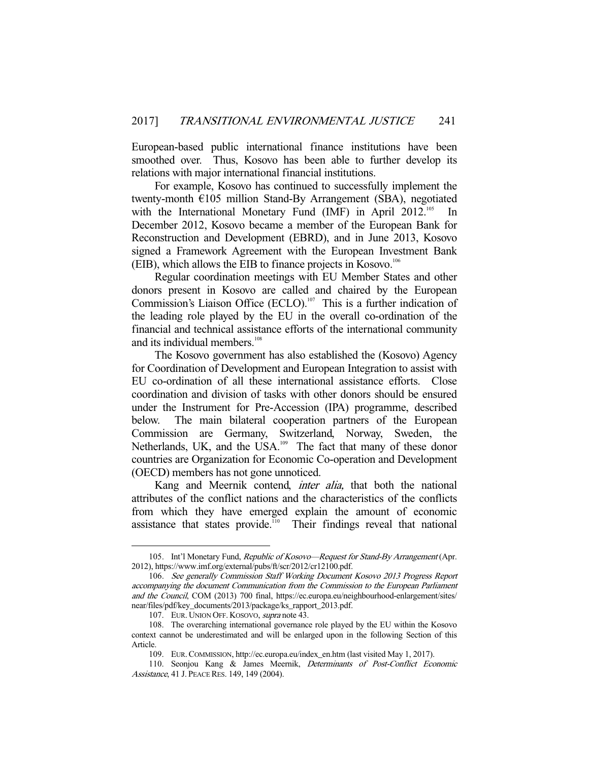European-based public international finance institutions have been smoothed over. Thus, Kosovo has been able to further develop its relations with major international financial institutions.

 For example, Kosovo has continued to successfully implement the twenty-month €105 million Stand-By Arrangement (SBA), negotiated with the International Monetary Fund (IMF) in April  $2012^{105}$  In December 2012, Kosovo became a member of the European Bank for Reconstruction and Development (EBRD), and in June 2013, Kosovo signed a Framework Agreement with the European Investment Bank (EIB), which allows the EIB to finance projects in Kosovo.106

 Regular coordination meetings with EU Member States and other donors present in Kosovo are called and chaired by the European Commission's Liaison Office (ECLO).<sup>107</sup> This is a further indication of the leading role played by the EU in the overall co-ordination of the financial and technical assistance efforts of the international community and its individual members.<sup>108</sup>

 The Kosovo government has also established the (Kosovo) Agency for Coordination of Development and European Integration to assist with EU co-ordination of all these international assistance efforts. Close coordination and division of tasks with other donors should be ensured under the Instrument for Pre-Accession (IPA) programme, described below. The main bilateral cooperation partners of the European Commission are Germany, Switzerland, Norway, Sweden, the Netherlands, UK, and the USA.<sup>109</sup> The fact that many of these donor countries are Organization for Economic Co-operation and Development (OECD) members has not gone unnoticed.

Kang and Meernik contend, *inter alia*, that both the national attributes of the conflict nations and the characteristics of the conflicts from which they have emerged explain the amount of economic assistance that states provide.<sup>110</sup> Their findings reveal that national

<sup>105.</sup> Int'l Monetary Fund, Republic of Kosovo—Request for Stand-By Arrangement (Apr. 2012), https://www.imf.org/external/pubs/ft/scr/2012/cr12100.pdf.

 <sup>106.</sup> See generally Commission Staff Working Document Kosovo 2013 Progress Report accompanying the document Communication from the Commission to the European Parliament and the Council, COM (2013) 700 final, https://ec.europa.eu/neighbourhood-enlargement/sites/ near/files/pdf/key\_documents/2013/package/ks\_rapport\_2013.pdf.

<sup>107.</sup> EUR. UNION OFF. KOSOVO, supra note 43.

 <sup>108.</sup> The overarching international governance role played by the EU within the Kosovo context cannot be underestimated and will be enlarged upon in the following Section of this Article.

 <sup>109.</sup> EUR.COMMISSION, http://ec.europa.eu/index\_en.htm (last visited May 1, 2017).

 <sup>110.</sup> Seonjou Kang & James Meernik, Determinants of Post-Conflict Economic Assistance, 41 J. PEACE RES. 149, 149 (2004).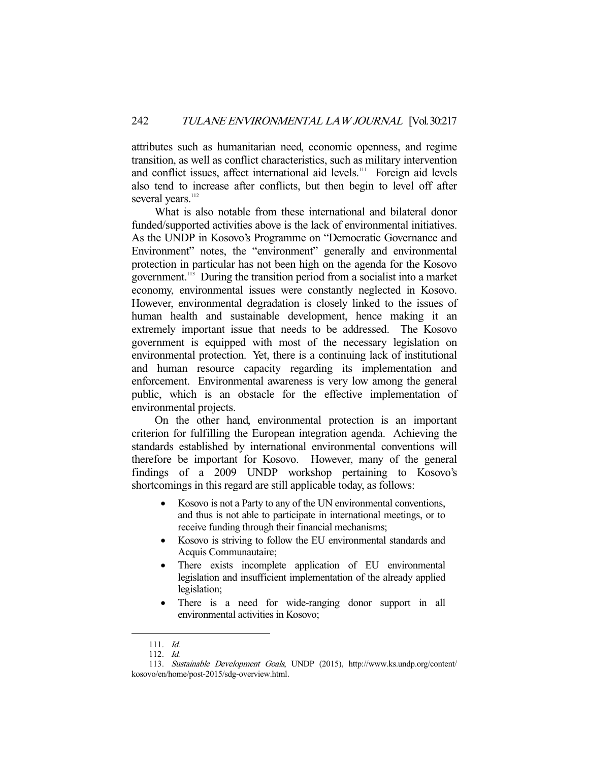attributes such as humanitarian need, economic openness, and regime transition, as well as conflict characteristics, such as military intervention and conflict issues, affect international aid levels.<sup>111</sup> Foreign aid levels also tend to increase after conflicts, but then begin to level off after several years.<sup>112</sup>

 What is also notable from these international and bilateral donor funded/supported activities above is the lack of environmental initiatives. As the UNDP in Kosovo's Programme on "Democratic Governance and Environment" notes, the "environment" generally and environmental protection in particular has not been high on the agenda for the Kosovo government.113 During the transition period from a socialist into a market economy, environmental issues were constantly neglected in Kosovo. However, environmental degradation is closely linked to the issues of human health and sustainable development, hence making it an extremely important issue that needs to be addressed. The Kosovo government is equipped with most of the necessary legislation on environmental protection. Yet, there is a continuing lack of institutional and human resource capacity regarding its implementation and enforcement. Environmental awareness is very low among the general public, which is an obstacle for the effective implementation of environmental projects.

 On the other hand, environmental protection is an important criterion for fulfilling the European integration agenda. Achieving the standards established by international environmental conventions will therefore be important for Kosovo. However, many of the general findings of a 2009 UNDP workshop pertaining to Kosovo's shortcomings in this regard are still applicable today, as follows:

- Kosovo is not a Party to any of the UN environmental conventions, and thus is not able to participate in international meetings, or to receive funding through their financial mechanisms;
- Kosovo is striving to follow the EU environmental standards and Acquis Communautaire;
- There exists incomplete application of EU environmental legislation and insufficient implementation of the already applied legislation;
- There is a need for wide-ranging donor support in all environmental activities in Kosovo;

 <sup>111.</sup> Id.

 <sup>112.</sup> Id.

 <sup>113.</sup> Sustainable Development Goals, UNDP (2015), http://www.ks.undp.org/content/ kosovo/en/home/post-2015/sdg-overview.html.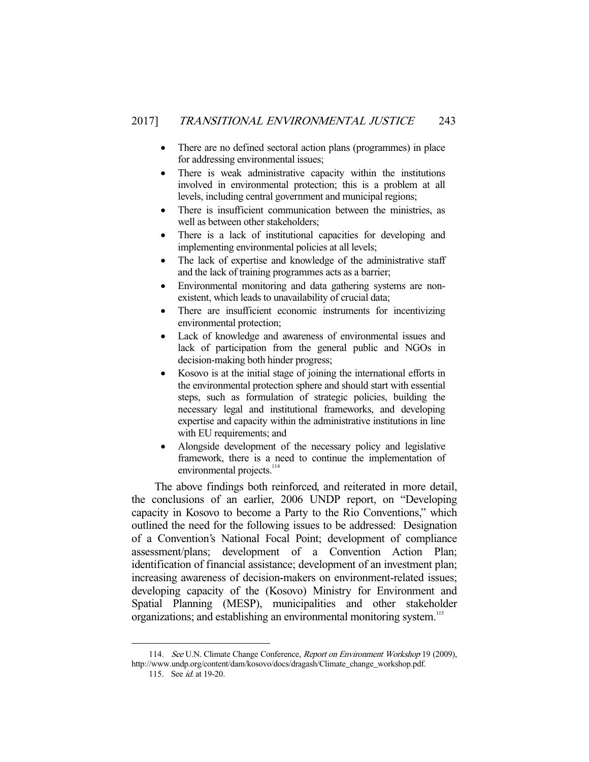- There are no defined sectoral action plans (programmes) in place for addressing environmental issues;
- There is weak administrative capacity within the institutions involved in environmental protection; this is a problem at all levels, including central government and municipal regions;
- There is insufficient communication between the ministries, as well as between other stakeholders;
- There is a lack of institutional capacities for developing and implementing environmental policies at all levels;
- The lack of expertise and knowledge of the administrative staff and the lack of training programmes acts as a barrier;
- Environmental monitoring and data gathering systems are nonexistent, which leads to unavailability of crucial data;
- There are insufficient economic instruments for incentivizing environmental protection;
- Lack of knowledge and awareness of environmental issues and lack of participation from the general public and NGOs in decision-making both hinder progress;
- Kosovo is at the initial stage of joining the international efforts in the environmental protection sphere and should start with essential steps, such as formulation of strategic policies, building the necessary legal and institutional frameworks, and developing expertise and capacity within the administrative institutions in line with EU requirements; and
- Alongside development of the necessary policy and legislative framework, there is a need to continue the implementation of environmental projects.<sup>114</sup>

 The above findings both reinforced, and reiterated in more detail, the conclusions of an earlier, 2006 UNDP report, on "Developing capacity in Kosovo to become a Party to the Rio Conventions," which outlined the need for the following issues to be addressed: Designation of a Convention's National Focal Point; development of compliance assessment/plans; development of a Convention Action Plan; identification of financial assistance; development of an investment plan; increasing awareness of decision-makers on environment-related issues; developing capacity of the (Kosovo) Ministry for Environment and Spatial Planning (MESP), municipalities and other stakeholder organizations; and establishing an environmental monitoring system.<sup>115</sup>

<sup>114.</sup> See U.N. Climate Change Conference, Report on Environment Workshop 19 (2009), http://www.undp.org/content/dam/kosovo/docs/dragash/Climate\_change\_workshop.pdf.

<sup>115.</sup> See *id.* at 19-20.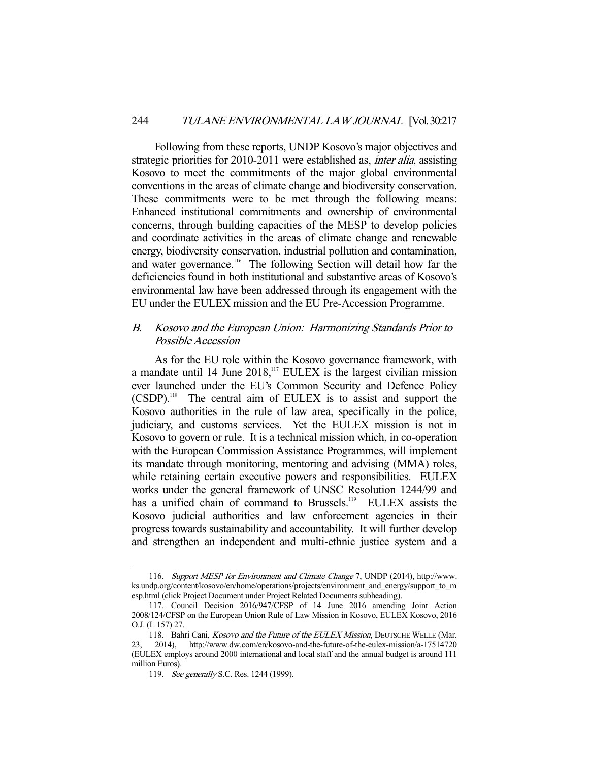Following from these reports, UNDP Kosovo's major objectives and strategic priorities for 2010-2011 were established as, *inter alia*, assisting Kosovo to meet the commitments of the major global environmental conventions in the areas of climate change and biodiversity conservation. These commitments were to be met through the following means: Enhanced institutional commitments and ownership of environmental concerns, through building capacities of the MESP to develop policies and coordinate activities in the areas of climate change and renewable energy, biodiversity conservation, industrial pollution and contamination, and water governance.<sup>116</sup> The following Section will detail how far the deficiencies found in both institutional and substantive areas of Kosovo's environmental law have been addressed through its engagement with the EU under the EULEX mission and the EU Pre-Accession Programme.

## B. Kosovo and the European Union: Harmonizing Standards Prior to Possible Accession

 As for the EU role within the Kosovo governance framework, with a mandate until 14 June  $2018$ ,<sup>117</sup> EULEX is the largest civilian mission ever launched under the EU's Common Security and Defence Policy (CSDP).118 The central aim of EULEX is to assist and support the Kosovo authorities in the rule of law area, specifically in the police, judiciary, and customs services. Yet the EULEX mission is not in Kosovo to govern or rule. It is a technical mission which, in co-operation with the European Commission Assistance Programmes, will implement its mandate through monitoring, mentoring and advising (MMA) roles, while retaining certain executive powers and responsibilities. EULEX works under the general framework of UNSC Resolution 1244/99 and has a unified chain of command to Brussels.<sup>119</sup> EULEX assists the Kosovo judicial authorities and law enforcement agencies in their progress towards sustainability and accountability. It will further develop and strengthen an independent and multi-ethnic justice system and a

 <sup>116.</sup> Support MESP for Environment and Climate Change 7, UNDP (2014), http://www. ks.undp.org/content/kosovo/en/home/operations/projects/environment\_and\_energy/support\_to\_m esp.html (click Project Document under Project Related Documents subheading).

 <sup>117.</sup> Council Decision 2016/947/CFSP of 14 June 2016 amending Joint Action 2008/124/CFSP on the European Union Rule of Law Mission in Kosovo, EULEX Kosovo, 2016 O.J. (L 157) 27.

<sup>118.</sup> Bahri Cani, Kosovo and the Future of the EULEX Mission, DEUTSCHE WELLE (Mar. 23, 2014), http://www.dw.com/en/kosovo-and-the-future-of-the-eulex-mission/a-17514720 (EULEX employs around 2000 international and local staff and the annual budget is around 111 million Euros).

<sup>119.</sup> See generally S.C. Res. 1244 (1999).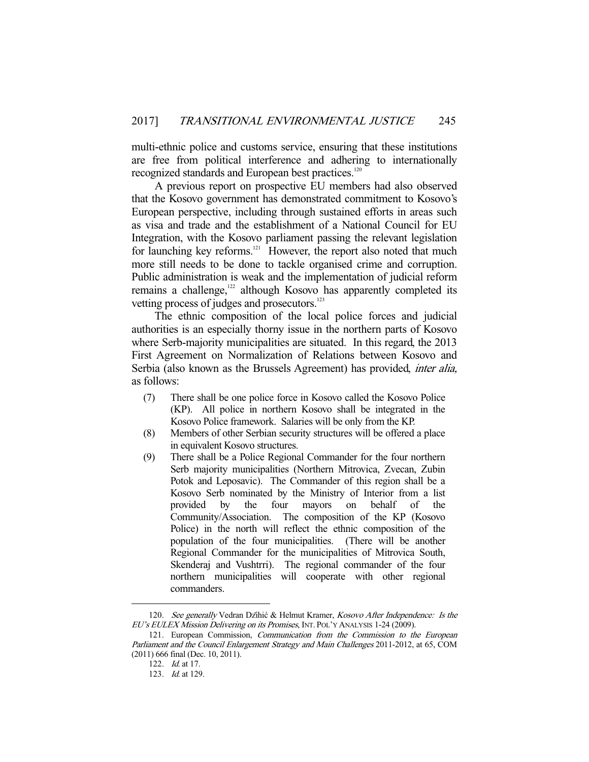multi-ethnic police and customs service, ensuring that these institutions are free from political interference and adhering to internationally recognized standards and European best practices.<sup>120</sup>

 A previous report on prospective EU members had also observed that the Kosovo government has demonstrated commitment to Kosovo's European perspective, including through sustained efforts in areas such as visa and trade and the establishment of a National Council for EU Integration, with the Kosovo parliament passing the relevant legislation for launching key reforms.<sup>121</sup> However, the report also noted that much more still needs to be done to tackle organised crime and corruption. Public administration is weak and the implementation of judicial reform remains a challenge,<sup>122</sup> although Kosovo has apparently completed its vetting process of judges and prosecutors.<sup>123</sup>

 The ethnic composition of the local police forces and judicial authorities is an especially thorny issue in the northern parts of Kosovo where Serb-majority municipalities are situated. In this regard, the 2013 First Agreement on Normalization of Relations between Kosovo and Serbia (also known as the Brussels Agreement) has provided, inter alia, as follows:

- (7) There shall be one police force in Kosovo called the Kosovo Police (KP). All police in northern Kosovo shall be integrated in the Kosovo Police framework. Salaries will be only from the KP.
- (8) Members of other Serbian security structures will be offered a place in equivalent Kosovo structures.
- (9) There shall be a Police Regional Commander for the four northern Serb majority municipalities (Northern Mitrovica, Zvecan, Zubin Potok and Leposavic). The Commander of this region shall be a Kosovo Serb nominated by the Ministry of Interior from a list provided by the four mayors on behalf of the Community/Association. The composition of the KP (Kosovo Police) in the north will reflect the ethnic composition of the population of the four municipalities. (There will be another Regional Commander for the municipalities of Mitrovica South, Skenderaj and Vushtrri). The regional commander of the four northern municipalities will cooperate with other regional commanders.

<sup>120.</sup> See generally Vedran Dzihić & Helmut Kramer, Kosovo After Independence: Is the EU's EULEX Mission Delivering on its Promises, INT. POL'Y ANALYSIS 1-24 (2009).

<sup>121.</sup> European Commission, Communication from the Commission to the European Parliament and the Council Enlargement Strategy and Main Challenges 2011-2012, at 65, COM (2011) 666 final (Dec. 10, 2011).

 <sup>122.</sup> Id. at 17.

 <sup>123.</sup> Id. at 129.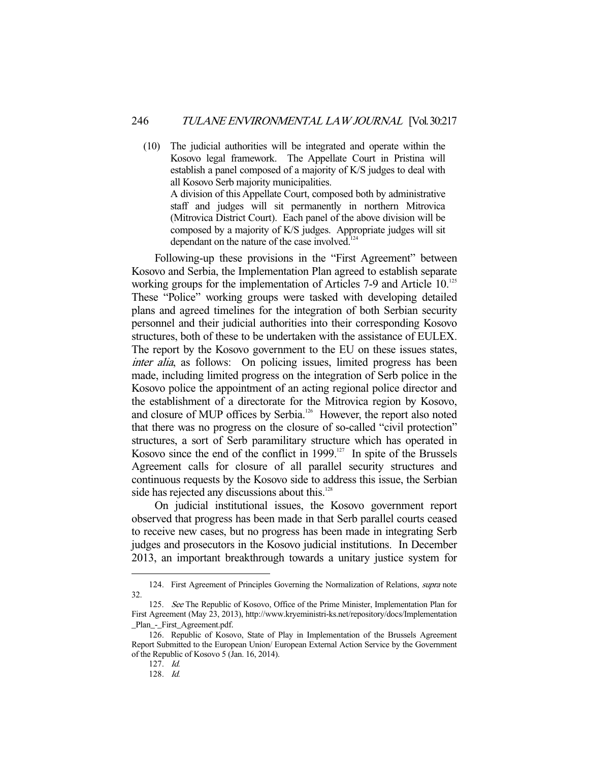(10) The judicial authorities will be integrated and operate within the Kosovo legal framework. The Appellate Court in Pristina will establish a panel composed of a majority of K/S judges to deal with all Kosovo Serb majority municipalities.

 A division of this Appellate Court, composed both by administrative staff and judges will sit permanently in northern Mitrovica (Mitrovica District Court). Each panel of the above division will be composed by a majority of K/S judges. Appropriate judges will sit dependant on the nature of the case involved. $124$ 

 Following-up these provisions in the "First Agreement" between Kosovo and Serbia, the Implementation Plan agreed to establish separate working groups for the implementation of Articles 7-9 and Article 10.<sup>125</sup> These "Police" working groups were tasked with developing detailed plans and agreed timelines for the integration of both Serbian security personnel and their judicial authorities into their corresponding Kosovo structures, both of these to be undertaken with the assistance of EULEX. The report by the Kosovo government to the EU on these issues states, inter alia, as follows: On policing issues, limited progress has been made, including limited progress on the integration of Serb police in the Kosovo police the appointment of an acting regional police director and the establishment of a directorate for the Mitrovica region by Kosovo, and closure of MUP offices by Serbia.<sup>126</sup> However, the report also noted that there was no progress on the closure of so-called "civil protection" structures, a sort of Serb paramilitary structure which has operated in Kosovo since the end of the conflict in 1999.<sup>127</sup> In spite of the Brussels Agreement calls for closure of all parallel security structures and continuous requests by the Kosovo side to address this issue, the Serbian side has rejected any discussions about this.<sup>128</sup>

 On judicial institutional issues, the Kosovo government report observed that progress has been made in that Serb parallel courts ceased to receive new cases, but no progress has been made in integrating Serb judges and prosecutors in the Kosovo judicial institutions. In December 2013, an important breakthrough towards a unitary justice system for

<sup>124.</sup> First Agreement of Principles Governing the Normalization of Relations, *supra* note 32.

<sup>125.</sup> See The Republic of Kosovo, Office of the Prime Minister, Implementation Plan for First Agreement (May 23, 2013), http://www.kryeministri-ks.net/repository/docs/Implementation \_Plan\_-\_First\_Agreement.pdf.

 <sup>126.</sup> Republic of Kosovo, State of Play in Implementation of the Brussels Agreement Report Submitted to the European Union/ European External Action Service by the Government of the Republic of Kosovo 5 (Jan. 16, 2014).

 <sup>127.</sup> Id.

 <sup>128.</sup> Id.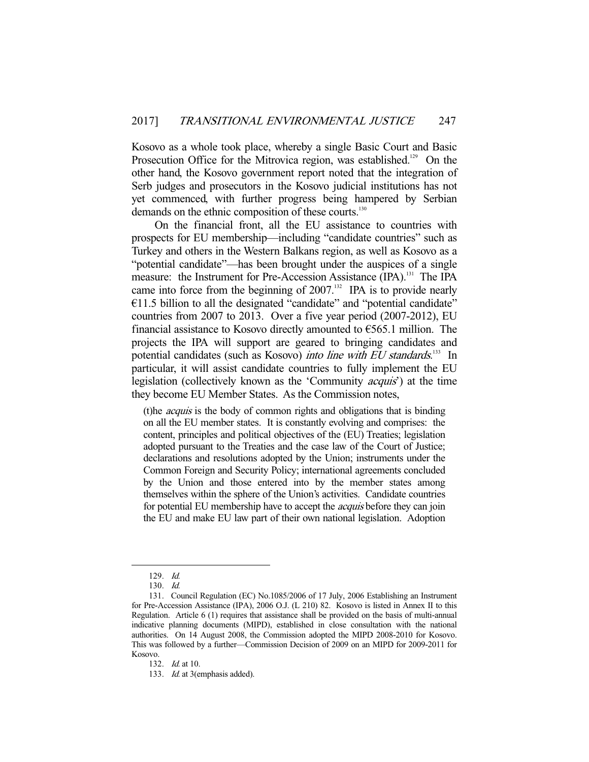Kosovo as a whole took place, whereby a single Basic Court and Basic Prosecution Office for the Mitrovica region, was established.<sup>129</sup> On the other hand, the Kosovo government report noted that the integration of Serb judges and prosecutors in the Kosovo judicial institutions has not yet commenced, with further progress being hampered by Serbian demands on the ethnic composition of these courts.<sup>130</sup>

 On the financial front, all the EU assistance to countries with prospects for EU membership—including "candidate countries" such as Turkey and others in the Western Balkans region, as well as Kosovo as a "potential candidate"—has been brought under the auspices of a single measure: the Instrument for Pre-Accession Assistance (IPA).<sup>131</sup> The IPA came into force from the beginning of  $2007$ .<sup>132</sup> IPA is to provide nearly  $€11.5$  billion to all the designated "candidate" and "potential candidate" countries from 2007 to 2013. Over a five year period (2007-2012), EU financial assistance to Kosovo directly amounted to  $\epsilon$ 565.1 million. The projects the IPA will support are geared to bringing candidates and potential candidates (such as Kosovo) *into line with EU standards*.<sup>133</sup> In particular, it will assist candidate countries to fully implement the EU legislation (collectively known as the 'Community acquis') at the time they become EU Member States. As the Commission notes,

(t)he acquis is the body of common rights and obligations that is binding on all the EU member states. It is constantly evolving and comprises: the content, principles and political objectives of the (EU) Treaties; legislation adopted pursuant to the Treaties and the case law of the Court of Justice; declarations and resolutions adopted by the Union; instruments under the Common Foreign and Security Policy; international agreements concluded by the Union and those entered into by the member states among themselves within the sphere of the Union's activities. Candidate countries for potential EU membership have to accept the *acquis* before they can join the EU and make EU law part of their own national legislation. Adoption

 <sup>129.</sup> Id.

 <sup>130.</sup> Id.

 <sup>131.</sup> Council Regulation (EC) No.1085/2006 of 17 July, 2006 Establishing an Instrument for Pre-Accession Assistance (IPA), 2006 O.J. (L 210) 82. Kosovo is listed in Annex II to this Regulation. Article 6 (1) requires that assistance shall be provided on the basis of multi-annual indicative planning documents (MIPD), established in close consultation with the national authorities. On 14 August 2008, the Commission adopted the MIPD 2008-2010 for Kosovo. This was followed by a further—Commission Decision of 2009 on an MIPD for 2009-2011 for Kosovo.

 <sup>132.</sup> Id. at 10.

<sup>133.</sup> Id. at 3(emphasis added).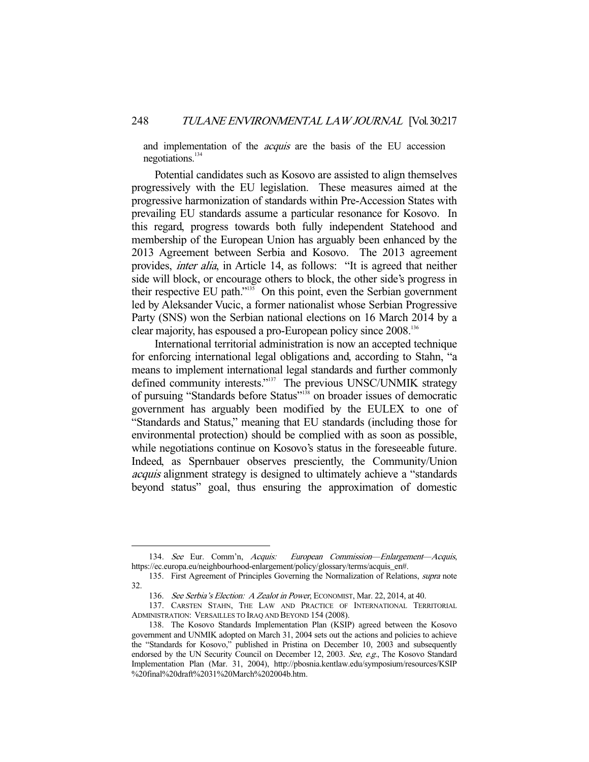and implementation of the *acquis* are the basis of the EU accession negotiations.<sup>134</sup>

 Potential candidates such as Kosovo are assisted to align themselves progressively with the EU legislation. These measures aimed at the progressive harmonization of standards within Pre-Accession States with prevailing EU standards assume a particular resonance for Kosovo. In this regard, progress towards both fully independent Statehood and membership of the European Union has arguably been enhanced by the 2013 Agreement between Serbia and Kosovo. The 2013 agreement provides, inter alia, in Article 14, as follows: "It is agreed that neither side will block, or encourage others to block, the other side's progress in their respective EU path."135 On this point, even the Serbian government led by Aleksander Vucic, a former nationalist whose Serbian Progressive Party (SNS) won the Serbian national elections on 16 March 2014 by a clear majority, has espoused a pro-European policy since 2008.136

 International territorial administration is now an accepted technique for enforcing international legal obligations and, according to Stahn, "a means to implement international legal standards and further commonly defined community interests."<sup>137</sup> The previous UNSC/UNMIK strategy of pursuing "Standards before Status"<sup>138</sup> on broader issues of democratic government has arguably been modified by the EULEX to one of "Standards and Status," meaning that EU standards (including those for environmental protection) should be complied with as soon as possible, while negotiations continue on Kosovo's status in the foreseeable future. Indeed, as Spernbauer observes presciently, the Community/Union acquis alignment strategy is designed to ultimately achieve a "standards beyond status" goal, thus ensuring the approximation of domestic

 <sup>134.</sup> See Eur. Comm'n, Acquis: European Commission—Enlargement—Acquis, https://ec.europa.eu/neighbourhood-enlargement/policy/glossary/terms/acquis\_en#.

<sup>135.</sup> First Agreement of Principles Governing the Normalization of Relations, *supra* note 32.

<sup>136.</sup> See Serbia's Election: A Zealot in Power, ECONOMIST, Mar. 22, 2014, at 40.

 <sup>137.</sup> CARSTEN STAHN, THE LAW AND PRACTICE OF INTERNATIONAL TERRITORIAL ADMINISTRATION: VERSAILLES TO IRAQ AND BEYOND 154 (2008).

 <sup>138.</sup> The Kosovo Standards Implementation Plan (KSIP) agreed between the Kosovo government and UNMIK adopted on March 31, 2004 sets out the actions and policies to achieve the "Standards for Kosovo," published in Pristina on December 10, 2003 and subsequently endorsed by the UN Security Council on December 12, 2003. See, e.g., The Kosovo Standard Implementation Plan (Mar. 31, 2004), http://pbosnia.kentlaw.edu/symposium/resources/KSIP %20final%20draft%2031%20March%202004b.htm.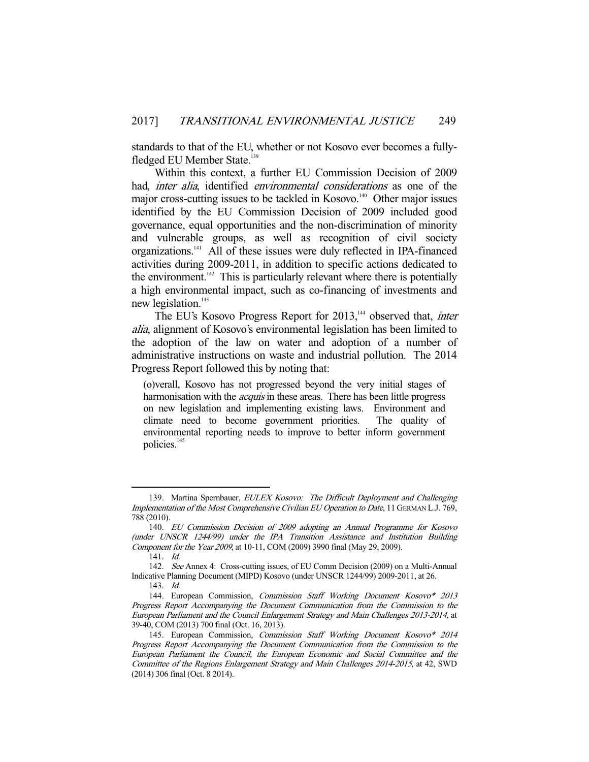standards to that of the EU, whether or not Kosovo ever becomes a fullyfledged EU Member State.<sup>139</sup>

 Within this context, a further EU Commission Decision of 2009 had, inter alia, identified environmental considerations as one of the major cross-cutting issues to be tackled in Kosovo.<sup>140</sup> Other major issues identified by the EU Commission Decision of 2009 included good governance, equal opportunities and the non-discrimination of minority and vulnerable groups, as well as recognition of civil society organizations.141 All of these issues were duly reflected in IPA-financed activities during 2009-2011, in addition to specific actions dedicated to the environment.<sup> $142$ </sup> This is particularly relevant where there is potentially a high environmental impact, such as co-financing of investments and new legislation.<sup>143</sup>

The EU's Kosovo Progress Report for 2013,<sup>144</sup> observed that, *inter* alia, alignment of Kosovo's environmental legislation has been limited to the adoption of the law on water and adoption of a number of administrative instructions on waste and industrial pollution. The 2014 Progress Report followed this by noting that:

(o)verall, Kosovo has not progressed beyond the very initial stages of harmonisation with the *acquis* in these areas. There has been little progress on new legislation and implementing existing laws. Environment and climate need to become government priorities. The quality of environmental reporting needs to improve to better inform government policies.<sup>145</sup>

<sup>139.</sup> Martina Spernbauer, EULEX Kosovo: The Difficult Deployment and Challenging Implementation of the Most Comprehensive Civilian EU Operation to Date, 11 GERMAN L.J. 769, 788 (2010).

 <sup>140.</sup> EU Commission Decision of 2009 adopting an Annual Programme for Kosovo (under UNSCR 1244/99) under the IPA Transition Assistance and Institution Building Component for the Year 2009, at 10-11, COM (2009) 3990 final (May 29, 2009).

 <sup>141.</sup> Id.

 <sup>142.</sup> See Annex 4: Cross-cutting issues, of EU Comm Decision (2009) on a Multi-Annual Indicative Planning Document (MIPD) Kosovo (under UNSCR 1244/99) 2009-2011, at 26.

 <sup>143.</sup> Id.

 <sup>144.</sup> European Commission, Commission Staff Working Document Kosovo\* 2013 Progress Report Accompanying the Document Communication from the Commission to the European Parliament and the Council Enlargement Strategy and Main Challenges 2013-2014, at 39-40, COM (2013) 700 final (Oct. 16, 2013).

<sup>145.</sup> European Commission, Commission Staff Working Document Kosovo\* 2014 Progress Report Accompanying the Document Communication from the Commission to the European Parliament the Council, the European Economic and Social Committee and the Committee of the Regions Enlargement Strategy and Main Challenges 2014-2015, at 42, SWD (2014) 306 final (Oct. 8 2014).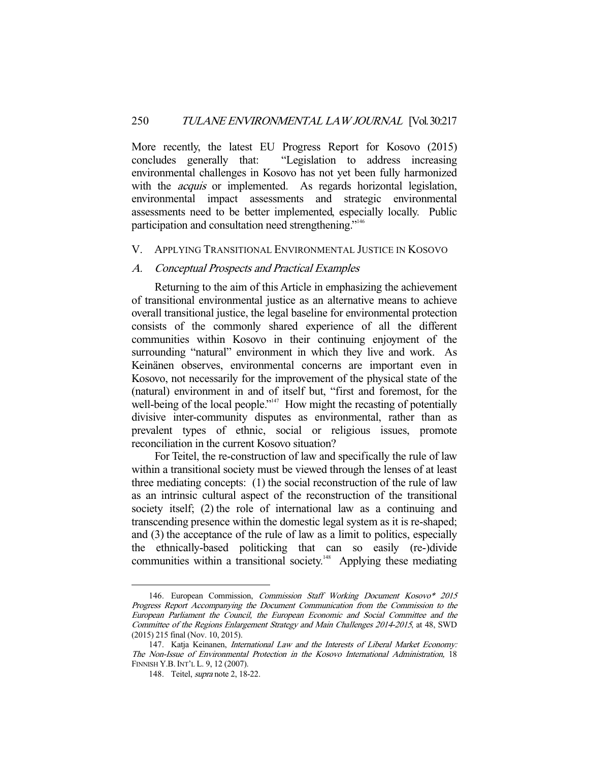More recently, the latest EU Progress Report for Kosovo (2015) concludes generally that: "Legislation to address increasing environmental challenges in Kosovo has not yet been fully harmonized with the *acquis* or implemented. As regards horizontal legislation, environmental impact assessments and strategic environmental assessments need to be better implemented, especially locally. Public participation and consultation need strengthening."<sup>146</sup>

#### V. APPLYING TRANSITIONAL ENVIRONMENTAL JUSTICE IN KOSOVO

#### A. Conceptual Prospects and Practical Examples

 Returning to the aim of this Article in emphasizing the achievement of transitional environmental justice as an alternative means to achieve overall transitional justice, the legal baseline for environmental protection consists of the commonly shared experience of all the different communities within Kosovo in their continuing enjoyment of the surrounding "natural" environment in which they live and work. As Keinänen observes, environmental concerns are important even in Kosovo, not necessarily for the improvement of the physical state of the (natural) environment in and of itself but, "first and foremost, for the well-being of the local people."<sup>147</sup> How might the recasting of potentially divisive inter-community disputes as environmental, rather than as prevalent types of ethnic, social or religious issues, promote reconciliation in the current Kosovo situation?

 For Teitel, the re-construction of law and specifically the rule of law within a transitional society must be viewed through the lenses of at least three mediating concepts: (1) the social reconstruction of the rule of law as an intrinsic cultural aspect of the reconstruction of the transitional society itself; (2) the role of international law as a continuing and transcending presence within the domestic legal system as it is re-shaped; and (3) the acceptance of the rule of law as a limit to politics, especially the ethnically-based politicking that can so easily (re-)divide communities within a transitional society.<sup>148</sup> Applying these mediating

 <sup>146.</sup> European Commission, Commission Staff Working Document Kosovo\* 2015 Progress Report Accompanying the Document Communication from the Commission to the European Parliament the Council, the European Economic and Social Committee and the Committee of the Regions Enlargement Strategy and Main Challenges 2014-2015, at 48, SWD (2015) 215 final (Nov. 10, 2015).

 <sup>147.</sup> Katja Keinanen, International Law and the Interests of Liberal Market Economy: The Non-Issue of Environmental Protection in the Kosovo International Administration, 18 FINNISH Y.B.INT'L L. 9, 12 (2007).

 <sup>148.</sup> Teitel, supra note 2, 18-22.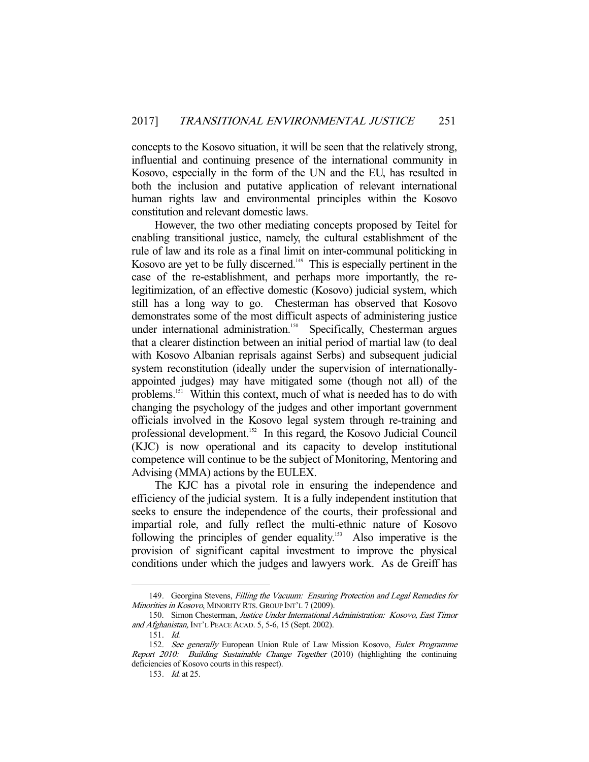concepts to the Kosovo situation, it will be seen that the relatively strong, influential and continuing presence of the international community in Kosovo, especially in the form of the UN and the EU, has resulted in both the inclusion and putative application of relevant international human rights law and environmental principles within the Kosovo constitution and relevant domestic laws.

 However, the two other mediating concepts proposed by Teitel for enabling transitional justice, namely, the cultural establishment of the rule of law and its role as a final limit on inter-communal politicking in Kosovo are yet to be fully discerned.<sup>149</sup> This is especially pertinent in the case of the re-establishment, and perhaps more importantly, the relegitimization, of an effective domestic (Kosovo) judicial system, which still has a long way to go. Chesterman has observed that Kosovo demonstrates some of the most difficult aspects of administering justice under international administration.<sup>150</sup> Specifically, Chesterman argues that a clearer distinction between an initial period of martial law (to deal with Kosovo Albanian reprisals against Serbs) and subsequent judicial system reconstitution (ideally under the supervision of internationallyappointed judges) may have mitigated some (though not all) of the problems.<sup>151</sup> Within this context, much of what is needed has to do with changing the psychology of the judges and other important government officials involved in the Kosovo legal system through re-training and professional development.152 In this regard, the Kosovo Judicial Council (KJC) is now operational and its capacity to develop institutional competence will continue to be the subject of Monitoring, Mentoring and Advising (MMA) actions by the EULEX.

 The KJC has a pivotal role in ensuring the independence and efficiency of the judicial system. It is a fully independent institution that seeks to ensure the independence of the courts, their professional and impartial role, and fully reflect the multi-ethnic nature of Kosovo following the principles of gender equality.<sup>153</sup> Also imperative is the provision of significant capital investment to improve the physical conditions under which the judges and lawyers work. As de Greiff has

<sup>149.</sup> Georgina Stevens, Filling the Vacuum: Ensuring Protection and Legal Remedies for Minorities in Kosovo, MINORITY RTS. GROUP INT'L 7 (2009).

 <sup>150.</sup> Simon Chesterman, Justice Under International Administration: Kosovo, East Timor and Afghanistan, INT'L PEACE ACAD. 5, 5-6, 15 (Sept. 2002).

 <sup>151.</sup> Id.

<sup>152.</sup> See generally European Union Rule of Law Mission Kosovo, Eulex Programme Report 2010: Building Sustainable Change Together (2010) (highlighting the continuing deficiencies of Kosovo courts in this respect).

 <sup>153.</sup> Id. at 25.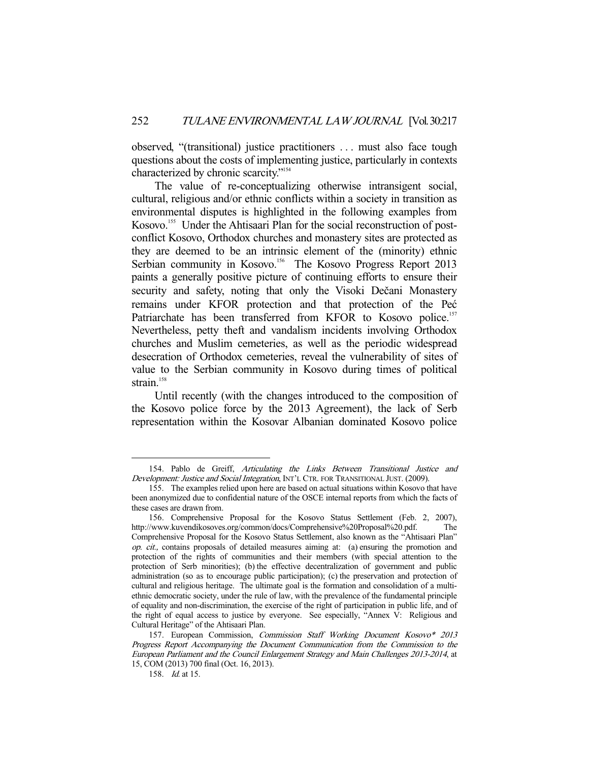observed, "(transitional) justice practitioners . . . must also face tough questions about the costs of implementing justice, particularly in contexts characterized by chronic scarcity."154

 The value of re-conceptualizing otherwise intransigent social, cultural, religious and/or ethnic conflicts within a society in transition as environmental disputes is highlighted in the following examples from Kosovo.<sup>155</sup> Under the Ahtisaari Plan for the social reconstruction of postconflict Kosovo, Orthodox churches and monastery sites are protected as they are deemed to be an intrinsic element of the (minority) ethnic Serbian community in Kosovo.<sup>156</sup> The Kosovo Progress Report 2013 paints a generally positive picture of continuing efforts to ensure their security and safety, noting that only the Visoki Dečani Monastery remains under KFOR protection and that protection of the Peć Patriarchate has been transferred from KFOR to Kosovo police.<sup>157</sup> Nevertheless, petty theft and vandalism incidents involving Orthodox churches and Muslim cemeteries, as well as the periodic widespread desecration of Orthodox cemeteries, reveal the vulnerability of sites of value to the Serbian community in Kosovo during times of political strain. $158$ 

 Until recently (with the changes introduced to the composition of the Kosovo police force by the 2013 Agreement), the lack of Serb representation within the Kosovar Albanian dominated Kosovo police

 <sup>154.</sup> Pablo de Greiff, Articulating the Links Between Transitional Justice and Development: Justice and Social Integration, INT'L CTR. FOR TRANSITIONAL JUST. (2009).

 <sup>155.</sup> The examples relied upon here are based on actual situations within Kosovo that have been anonymized due to confidential nature of the OSCE internal reports from which the facts of these cases are drawn from.

 <sup>156.</sup> Comprehensive Proposal for the Kosovo Status Settlement (Feb. 2, 2007), http://www.kuvendikosoves.org/common/docs/Comprehensive%20Proposal%20.pdf. The Comprehensive Proposal for the Kosovo Status Settlement, also known as the "Ahtisaari Plan" op. cit., contains proposals of detailed measures aiming at: (a) ensuring the promotion and protection of the rights of communities and their members (with special attention to the protection of Serb minorities); (b) the effective decentralization of government and public administration (so as to encourage public participation); (c) the preservation and protection of cultural and religious heritage. The ultimate goal is the formation and consolidation of a multiethnic democratic society, under the rule of law, with the prevalence of the fundamental principle of equality and non-discrimination, the exercise of the right of participation in public life, and of the right of equal access to justice by everyone. See especially, "Annex V: Religious and Cultural Heritage" of the Ahtisaari Plan.

 <sup>157.</sup> European Commission, Commission Staff Working Document Kosovo\* 2013 Progress Report Accompanying the Document Communication from the Commission to the European Parliament and the Council Enlargement Strategy and Main Challenges 2013-2014, at 15, COM (2013) 700 final (Oct. 16, 2013).

 <sup>158.</sup> Id. at 15.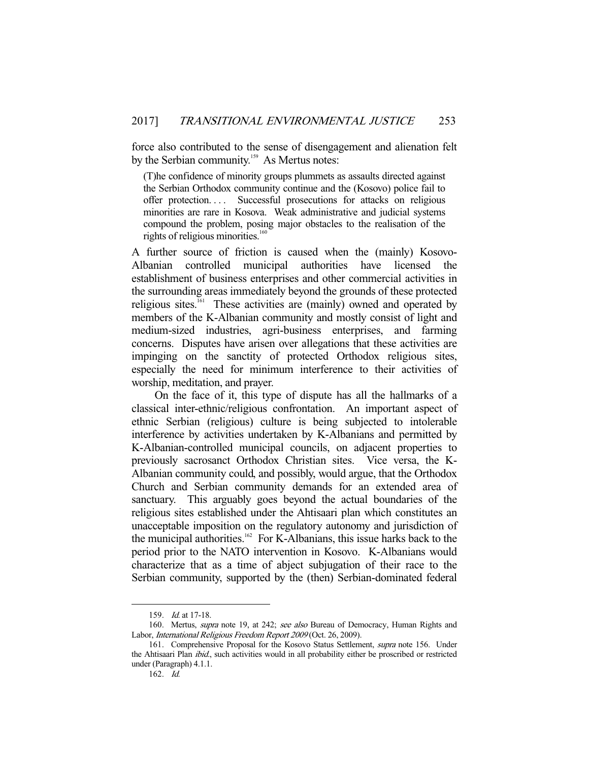force also contributed to the sense of disengagement and alienation felt by the Serbian community.<sup>159</sup> As Mertus notes:

(T)he confidence of minority groups plummets as assaults directed against the Serbian Orthodox community continue and the (Kosovo) police fail to offer protection. . . . Successful prosecutions for attacks on religious minorities are rare in Kosova. Weak administrative and judicial systems compound the problem, posing major obstacles to the realisation of the rights of religious minorities.<sup>160</sup>

A further source of friction is caused when the (mainly) Kosovo-Albanian controlled municipal authorities have licensed the establishment of business enterprises and other commercial activities in the surrounding areas immediately beyond the grounds of these protected religious sites.<sup>161</sup> These activities are (mainly) owned and operated by members of the K-Albanian community and mostly consist of light and medium-sized industries, agri-business enterprises, and farming concerns. Disputes have arisen over allegations that these activities are impinging on the sanctity of protected Orthodox religious sites, especially the need for minimum interference to their activities of worship, meditation, and prayer.

 On the face of it, this type of dispute has all the hallmarks of a classical inter-ethnic/religious confrontation. An important aspect of ethnic Serbian (religious) culture is being subjected to intolerable interference by activities undertaken by K-Albanians and permitted by K-Albanian-controlled municipal councils, on adjacent properties to previously sacrosanct Orthodox Christian sites. Vice versa, the K-Albanian community could, and possibly, would argue, that the Orthodox Church and Serbian community demands for an extended area of sanctuary. This arguably goes beyond the actual boundaries of the religious sites established under the Ahtisaari plan which constitutes an unacceptable imposition on the regulatory autonomy and jurisdiction of the municipal authorities.<sup>162</sup> For K-Albanians, this issue harks back to the period prior to the NATO intervention in Kosovo. K-Albanians would characterize that as a time of abject subjugation of their race to the Serbian community, supported by the (then) Serbian-dominated federal

 <sup>159.</sup> Id. at 17-18.

<sup>160.</sup> Mertus, *supra* note 19, at 242; see also Bureau of Democracy, Human Rights and Labor, International Religious Freedom Report 2009 (Oct. 26, 2009).

 <sup>161.</sup> Comprehensive Proposal for the Kosovo Status Settlement, supra note 156. Under the Ahtisaari Plan *ibid.*, such activities would in all probability either be proscribed or restricted under (Paragraph) 4.1.1.

 <sup>162.</sup> Id.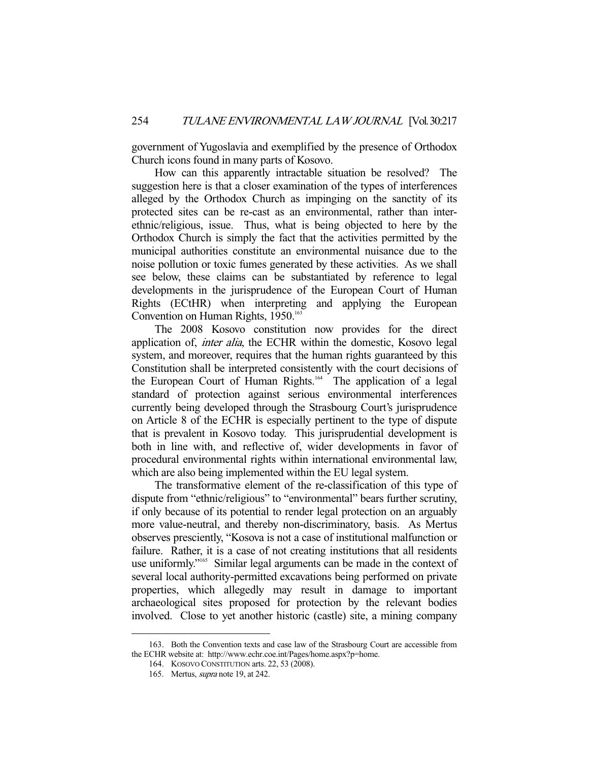government of Yugoslavia and exemplified by the presence of Orthodox Church icons found in many parts of Kosovo.

 How can this apparently intractable situation be resolved? The suggestion here is that a closer examination of the types of interferences alleged by the Orthodox Church as impinging on the sanctity of its protected sites can be re-cast as an environmental, rather than interethnic/religious, issue. Thus, what is being objected to here by the Orthodox Church is simply the fact that the activities permitted by the municipal authorities constitute an environmental nuisance due to the noise pollution or toxic fumes generated by these activities. As we shall see below, these claims can be substantiated by reference to legal developments in the jurisprudence of the European Court of Human Rights (ECtHR) when interpreting and applying the European Convention on Human Rights, 1950.<sup>163</sup>

 The 2008 Kosovo constitution now provides for the direct application of, inter alia, the ECHR within the domestic, Kosovo legal system, and moreover, requires that the human rights guaranteed by this Constitution shall be interpreted consistently with the court decisions of the European Court of Human Rights.<sup>164</sup> The application of a legal standard of protection against serious environmental interferences currently being developed through the Strasbourg Court's jurisprudence on Article 8 of the ECHR is especially pertinent to the type of dispute that is prevalent in Kosovo today. This jurisprudential development is both in line with, and reflective of, wider developments in favor of procedural environmental rights within international environmental law, which are also being implemented within the EU legal system.

 The transformative element of the re-classification of this type of dispute from "ethnic/religious" to "environmental" bears further scrutiny, if only because of its potential to render legal protection on an arguably more value-neutral, and thereby non-discriminatory, basis. As Mertus observes presciently, "Kosova is not a case of institutional malfunction or failure. Rather, it is a case of not creating institutions that all residents use uniformly."165 Similar legal arguments can be made in the context of several local authority-permitted excavations being performed on private properties, which allegedly may result in damage to important archaeological sites proposed for protection by the relevant bodies involved. Close to yet another historic (castle) site, a mining company

 <sup>163.</sup> Both the Convention texts and case law of the Strasbourg Court are accessible from the ECHR website at: http://www.echr.coe.int/Pages/home.aspx?p=home.

 <sup>164.</sup> KOSOVO CONSTITUTION arts. 22, 53 (2008).

 <sup>165.</sup> Mertus, supra note 19, at 242.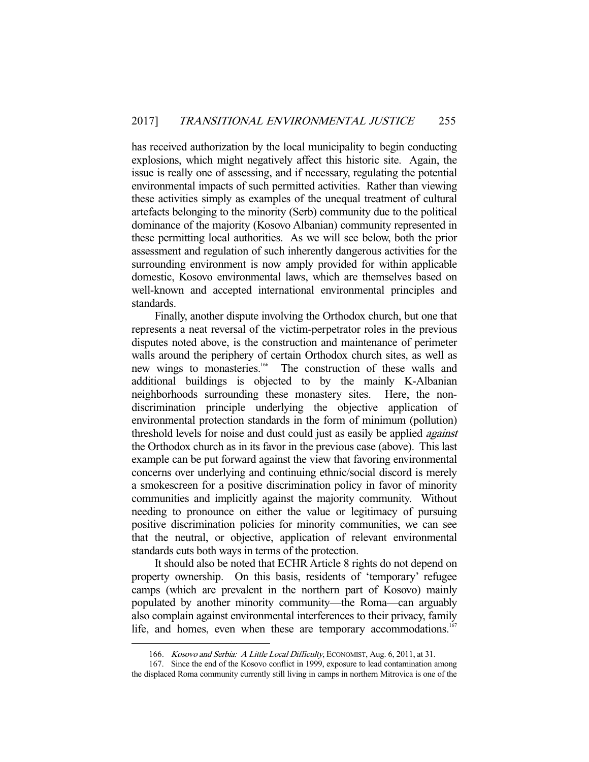has received authorization by the local municipality to begin conducting explosions, which might negatively affect this historic site. Again, the issue is really one of assessing, and if necessary, regulating the potential environmental impacts of such permitted activities. Rather than viewing these activities simply as examples of the unequal treatment of cultural artefacts belonging to the minority (Serb) community due to the political dominance of the majority (Kosovo Albanian) community represented in these permitting local authorities. As we will see below, both the prior assessment and regulation of such inherently dangerous activities for the surrounding environment is now amply provided for within applicable domestic, Kosovo environmental laws, which are themselves based on well-known and accepted international environmental principles and standards.

 Finally, another dispute involving the Orthodox church, but one that represents a neat reversal of the victim-perpetrator roles in the previous disputes noted above, is the construction and maintenance of perimeter walls around the periphery of certain Orthodox church sites, as well as new wings to monasteries.<sup>166</sup> The construction of these walls and The construction of these walls and additional buildings is objected to by the mainly K-Albanian neighborhoods surrounding these monastery sites. Here, the nondiscrimination principle underlying the objective application of environmental protection standards in the form of minimum (pollution) threshold levels for noise and dust could just as easily be applied *against* the Orthodox church as in its favor in the previous case (above). This last example can be put forward against the view that favoring environmental concerns over underlying and continuing ethnic/social discord is merely a smokescreen for a positive discrimination policy in favor of minority communities and implicitly against the majority community. Without needing to pronounce on either the value or legitimacy of pursuing positive discrimination policies for minority communities, we can see that the neutral, or objective, application of relevant environmental standards cuts both ways in terms of the protection.

 It should also be noted that ECHR Article 8 rights do not depend on property ownership. On this basis, residents of 'temporary' refugee camps (which are prevalent in the northern part of Kosovo) mainly populated by another minority community—the Roma—can arguably also complain against environmental interferences to their privacy, family life, and homes, even when these are temporary accommodations.<sup>167</sup>

<sup>166.</sup> *Kosovo and Serbia: A Little Local Difficulty*, ECONOMIST, Aug. 6, 2011, at 31.

 <sup>167.</sup> Since the end of the Kosovo conflict in 1999, exposure to lead contamination among the displaced Roma community currently still living in camps in northern Mitrovica is one of the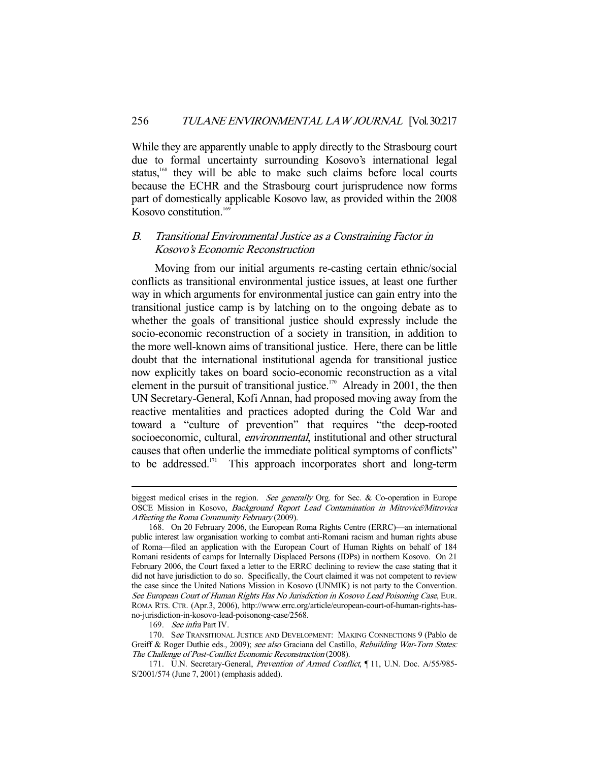While they are apparently unable to apply directly to the Strasbourg court due to formal uncertainty surrounding Kosovo's international legal status,<sup>168</sup> they will be able to make such claims before local courts because the ECHR and the Strasbourg court jurisprudence now forms part of domestically applicable Kosovo law, as provided within the 2008 Kosovo constitution.<sup>169</sup>

#### B. Transitional Environmental Justice as a Constraining Factor in Kosovo's Economic Reconstruction

 Moving from our initial arguments re-casting certain ethnic/social conflicts as transitional environmental justice issues, at least one further way in which arguments for environmental justice can gain entry into the transitional justice camp is by latching on to the ongoing debate as to whether the goals of transitional justice should expressly include the socio-economic reconstruction of a society in transition, in addition to the more well-known aims of transitional justice. Here, there can be little doubt that the international institutional agenda for transitional justice now explicitly takes on board socio-economic reconstruction as a vital element in the pursuit of transitional justice.<sup>170</sup> Already in 2001, the then UN Secretary-General, Kofi Annan, had proposed moving away from the reactive mentalities and practices adopted during the Cold War and toward a "culture of prevention" that requires "the deep-rooted socioeconomic, cultural, *environmental*, institutional and other structural causes that often underlie the immediate political symptoms of conflicts" to be addressed.<sup>171</sup> This approach incorporates short and long-term

biggest medical crises in the region. See generally Org. for Sec. & Co-operation in Europe OSCE Mission in Kosovo, Background Report Lead Contamination in Mitrovice*̈*/Mitrovica Affecting the Roma Community February (2009).

 <sup>168.</sup> On 20 February 2006, the European Roma Rights Centre (ERRC)—an international public interest law organisation working to combat anti-Romani racism and human rights abuse of Roma—filed an application with the European Court of Human Rights on behalf of 184 Romani residents of camps for Internally Displaced Persons (IDPs) in northern Kosovo. On 21 February 2006, the Court faxed a letter to the ERRC declining to review the case stating that it did not have jurisdiction to do so. Specifically, the Court claimed it was not competent to review the case since the United Nations Mission in Kosovo (UNMIK) is not party to the Convention. See European Court of Human Rights Has No Jurisdiction in Kosovo Lead Poisoning Case, EUR. ROMA RTS. CTR. (Apr.3, 2006), http://www.errc.org/article/european-court-of-human-rights-hasno-jurisdiction-in-kosovo-lead-poisonong-case/2568.

 <sup>169.</sup> See infra Part IV.

 <sup>170.</sup> See TRANSITIONAL JUSTICE AND DEVELOPMENT: MAKING CONNECTIONS 9 (Pablo de Greiff & Roger Duthie eds., 2009); see also Graciana del Castillo, Rebuilding War-Torn States: The Challenge of Post-Conflict Economic Reconstruction (2008).

<sup>171.</sup> U.N. Secretary-General, Prevention of Armed Conflict, ¶11, U.N. Doc. A/55/985-S/2001/574 (June 7, 2001) (emphasis added).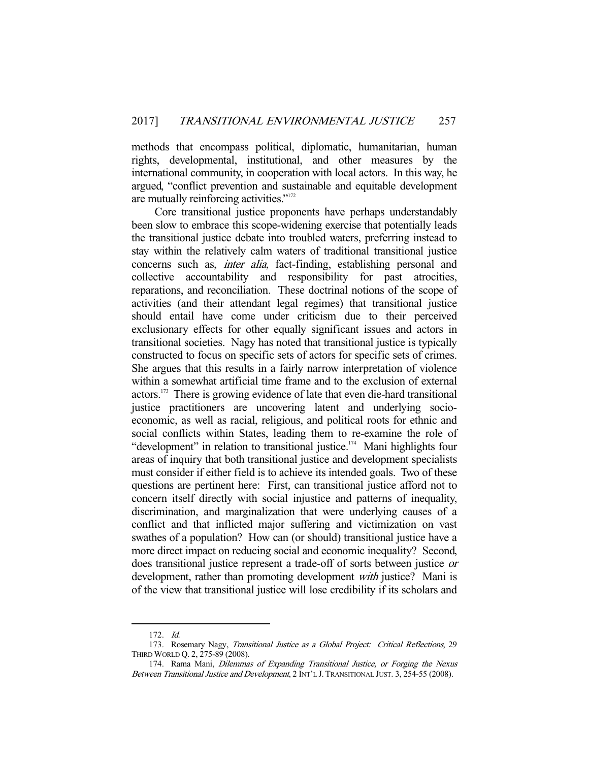methods that encompass political, diplomatic, humanitarian, human rights, developmental, institutional, and other measures by the international community, in cooperation with local actors. In this way, he argued, "conflict prevention and sustainable and equitable development are mutually reinforcing activities."<sup>172</sup>

 Core transitional justice proponents have perhaps understandably been slow to embrace this scope-widening exercise that potentially leads the transitional justice debate into troubled waters, preferring instead to stay within the relatively calm waters of traditional transitional justice concerns such as, *inter alia*, fact-finding, establishing personal and collective accountability and responsibility for past atrocities, reparations, and reconciliation. These doctrinal notions of the scope of activities (and their attendant legal regimes) that transitional justice should entail have come under criticism due to their perceived exclusionary effects for other equally significant issues and actors in transitional societies. Nagy has noted that transitional justice is typically constructed to focus on specific sets of actors for specific sets of crimes. She argues that this results in a fairly narrow interpretation of violence within a somewhat artificial time frame and to the exclusion of external actors.173 There is growing evidence of late that even die-hard transitional justice practitioners are uncovering latent and underlying socioeconomic, as well as racial, religious, and political roots for ethnic and social conflicts within States, leading them to re-examine the role of "development" in relation to transitional justice.<sup>174</sup> Mani highlights four areas of inquiry that both transitional justice and development specialists must consider if either field is to achieve its intended goals. Two of these questions are pertinent here: First, can transitional justice afford not to concern itself directly with social injustice and patterns of inequality, discrimination, and marginalization that were underlying causes of a conflict and that inflicted major suffering and victimization on vast swathes of a population? How can (or should) transitional justice have a more direct impact on reducing social and economic inequality? Second, does transitional justice represent a trade-off of sorts between justice or development, rather than promoting development *with* justice? Mani is of the view that transitional justice will lose credibility if its scholars and

 <sup>172.</sup> Id.

<sup>173.</sup> Rosemary Nagy, Transitional Justice as a Global Project: Critical Reflections, 29 THIRD WORLD Q. 2, 275-89 (2008).

<sup>174.</sup> Rama Mani, Dilemmas of Expanding Transitional Justice, or Forging the Nexus Between Transitional Justice and Development, 2 INT'L J. TRANSITIONAL JUST. 3, 254-55 (2008).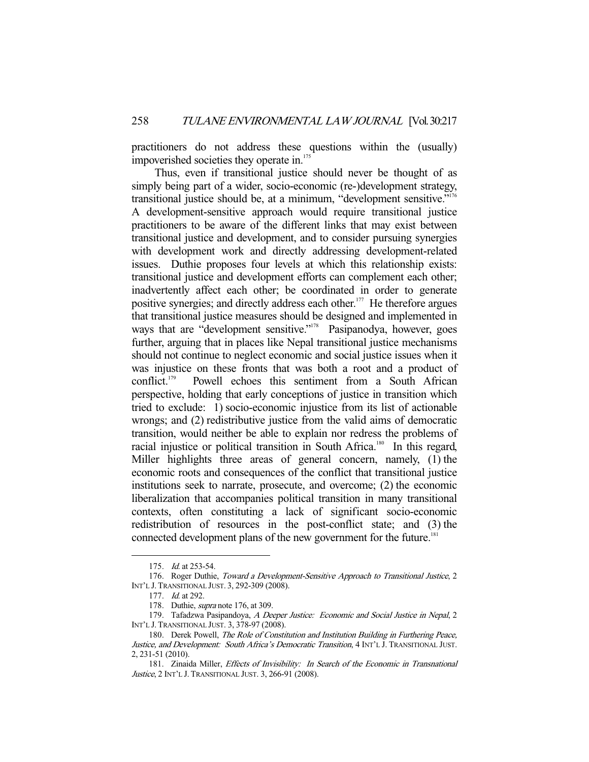practitioners do not address these questions within the (usually) impoverished societies they operate in.<sup>175</sup>

 Thus, even if transitional justice should never be thought of as simply being part of a wider, socio-economic (re-)development strategy, transitional justice should be, at a minimum, "development sensitive."<sup>176</sup> A development-sensitive approach would require transitional justice practitioners to be aware of the different links that may exist between transitional justice and development, and to consider pursuing synergies with development work and directly addressing development-related issues. Duthie proposes four levels at which this relationship exists: transitional justice and development efforts can complement each other; inadvertently affect each other; be coordinated in order to generate positive synergies; and directly address each other.<sup>177</sup> He therefore argues that transitional justice measures should be designed and implemented in ways that are "development sensitive."<sup>178</sup> Pasipanodya, however, goes further, arguing that in places like Nepal transitional justice mechanisms should not continue to neglect economic and social justice issues when it was injustice on these fronts that was both a root and a product of conflict.<sup>179</sup> Powell echoes this sentiment from a South African perspective, holding that early conceptions of justice in transition which tried to exclude: 1) socio-economic injustice from its list of actionable wrongs; and (2) redistributive justice from the valid aims of democratic transition, would neither be able to explain nor redress the problems of racial injustice or political transition in South Africa.<sup>180</sup> In this regard, Miller highlights three areas of general concern, namely, (1) the economic roots and consequences of the conflict that transitional justice institutions seek to narrate, prosecute, and overcome; (2) the economic liberalization that accompanies political transition in many transitional contexts, often constituting a lack of significant socio-economic redistribution of resources in the post-conflict state; and (3) the connected development plans of the new government for the future.<sup>181</sup>

 <sup>175.</sup> Id. at 253-54.

<sup>176.</sup> Roger Duthie, Toward a Development-Sensitive Approach to Transitional Justice, 2 INT'L J. TRANSITIONAL JUST. 3, 292-309 (2008).

 <sup>177.</sup> Id. at 292.

 <sup>178.</sup> Duthie, supra note 176, at 309.

<sup>179.</sup> Tafadzwa Pasipandoya, A Deeper Justice: Economic and Social Justice in Nepal, 2 INT'L J. TRANSITIONAL JUST. 3, 378-97 (2008).

<sup>180.</sup> Derek Powell, The Role of Constitution and Institution Building in Furthering Peace, Justice, and Development: South Africa's Democratic Transition, 4 INT'L J. TRANSITIONAL JUST. 2, 231-51 (2010).

 <sup>181.</sup> Zinaida Miller, Effects of Invisibility: In Search of the Economic in Transnational Justice, 2 INT'L J. TRANSITIONAL JUST. 3, 266-91 (2008).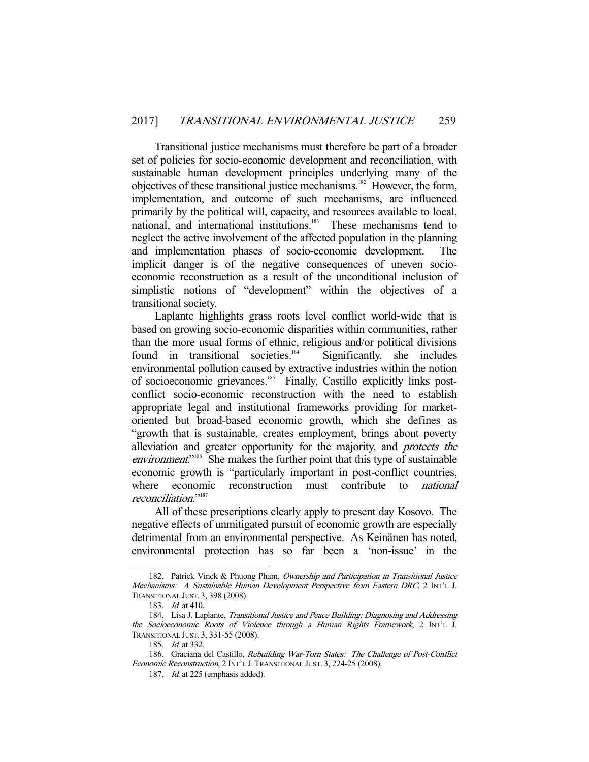Transitional justice mechanisms must therefore be part of a broader set of policies for socio-economic development and reconciliation, with sustainable human development principles underlying many of the objectives of these transitional justice mechanisms.182 However, the form, implementation, and outcome of such mechanisms, are influenced primarily by the political will, capacity, and resources available to local, national, and international institutions.<sup>183</sup> These mechanisms tend to neglect the active involvement of the affected population in the planning and implementation phases of socio-economic development. The implicit danger is of the negative consequences of uneven socioeconomic reconstruction as a result of the unconditional inclusion of simplistic notions of "development" within the objectives of a transitional society.

 Laplante highlights grass roots level conflict world-wide that is based on growing socio-economic disparities within communities, rather than the more usual forms of ethnic, religious and/or political divisions found in transitional societies.<sup>184</sup> Significantly, she includes environmental pollution caused by extractive industries within the notion of socioeconomic grievances.185 Finally, Castillo explicitly links postconflict socio-economic reconstruction with the need to establish appropriate legal and institutional frameworks providing for marketoriented but broad-based economic growth, which she defines as "growth that is sustainable, creates employment, brings about poverty alleviation and greater opportunity for the majority, and protects the environment.<sup>"186</sup> She makes the further point that this type of sustainable economic growth is "particularly important in post-conflict countries, where economic reconstruction must contribute to *national* reconciliation." 187

 All of these prescriptions clearly apply to present day Kosovo. The negative effects of unmitigated pursuit of economic growth are especially detrimental from an environmental perspective. As Keinänen has noted, environmental protection has so far been a 'non-issue' in the

<sup>182.</sup> Patrick Vinck & Phuong Pham, Ownership and Participation in Transitional Justice Mechanisms: A Sustainable Human Development Perspective from Eastern DRC, 2 INT'L J. TRANSITIONAL JUST. 3, 398 (2008).

<sup>183.</sup> *Id.* at 410.

<sup>184.</sup> Lisa J. Laplante, Transitional Justice and Peace Building: Diagnosing and Addressing the Socioeconomic Roots of Violence through a Human Rights Framework, 2 INT'L J. TRANSITIONAL JUST. 3, 331-55 (2008).

<sup>185.</sup> *Id.* at 332.

 <sup>186.</sup> Graciana del Castillo, Rebuilding War-Torn States: The Challenge of Post-Conflict Economic Reconstruction, 2 INT'L J. TRANSITIONAL JUST. 3, 224-25 (2008).

<sup>187.</sup> Id. at 225 (emphasis added).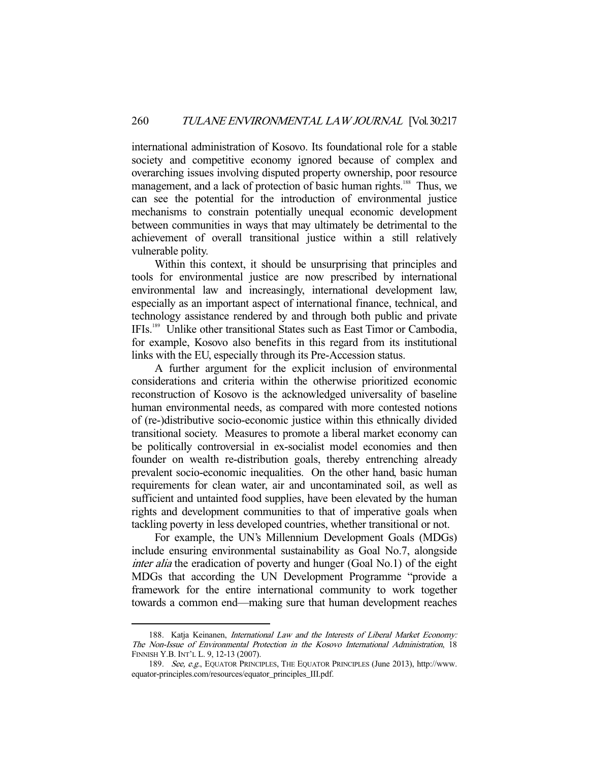international administration of Kosovo. Its foundational role for a stable society and competitive economy ignored because of complex and overarching issues involving disputed property ownership, poor resource management, and a lack of protection of basic human rights.<sup>188</sup> Thus, we can see the potential for the introduction of environmental justice mechanisms to constrain potentially unequal economic development between communities in ways that may ultimately be detrimental to the achievement of overall transitional justice within a still relatively vulnerable polity.

 Within this context, it should be unsurprising that principles and tools for environmental justice are now prescribed by international environmental law and increasingly, international development law, especially as an important aspect of international finance, technical, and technology assistance rendered by and through both public and private IFIs.189 Unlike other transitional States such as East Timor or Cambodia, for example, Kosovo also benefits in this regard from its institutional links with the EU, especially through its Pre-Accession status.

 A further argument for the explicit inclusion of environmental considerations and criteria within the otherwise prioritized economic reconstruction of Kosovo is the acknowledged universality of baseline human environmental needs, as compared with more contested notions of (re-)distributive socio-economic justice within this ethnically divided transitional society. Measures to promote a liberal market economy can be politically controversial in ex-socialist model economies and then founder on wealth re-distribution goals, thereby entrenching already prevalent socio-economic inequalities. On the other hand, basic human requirements for clean water, air and uncontaminated soil, as well as sufficient and untainted food supplies, have been elevated by the human rights and development communities to that of imperative goals when tackling poverty in less developed countries, whether transitional or not.

 For example, the UN's Millennium Development Goals (MDGs) include ensuring environmental sustainability as Goal No.7, alongside inter alia the eradication of poverty and hunger (Goal No.1) of the eight MDGs that according the UN Development Programme "provide a framework for the entire international community to work together towards a common end—making sure that human development reaches

 <sup>188.</sup> Katja Keinanen, International Law and the Interests of Liberal Market Economy: The Non-Issue of Environmental Protection in the Kosovo International Administration, 18 FINNISH Y.B. INT'L L. 9, 12-13 (2007).

 <sup>189.</sup> See, e.g., EQUATOR PRINCIPLES, THE EQUATOR PRINCIPLES (June 2013), http://www. equator-principles.com/resources/equator\_principles\_III.pdf.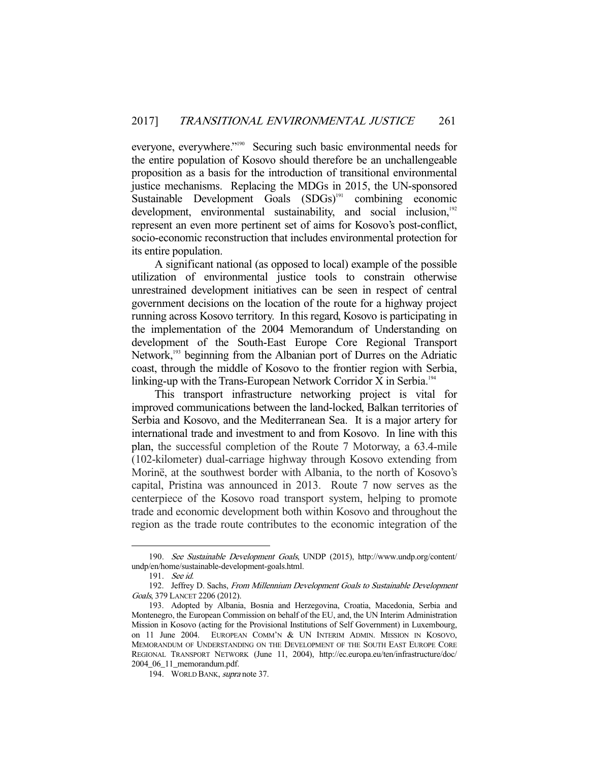everyone, everywhere."190 Securing such basic environmental needs for the entire population of Kosovo should therefore be an unchallengeable proposition as a basis for the introduction of transitional environmental justice mechanisms. Replacing the MDGs in 2015, the UN-sponsored Sustainable Development Goals (SDGs)<sup>191</sup> combining economic development, environmental sustainability, and social inclusion, $192$ represent an even more pertinent set of aims for Kosovo's post-conflict, socio-economic reconstruction that includes environmental protection for its entire population.

 A significant national (as opposed to local) example of the possible utilization of environmental justice tools to constrain otherwise unrestrained development initiatives can be seen in respect of central government decisions on the location of the route for a highway project running across Kosovo territory. In this regard, Kosovo is participating in the implementation of the 2004 Memorandum of Understanding on development of the South-East Europe Core Regional Transport Network,<sup>193</sup> beginning from the Albanian port of Durres on the Adriatic coast, through the middle of Kosovo to the frontier region with Serbia, linking-up with the Trans-European Network Corridor X in Serbia.<sup>194</sup>

 This transport infrastructure networking project is vital for improved communications between the land-locked, Balkan territories of Serbia and Kosovo, and the Mediterranean Sea. It is a major artery for international trade and investment to and from Kosovo. In line with this plan, the successful completion of the Route 7 Motorway, a 63.4-mile (102-kilometer) dual-carriage highway through Kosovo extending from Morinë, at the southwest border with Albania, to the north of Kosovo's capital, Pristina was announced in 2013. Route 7 now serves as the centerpiece of the Kosovo road transport system, helping to promote trade and economic development both within Kosovo and throughout the region as the trade route contributes to the economic integration of the

 <sup>190.</sup> See Sustainable Development Goals, UNDP (2015), http://www.undp.org/content/ undp/en/home/sustainable-development-goals.html.

 <sup>191.</sup> See id.

<sup>192.</sup> Jeffrey D. Sachs, From Millennium Development Goals to Sustainable Development Goals, 379 LANCET 2206 (2012).

 <sup>193.</sup> Adopted by Albania, Bosnia and Herzegovina, Croatia, Macedonia, Serbia and Montenegro, the European Commission on behalf of the EU, and, the UN Interim Administration Mission in Kosovo (acting for the Provisional Institutions of Self Government) in Luxembourg, on 11 June 2004. EUROPEAN COMM'N & UN INTERIM ADMIN. MISSION IN KOSOVO, MEMORANDUM OF UNDERSTANDING ON THE DEVELOPMENT OF THE SOUTH EAST EUROPE CORE REGIONAL TRANSPORT NETWORK (June 11, 2004), http://ec.europa.eu/ten/infrastructure/doc/ 2004\_06\_11\_memorandum.pdf.

 <sup>194.</sup> WORLD BANK, supra note 37.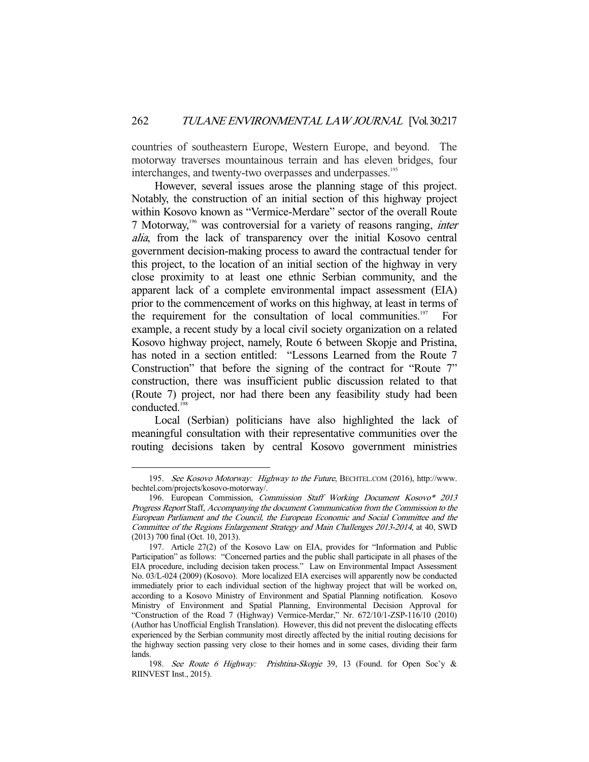countries of southeastern Europe, Western Europe, and beyond. The motorway traverses mountainous terrain and has eleven bridges, four interchanges, and twenty-two overpasses and underpasses.<sup>195</sup>

 However, several issues arose the planning stage of this project. Notably, the construction of an initial section of this highway project within Kosovo known as "Vermice-Merdare" sector of the overall Route 7 Motorway,196 was controversial for a variety of reasons ranging, inter alia, from the lack of transparency over the initial Kosovo central government decision-making process to award the contractual tender for this project, to the location of an initial section of the highway in very close proximity to at least one ethnic Serbian community, and the apparent lack of a complete environmental impact assessment (EIA) prior to the commencement of works on this highway, at least in terms of the requirement for the consultation of local communities.197 For example, a recent study by a local civil society organization on a related Kosovo highway project, namely, Route 6 between Skopje and Pristina, has noted in a section entitled: "Lessons Learned from the Route 7 Construction" that before the signing of the contract for "Route 7" construction, there was insufficient public discussion related to that (Route 7) project, nor had there been any feasibility study had been conducted.<sup>19</sup>

 Local (Serbian) politicians have also highlighted the lack of meaningful consultation with their representative communities over the routing decisions taken by central Kosovo government ministries

 <sup>195.</sup> See Kosovo Motorway: Highway to the Future, BECHTEL.COM (2016), http://www. bechtel.com/projects/kosovo-motorway/.

 <sup>196.</sup> European Commission, Commission Staff Working Document Kosovo\* 2013 Progress Report Staff, Accompanying the document Communication from the Commission to the European Parliament and the Council, the European Economic and Social Committee and the Committee of the Regions Enlargement Strategy and Main Challenges 2013-2014, at 40, SWD (2013) 700 final (Oct. 10, 2013).

 <sup>197.</sup> Article 27(2) of the Kosovo Law on EIA, provides for "Information and Public Participation" as follows: "Concerned parties and the public shall participate in all phases of the EIA procedure, including decision taken process." Law on Environmental Impact Assessment No. 03/L-024 (2009) (Kosovo). More localized EIA exercises will apparently now be conducted immediately prior to each individual section of the highway project that will be worked on, according to a Kosovo Ministry of Environment and Spatial Planning notification. Kosovo Ministry of Environment and Spatial Planning, Environmental Decision Approval for "Construction of the Road 7 (Highway) Vermice-Merdar," Nr. 672/10/1-ZSP-116/10 (2010) (Author has Unofficial English Translation). However, this did not prevent the dislocating effects experienced by the Serbian community most directly affected by the initial routing decisions for the highway section passing very close to their homes and in some cases, dividing their farm lands.

 <sup>198.</sup> See Route 6 Highway: Prishtina-Skopje 39, 13 (Found. for Open Soc'y & RIINVEST Inst., 2015).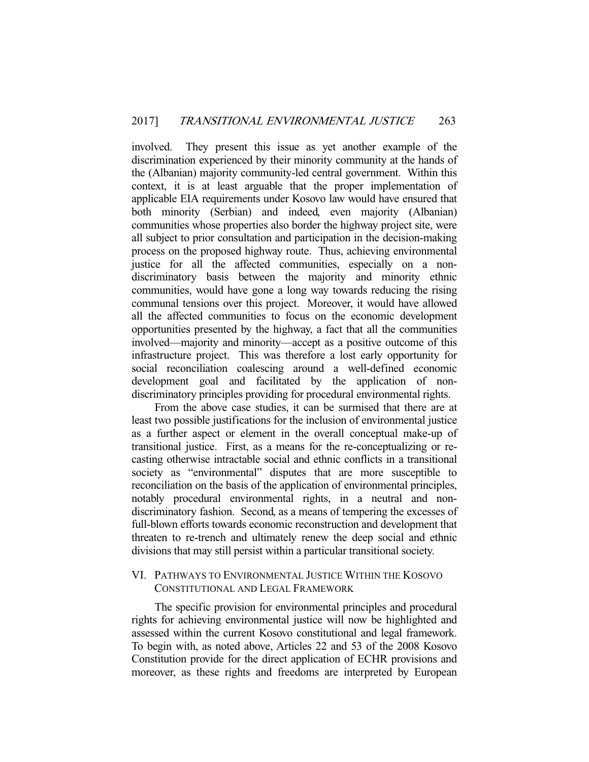involved. They present this issue as yet another example of the discrimination experienced by their minority community at the hands of the (Albanian) majority community-led central government. Within this context, it is at least arguable that the proper implementation of applicable EIA requirements under Kosovo law would have ensured that both minority (Serbian) and indeed, even majority (Albanian) communities whose properties also border the highway project site, were all subject to prior consultation and participation in the decision-making process on the proposed highway route. Thus, achieving environmental justice for all the affected communities, especially on a nondiscriminatory basis between the majority and minority ethnic communities, would have gone a long way towards reducing the rising communal tensions over this project. Moreover, it would have allowed all the affected communities to focus on the economic development opportunities presented by the highway, a fact that all the communities involved—majority and minority—accept as a positive outcome of this infrastructure project. This was therefore a lost early opportunity for social reconciliation coalescing around a well-defined economic development goal and facilitated by the application of nondiscriminatory principles providing for procedural environmental rights.

 From the above case studies, it can be surmised that there are at least two possible justifications for the inclusion of environmental justice as a further aspect or element in the overall conceptual make-up of transitional justice. First, as a means for the re-conceptualizing or recasting otherwise intractable social and ethnic conflicts in a transitional society as "environmental" disputes that are more susceptible to reconciliation on the basis of the application of environmental principles, notably procedural environmental rights, in a neutral and nondiscriminatory fashion. Second, as a means of tempering the excesses of full-blown efforts towards economic reconstruction and development that threaten to re-trench and ultimately renew the deep social and ethnic divisions that may still persist within a particular transitional society.

#### VI. PATHWAYS TO ENVIRONMENTAL JUSTICE WITHIN THE KOSOVO CONSTITUTIONAL AND LEGAL FRAMEWORK

 The specific provision for environmental principles and procedural rights for achieving environmental justice will now be highlighted and assessed within the current Kosovo constitutional and legal framework. To begin with, as noted above, Articles 22 and 53 of the 2008 Kosovo Constitution provide for the direct application of ECHR provisions and moreover, as these rights and freedoms are interpreted by European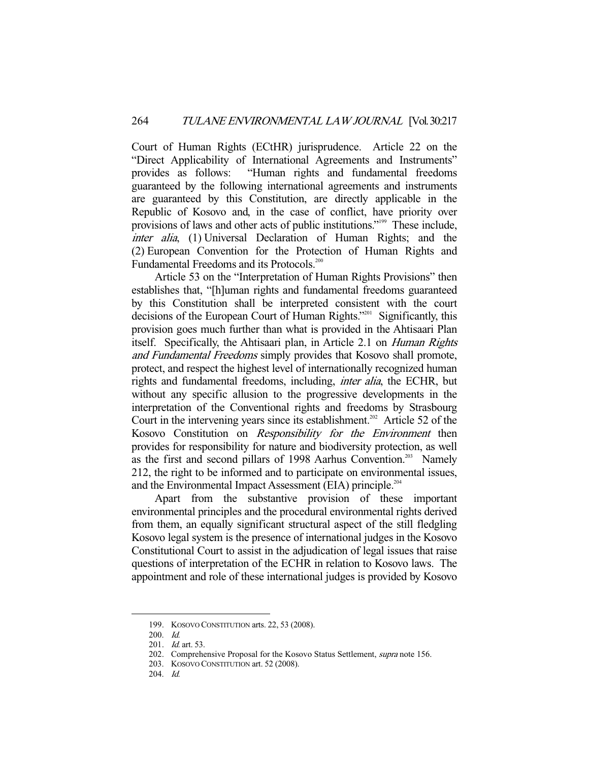Court of Human Rights (ECtHR) jurisprudence. Article 22 on the "Direct Applicability of International Agreements and Instruments" provides as follows: "Human rights and fundamental freedoms guaranteed by the following international agreements and instruments are guaranteed by this Constitution, are directly applicable in the Republic of Kosovo and, in the case of conflict, have priority over provisions of laws and other acts of public institutions."<sup>199</sup> These include, inter alia, (1) Universal Declaration of Human Rights; and the (2) European Convention for the Protection of Human Rights and Fundamental Freedoms and its Protocols.<sup>200</sup>

 Article 53 on the "Interpretation of Human Rights Provisions" then establishes that, "[h]uman rights and fundamental freedoms guaranteed by this Constitution shall be interpreted consistent with the court decisions of the European Court of Human Rights."201 Significantly, this provision goes much further than what is provided in the Ahtisaari Plan itself. Specifically, the Ahtisaari plan, in Article 2.1 on Human Rights and Fundamental Freedoms simply provides that Kosovo shall promote, protect, and respect the highest level of internationally recognized human rights and fundamental freedoms, including, inter alia, the ECHR, but without any specific allusion to the progressive developments in the interpretation of the Conventional rights and freedoms by Strasbourg Court in the intervening years since its establishment.<sup>202</sup> Article 52 of the Kosovo Constitution on Responsibility for the Environment then provides for responsibility for nature and biodiversity protection, as well as the first and second pillars of 1998 Aarhus Convention.<sup>203</sup> Namely 212, the right to be informed and to participate on environmental issues, and the Environmental Impact Assessment (EIA) principle.<sup>204</sup>

 Apart from the substantive provision of these important environmental principles and the procedural environmental rights derived from them, an equally significant structural aspect of the still fledgling Kosovo legal system is the presence of international judges in the Kosovo Constitutional Court to assist in the adjudication of legal issues that raise questions of interpretation of the ECHR in relation to Kosovo laws. The appointment and role of these international judges is provided by Kosovo

 <sup>199.</sup> KOSOVO CONSTITUTION arts. 22, 53 (2008).

 <sup>200.</sup> Id.

<sup>201.</sup> *Id.* art. 53.

<sup>202.</sup> Comprehensive Proposal for the Kosovo Status Settlement, *supra* note 156.

 <sup>203.</sup> KOSOVO CONSTITUTION art. 52 (2008).

 <sup>204.</sup> Id.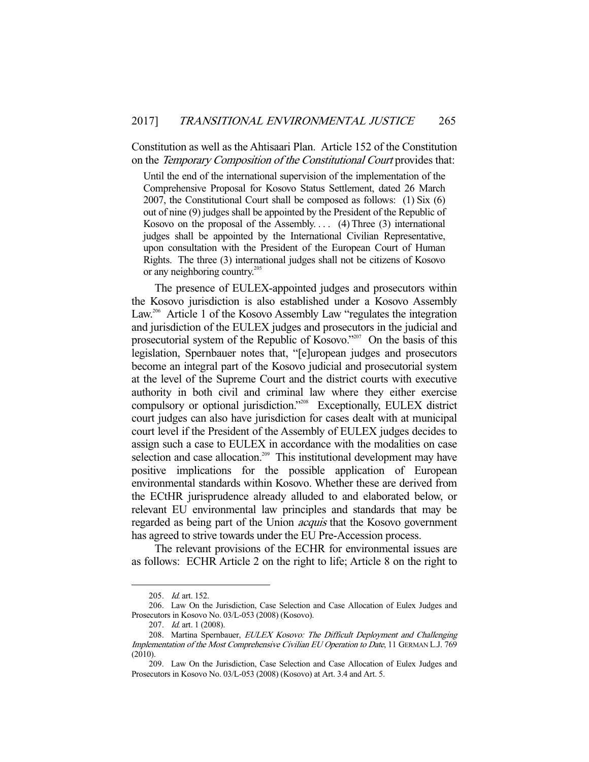Constitution as well as the Ahtisaari Plan. Article 152 of the Constitution on the Temporary Composition of the Constitutional Court provides that:

Until the end of the international supervision of the implementation of the Comprehensive Proposal for Kosovo Status Settlement, dated 26 March 2007, the Constitutional Court shall be composed as follows: (1) Six (6) out of nine (9) judges shall be appointed by the President of the Republic of Kosovo on the proposal of the Assembly....  $(4)$  Three  $(3)$  international judges shall be appointed by the International Civilian Representative, upon consultation with the President of the European Court of Human Rights. The three (3) international judges shall not be citizens of Kosovo or any neighboring country.<sup>205</sup>

 The presence of EULEX-appointed judges and prosecutors within the Kosovo jurisdiction is also established under a Kosovo Assembly Law.<sup>206</sup> Article 1 of the Kosovo Assembly Law "regulates the integration and jurisdiction of the EULEX judges and prosecutors in the judicial and prosecutorial system of the Republic of Kosovo."<sup>207</sup> On the basis of this legislation, Spernbauer notes that, "[e]uropean judges and prosecutors become an integral part of the Kosovo judicial and prosecutorial system at the level of the Supreme Court and the district courts with executive authority in both civil and criminal law where they either exercise compulsory or optional jurisdiction."<sup>208</sup> Exceptionally, EULEX district court judges can also have jurisdiction for cases dealt with at municipal court level if the President of the Assembly of EULEX judges decides to assign such a case to EULEX in accordance with the modalities on case selection and case allocation.<sup>209</sup> This institutional development may have positive implications for the possible application of European environmental standards within Kosovo. Whether these are derived from the ECtHR jurisprudence already alluded to and elaborated below, or relevant EU environmental law principles and standards that may be regarded as being part of the Union *acquis* that the Kosovo government has agreed to strive towards under the EU Pre-Accession process.

 The relevant provisions of the ECHR for environmental issues are as follows: ECHR Article 2 on the right to life; Article 8 on the right to

<sup>205.</sup> *Id.* art. 152.

 <sup>206.</sup> Law On the Jurisdiction, Case Selection and Case Allocation of Eulex Judges and Prosecutors in Kosovo No. 03/L-053 (2008) (Kosovo).

<sup>207.</sup> *Id.* art. 1 (2008).

<sup>208.</sup> Martina Spernbauer, EULEX Kosovo: The Difficult Deployment and Challenging Implementation of the Most Comprehensive Civilian EU Operation to Date, 11 GERMAN L.J. 769 (2010).

 <sup>209.</sup> Law On the Jurisdiction, Case Selection and Case Allocation of Eulex Judges and Prosecutors in Kosovo No. 03/L-053 (2008) (Kosovo) at Art. 3.4 and Art. 5.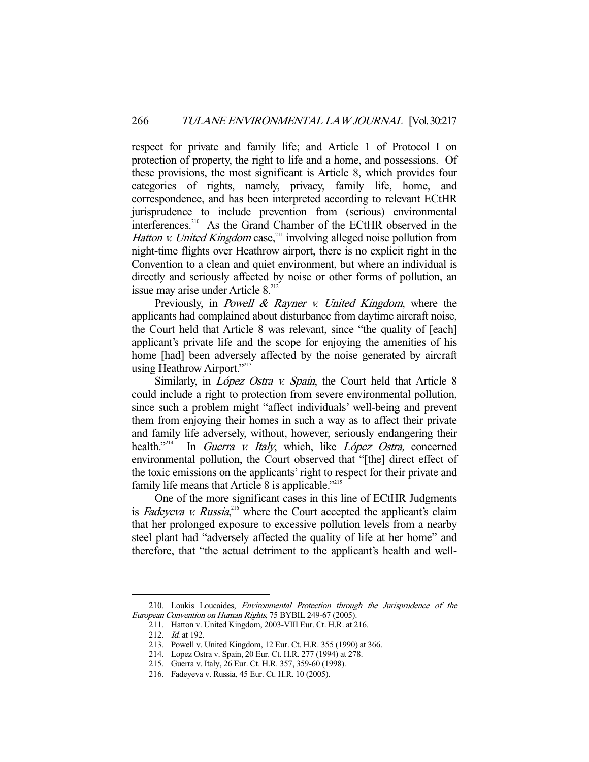respect for private and family life; and Article 1 of Protocol I on protection of property, the right to life and a home, and possessions. Of these provisions, the most significant is Article 8, which provides four categories of rights, namely, privacy, family life, home, and correspondence, and has been interpreted according to relevant ECtHR jurisprudence to include prevention from (serious) environmental interferences.<sup>210</sup> As the Grand Chamber of the ECtHR observed in the Hatton v. United Kingdom case,<sup>211</sup> involving alleged noise pollution from night-time flights over Heathrow airport, there is no explicit right in the Convention to a clean and quiet environment, but where an individual is directly and seriously affected by noise or other forms of pollution, an issue may arise under Article  $8.^{212}$ 

Previously, in *Powell & Rayner v. United Kingdom*, where the applicants had complained about disturbance from daytime aircraft noise, the Court held that Article 8 was relevant, since "the quality of [each] applicant's private life and the scope for enjoying the amenities of his home [had] been adversely affected by the noise generated by aircraft using Heathrow Airport."<sup>213</sup>

Similarly, in *López Ostra v. Spain*, the Court held that Article 8 could include a right to protection from severe environmental pollution, since such a problem might "affect individuals' well-being and prevent them from enjoying their homes in such a way as to affect their private and family life adversely, without, however, seriously endangering their health."<sup>214</sup> In *Guerra v. Italy*, which, like *López Ostra*, concerned environmental pollution, the Court observed that "[the] direct effect of the toxic emissions on the applicants' right to respect for their private and family life means that Article 8 is applicable."<sup>215</sup>

 One of the more significant cases in this line of ECtHR Judgments is Fadeyeva v. Russia,<sup>216</sup> where the Court accepted the applicant's claim that her prolonged exposure to excessive pollution levels from a nearby steel plant had "adversely affected the quality of life at her home" and therefore, that "the actual detriment to the applicant's health and well-

 <sup>210.</sup> Loukis Loucaides, Environmental Protection through the Jurisprudence of the European Convention on Human Rights, 75 BYBIL 249-67 (2005).

 <sup>211.</sup> Hatton v. United Kingdom, 2003-VIII Eur. Ct. H.R. at 216.

<sup>212.</sup> *Id.* at 192.

 <sup>213.</sup> Powell v. United Kingdom, 12 Eur. Ct. H.R. 355 (1990) at 366.

 <sup>214.</sup> Lopez Ostra v. Spain, 20 Eur. Ct. H.R. 277 (1994) at 278.

 <sup>215.</sup> Guerra v. Italy, 26 Eur. Ct. H.R. 357, 359-60 (1998).

 <sup>216.</sup> Fadeyeva v. Russia, 45 Eur. Ct. H.R. 10 (2005).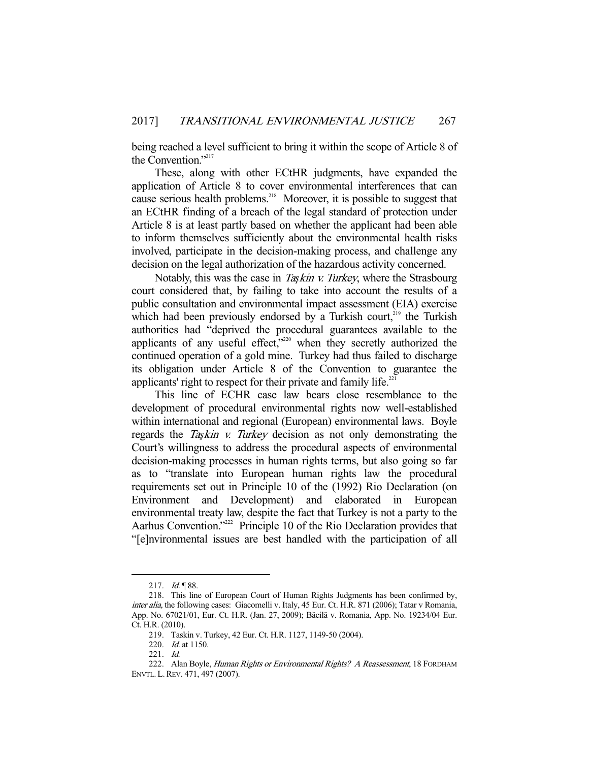being reached a level sufficient to bring it within the scope of Article 8 of the Convention."<sup>217</sup>

 These, along with other ECtHR judgments, have expanded the application of Article 8 to cover environmental interferences that can cause serious health problems.<sup>218</sup> Moreover, it is possible to suggest that an ECtHR finding of a breach of the legal standard of protection under Article 8 is at least partly based on whether the applicant had been able to inform themselves sufficiently about the environmental health risks involved, participate in the decision-making process, and challenge any decision on the legal authorization of the hazardous activity concerned.

 Notably, this was the case in Ta*ş*kin v. Turkey, where the Strasbourg court considered that, by failing to take into account the results of a public consultation and environmental impact assessment (EIA) exercise which had been previously endorsed by a Turkish court, $219$  the Turkish authorities had "deprived the procedural guarantees available to the applicants of any useful effect,"220 when they secretly authorized the continued operation of a gold mine. Turkey had thus failed to discharge its obligation under Article 8 of the Convention to guarantee the applicants' right to respect for their private and family life. $221$ 

 This line of ECHR case law bears close resemblance to the development of procedural environmental rights now well-established within international and regional (European) environmental laws. Boyle regards the Ta*ş*kin v. Turkey decision as not only demonstrating the Court's willingness to address the procedural aspects of environmental decision-making processes in human rights terms, but also going so far as to "translate into European human rights law the procedural requirements set out in Principle 10 of the (1992) Rio Declaration (on Environment and Development) and elaborated in European environmental treaty law, despite the fact that Turkey is not a party to the Aarhus Convention."<sup>222</sup> Principle 10 of the Rio Declaration provides that "[e]nvironmental issues are best handled with the participation of all

<sup>217.</sup> *Id.* 188.

 <sup>218.</sup> This line of European Court of Human Rights Judgments has been confirmed by, inter alia, the following cases: Giacomelli v. Italy, 45 Eur. Ct. H.R. 871 (2006); Tatar v Romania, App. No. 67021/01, Eur. Ct. H.R. (Jan. 27, 2009); Băcilă v. Romania, App. No. 19234/04 Eur. Ct. H.R. (2010).

 <sup>219.</sup> Taskin v. Turkey, 42 Eur. Ct. H.R. 1127, 1149-50 (2004).

<sup>220.</sup> *Id.* at 1150.

 <sup>221.</sup> Id.

<sup>222.</sup> Alan Boyle, Human Rights or Environmental Rights? A Reassessment, 18 FORDHAM ENVTL. L.REV. 471, 497 (2007).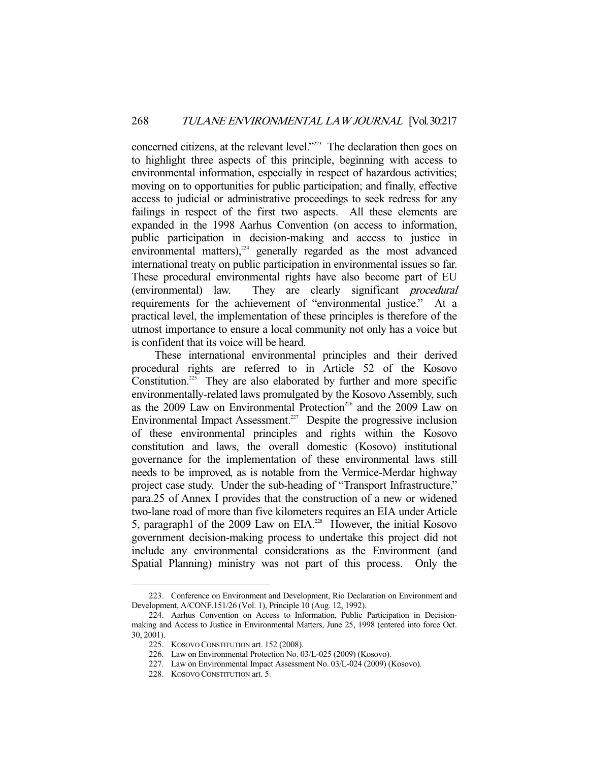concerned citizens, at the relevant level."223 The declaration then goes on to highlight three aspects of this principle, beginning with access to environmental information, especially in respect of hazardous activities; moving on to opportunities for public participation; and finally, effective access to judicial or administrative proceedings to seek redress for any failings in respect of the first two aspects. All these elements are expanded in the 1998 Aarhus Convention (on access to information, public participation in decision-making and access to justice in environmental matters), $224$  generally regarded as the most advanced international treaty on public participation in environmental issues so far. These procedural environmental rights have also become part of EU (environmental) law. They are clearly significant procedural requirements for the achievement of "environmental justice." At a practical level, the implementation of these principles is therefore of the utmost importance to ensure a local community not only has a voice but is confident that its voice will be heard.

 These international environmental principles and their derived procedural rights are referred to in Article 52 of the Kosovo Constitution.<sup>225</sup> They are also elaborated by further and more specific environmentally-related laws promulgated by the Kosovo Assembly, such as the 2009 Law on Environmental Protection<sup>226</sup> and the 2009 Law on Environmental Impact Assessment.<sup>227</sup> Despite the progressive inclusion of these environmental principles and rights within the Kosovo constitution and laws, the overall domestic (Kosovo) institutional governance for the implementation of these environmental laws still needs to be improved, as is notable from the Vermice-Merdar highway project case study. Under the sub-heading of "Transport Infrastructure," para.25 of Annex I provides that the construction of a new or widened two-lane road of more than five kilometers requires an EIA under Article 5, paragraph1 of the 2009 Law on  $EIA<sup>228</sup>$  However, the initial Kosovo government decision-making process to undertake this project did not include any environmental considerations as the Environment (and Spatial Planning) ministry was not part of this process. Only the

 <sup>223.</sup> Conference on Environment and Development, Rio Declaration on Environment and Development, A/CONF.151/26 (Vol. 1), Principle 10 (Aug. 12, 1992).

 <sup>224.</sup> Aarhus Convention on Access to Information, Public Participation in Decisionmaking and Access to Justice in Environmental Matters, June 25, 1998 (entered into force Oct. 30, 2001).

 <sup>225.</sup> KOSOVO CONSTITUTION art. 152 (2008).

 <sup>226.</sup> Law on Environmental Protection No. 03/L-025 (2009) (Kosovo).

 <sup>227.</sup> Law on Environmental Impact Assessment No. 03/L-024 (2009) (Kosovo).

 <sup>228.</sup> KOSOVO CONSTITUTION art. 5.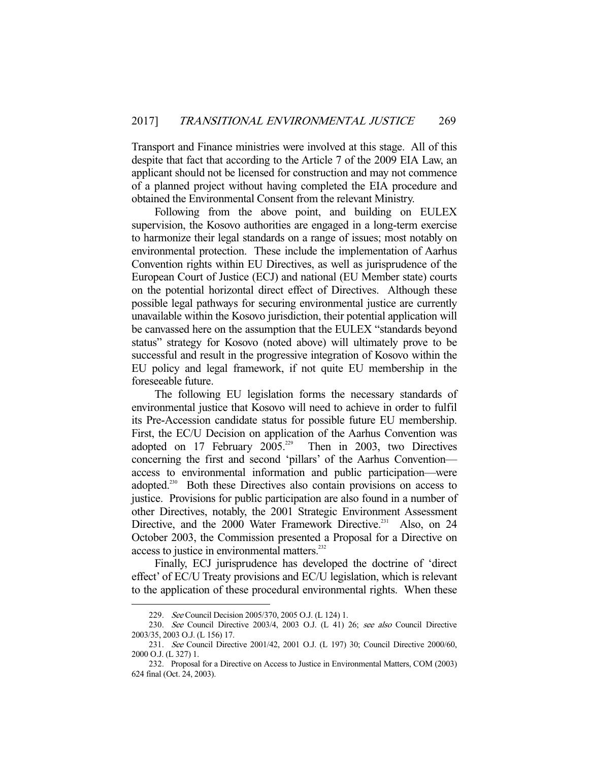Transport and Finance ministries were involved at this stage. All of this despite that fact that according to the Article 7 of the 2009 EIA Law, an applicant should not be licensed for construction and may not commence of a planned project without having completed the EIA procedure and obtained the Environmental Consent from the relevant Ministry.

 Following from the above point, and building on EULEX supervision, the Kosovo authorities are engaged in a long-term exercise to harmonize their legal standards on a range of issues; most notably on environmental protection. These include the implementation of Aarhus Convention rights within EU Directives, as well as jurisprudence of the European Court of Justice (ECJ) and national (EU Member state) courts on the potential horizontal direct effect of Directives. Although these possible legal pathways for securing environmental justice are currently unavailable within the Kosovo jurisdiction, their potential application will be canvassed here on the assumption that the EULEX "standards beyond status" strategy for Kosovo (noted above) will ultimately prove to be successful and result in the progressive integration of Kosovo within the EU policy and legal framework, if not quite EU membership in the foreseeable future.

 The following EU legislation forms the necessary standards of environmental justice that Kosovo will need to achieve in order to fulfil its Pre-Accession candidate status for possible future EU membership. First, the EC/U Decision on application of the Aarhus Convention was adopted on 17 February 2005.<sup>229</sup> Then in 2003, two Directives concerning the first and second 'pillars' of the Aarhus Convention access to environmental information and public participation—were adopted.<sup>230</sup> Both these Directives also contain provisions on access to justice. Provisions for public participation are also found in a number of other Directives, notably, the 2001 Strategic Environment Assessment Directive, and the 2000 Water Framework Directive.<sup>231</sup> Also, on 24 October 2003, the Commission presented a Proposal for a Directive on access to justice in environmental matters.<sup>232</sup>

 Finally, ECJ jurisprudence has developed the doctrine of 'direct effect' of EC/U Treaty provisions and EC/U legislation, which is relevant to the application of these procedural environmental rights. When these

 <sup>229.</sup> See Council Decision 2005/370, 2005 O.J. (L 124) 1.

<sup>230.</sup> See Council Directive 2003/4, 2003 O.J. (L 41) 26; see also Council Directive 2003/35, 2003 O.J. (L 156) 17.

<sup>231.</sup> See Council Directive 2001/42, 2001 O.J. (L 197) 30; Council Directive 2000/60, 2000 O.J. (L 327) 1.

 <sup>232.</sup> Proposal for a Directive on Access to Justice in Environmental Matters, COM (2003) 624 final (Oct. 24, 2003).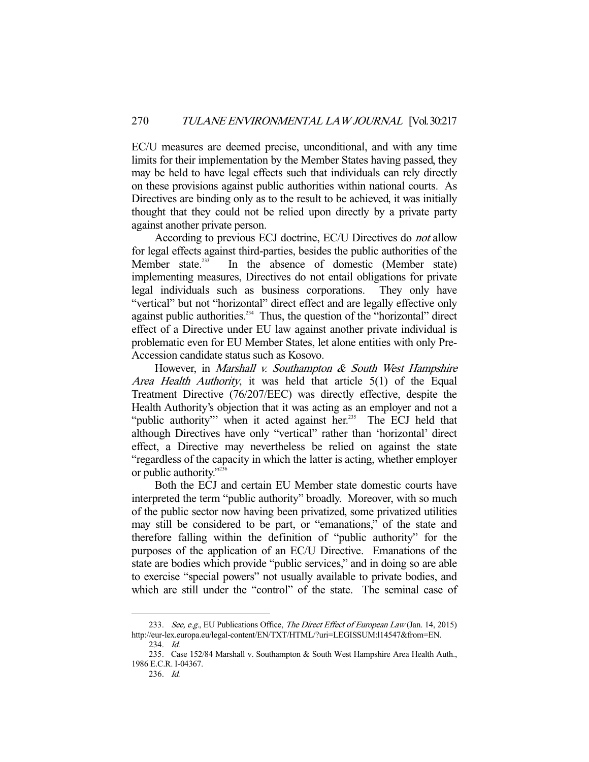EC/U measures are deemed precise, unconditional, and with any time limits for their implementation by the Member States having passed, they may be held to have legal effects such that individuals can rely directly on these provisions against public authorities within national courts. As Directives are binding only as to the result to be achieved, it was initially thought that they could not be relied upon directly by a private party against another private person.

According to previous ECJ doctrine, EC/U Directives do *not* allow for legal effects against third-parties, besides the public authorities of the Member state.<sup>233</sup> In the absence of domestic (Member state) implementing measures, Directives do not entail obligations for private legal individuals such as business corporations. They only have "vertical" but not "horizontal" direct effect and are legally effective only against public authorities. $234$  Thus, the question of the "horizontal" direct effect of a Directive under EU law against another private individual is problematic even for EU Member States, let alone entities with only Pre-Accession candidate status such as Kosovo.

However, in *Marshall v. Southampton & South West Hampshire* Area Health Authority, it was held that article 5(1) of the Equal Treatment Directive (76/207/EEC) was directly effective, despite the Health Authority's objection that it was acting as an employer and not a "public authority" when it acted against her.<sup>235</sup> The ECJ held that although Directives have only "vertical" rather than 'horizontal' direct effect, a Directive may nevertheless be relied on against the state "regardless of the capacity in which the latter is acting, whether employer or public authority."236

 Both the ECJ and certain EU Member state domestic courts have interpreted the term "public authority" broadly. Moreover, with so much of the public sector now having been privatized, some privatized utilities may still be considered to be part, or "emanations," of the state and therefore falling within the definition of "public authority" for the purposes of the application of an EC/U Directive. Emanations of the state are bodies which provide "public services," and in doing so are able to exercise "special powers" not usually available to private bodies, and which are still under the "control" of the state. The seminal case of

<sup>233.</sup> See, e.g., EU Publications Office, The Direct Effect of European Law (Jan. 14, 2015) http://eur-lex.europa.eu/legal-content/EN/TXT/HTML/?uri=LEGISSUM:l14547&from=EN.

 <sup>234.</sup> Id.

 <sup>235.</sup> Case 152/84 Marshall v. Southampton & South West Hampshire Area Health Auth., 1986 E.C.R. I-04367.

 <sup>236.</sup> Id.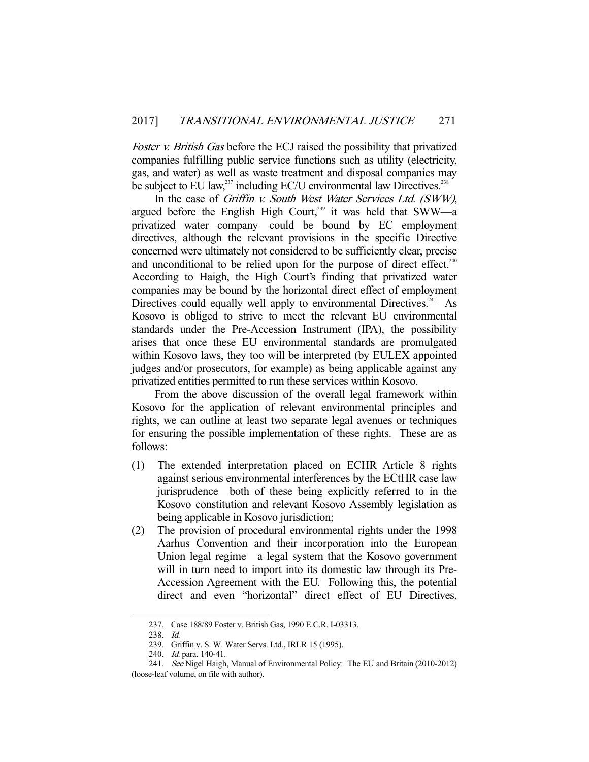Foster *v. British Gas* before the ECJ raised the possibility that privatized companies fulfilling public service functions such as utility (electricity, gas, and water) as well as waste treatment and disposal companies may be subject to EU law, $^{237}$  including EC/U environmental law Directives. $^{238}$ 

In the case of Griffin v. South West Water Services Ltd. (SWW), argued before the English High Court,<sup>239</sup> it was held that SWW—a privatized water company—could be bound by EC employment directives, although the relevant provisions in the specific Directive concerned were ultimately not considered to be sufficiently clear, precise and unconditional to be relied upon for the purpose of direct effect.<sup>240</sup> According to Haigh, the High Court's finding that privatized water companies may be bound by the horizontal direct effect of employment Directives could equally well apply to environmental Directives. $241$  As Kosovo is obliged to strive to meet the relevant EU environmental standards under the Pre-Accession Instrument (IPA), the possibility arises that once these EU environmental standards are promulgated within Kosovo laws, they too will be interpreted (by EULEX appointed judges and/or prosecutors, for example) as being applicable against any privatized entities permitted to run these services within Kosovo.

 From the above discussion of the overall legal framework within Kosovo for the application of relevant environmental principles and rights, we can outline at least two separate legal avenues or techniques for ensuring the possible implementation of these rights. These are as follows:

- (1) The extended interpretation placed on ECHR Article 8 rights against serious environmental interferences by the ECtHR case law jurisprudence—both of these being explicitly referred to in the Kosovo constitution and relevant Kosovo Assembly legislation as being applicable in Kosovo jurisdiction;
- (2) The provision of procedural environmental rights under the 1998 Aarhus Convention and their incorporation into the European Union legal regime—a legal system that the Kosovo government will in turn need to import into its domestic law through its Pre-Accession Agreement with the EU. Following this, the potential direct and even "horizontal" direct effect of EU Directives,

 <sup>237.</sup> Case 188/89 Foster v. British Gas, 1990 E.C.R. I-03313.

 <sup>238.</sup> Id.

 <sup>239.</sup> Griffin v. S. W. Water Servs. Ltd., IRLR 15 (1995).

 <sup>240.</sup> Id. para. 140-41.

 <sup>241.</sup> See Nigel Haigh, Manual of Environmental Policy: The EU and Britain (2010-2012) (loose-leaf volume, on file with author).